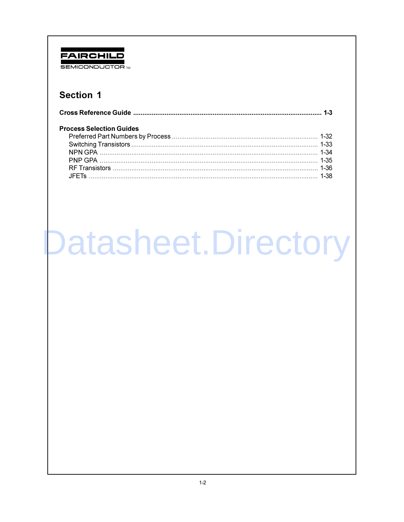## FAIRCHILD **SEMICONDUCTOR TM**

## **Section 1**

| <b>Process Selection Guides</b> |  |
|---------------------------------|--|
|                                 |  |
|                                 |  |
|                                 |  |
|                                 |  |
|                                 |  |
|                                 |  |

# Datasheet.Directory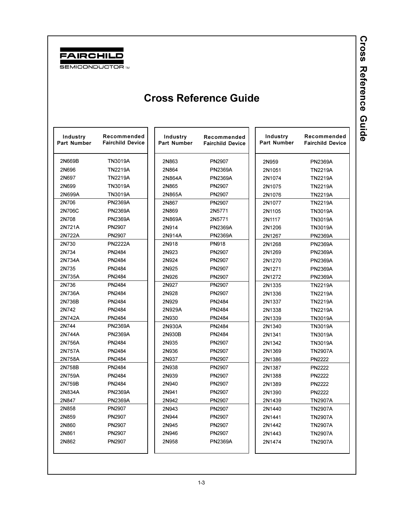

<span id="page-1-0"></span>

| Industry<br>Part Number | Recommended<br><b>Fairchild Device</b> | Industry<br><b>Part Number</b> | Recommended<br><b>Fairchild Device</b> | Industry<br><b>Part Number</b> | Recommended<br><b>Fairchild Device</b> |
|-------------------------|----------------------------------------|--------------------------------|----------------------------------------|--------------------------------|----------------------------------------|
| 2N669B                  | TN3019A                                | 2N863                          | PN2907                                 | 2N959                          | <b>PN2369A</b>                         |
| 2N696                   | <b>TN2219A</b>                         | 2N864                          | <b>PN2369A</b>                         | 2N1051                         | <b>TN2219A</b>                         |
| 2N697                   | <b>TN2219A</b>                         | 2N864A                         | <b>PN2369A</b>                         | 2N1074                         | <b>TN2219A</b>                         |
| 2N699                   | <b>TN3019A</b>                         | 2N865                          | PN2907                                 | 2N1075                         | <b>TN2219A</b>                         |
| 2N699A                  | TN3019A                                | 2N865A                         | PN2907                                 | 2N1076                         | <b>TN2219A</b>                         |
| 2N706                   | <b>PN2369A</b>                         | 2N867                          | PN2907                                 | 2N1077                         | <b>TN2219A</b>                         |
| 2N706C                  | <b>PN2369A</b>                         | 2N869                          | 2N5771                                 | 2N1105                         | <b>TN3019A</b>                         |
| 2N708                   | <b>PN2369A</b>                         | 2N869A                         | 2N5771                                 | 2N1117                         | <b>TN3019A</b>                         |
| 2N721A                  | PN2907                                 | 2N914                          | <b>PN2369A</b>                         | 2N1206                         | <b>TN3019A</b>                         |
| 2N722A                  | PN2907                                 | 2N914A                         | <b>PN2369A</b>                         | 2N1267                         | <b>PN2369A</b>                         |
| 2N730                   | <b>PN2222A</b>                         | 2N918                          | <b>PN918</b>                           | 2N1268                         | <b>PN2369A</b>                         |
| 2N734                   | PN2484                                 | 2N923                          | PN2907                                 | 2N1269                         | <b>PN2369A</b>                         |
| 2N734A                  | PN2484                                 | 2N924                          | <b>PN2907</b>                          | 2N1270                         | <b>PN2369A</b>                         |
| 2N735                   | PN2484                                 | 2N925                          | PN2907                                 | 2N1271                         | <b>PN2369A</b>                         |
| 2N735A                  | PN2484                                 | 2N926                          | PN2907                                 | 2N1272                         | <b>PN2369A</b>                         |
| 2N736                   | PN2484                                 | 2N927                          | PN2907                                 | 2N1335                         | <b>TN2219A</b>                         |
| 2N736A                  | PN2484                                 | 2N928                          | PN2907                                 | 2N1336                         | <b>TN2219A</b>                         |
| 2N736B                  | PN2484                                 | 2N929                          | PN2484                                 | 2N1337                         | <b>TN2219A</b>                         |
| 2N742                   | PN2484                                 | 2N929A                         | PN2484                                 | 2N1338                         | <b>TN2219A</b>                         |
| 2N742A                  | PN2484                                 | 2N930                          | PN2484                                 | 2N1339                         | TN3019A                                |
| 2N744                   | <b>PN2369A</b>                         | 2N930A                         | PN2484                                 | 2N1340                         | TN3019A                                |
| 2N744A                  | <b>PN2369A</b>                         | 2N930B                         | PN2484                                 | 2N1341                         | TN3019A                                |
| 2N756A                  | PN2484                                 | 2N935                          | PN2907                                 | 2N1342                         | TN3019A                                |
| 2N757A                  | PN2484                                 | 2N936                          | PN2907                                 | 2N1369                         | <b>TN2907A</b>                         |
| 2N758A                  | PN2484                                 | 2N937                          | PN2907                                 | 2N1386                         | <b>PN2222</b>                          |
| 2N758B                  | PN2484                                 | 2N938                          | PN2907                                 | 2N1387                         | <b>PN2222</b>                          |
| 2N759A                  | PN2484                                 | 2N939                          | PN2907                                 | 2N1388                         | <b>PN2222</b>                          |
| 2N759B                  | PN2484                                 | 2N940                          | PN2907                                 | 2N1389                         | <b>PN2222</b>                          |
| 2N834A                  | <b>PN2369A</b>                         | 2N941                          | PN2907                                 | 2N1390                         | <b>PN2222</b>                          |
| 2N847                   | <b>PN2369A</b>                         | 2N942                          | PN2907                                 | 2N1439                         | <b>TN2907A</b>                         |
| 2N858                   | PN2907                                 | 2N943                          | PN2907                                 | 2N1440                         | <b>TN2907A</b>                         |
| 2N859                   | PN2907                                 | 2N944                          | PN2907                                 | 2N1441                         | <b>TN2907A</b>                         |
| 2N860                   | PN2907                                 | 2N945                          | PN2907                                 | 2N1442                         | <b>TN2907A</b>                         |
| 2N861                   | PN2907                                 | 2N946                          | PN2907                                 | 2N1443                         | <b>TN2907A</b>                         |
| 2N862                   | PN2907                                 | 2N958                          | <b>PN2369A</b>                         | 2N1474                         | <b>TN2907A</b>                         |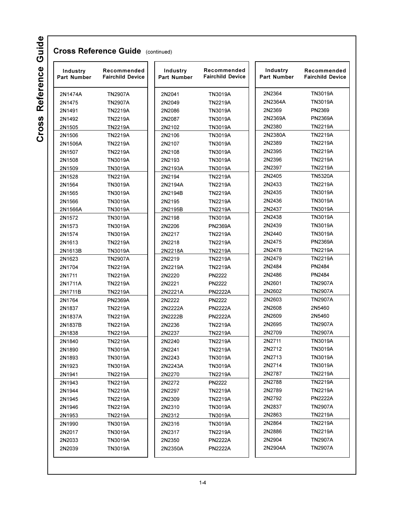| Industry<br><b>Part Number</b> | Recommended<br><b>Fairchild Device</b> | Industry<br><b>Part Number</b> | Recommended<br><b>Fairchild Device</b> | Industry<br><b>Part Number</b> | Recommended<br><b>Fairchild Device</b> |
|--------------------------------|----------------------------------------|--------------------------------|----------------------------------------|--------------------------------|----------------------------------------|
| 2N1474A                        | <b>TN2907A</b>                         | 2N2041                         | TN3019A                                | 2N2364                         | <b>TN3019A</b>                         |
| 2N1475                         | <b>TN2907A</b>                         | 2N2049                         | <b>TN2219A</b>                         | 2N2364A                        | <b>TN3019A</b>                         |
| 2N1491                         | <b>TN2219A</b>                         | 2N2086                         | TN3019A                                | 2N2369                         | PN2369                                 |
| 2N1492                         | <b>TN2219A</b>                         | 2N2087                         | TN3019A                                | 2N2369A                        | <b>PN2369A</b>                         |
| 2N1505                         | <b>TN2219A</b>                         | 2N2102                         | TN3019A                                | 2N2380                         | <b>TN2219A</b>                         |
| 2N1506                         | <b>TN2219A</b>                         | 2N2106                         | TN3019A                                | 2N2380A                        | <b>TN2219A</b>                         |
| 2N1506A                        | <b>TN2219A</b>                         | 2N2107                         | TN3019A                                | 2N2389                         | <b>TN2219A</b>                         |
| 2N1507                         | <b>TN2219A</b>                         | 2N2108                         | TN3019A                                | 2N2395                         | <b>TN2219A</b>                         |
| 2N1508                         | TN3019A                                | 2N2193                         | TN3019A                                | 2N2396                         | <b>TN2219A</b>                         |
| 2N1509                         | <b>TN3019A</b>                         | 2N2193A                        | TN3019A                                | 2N2397                         | TN2219A                                |
| 2N1528                         | <b>TN2219A</b>                         | 2N2194                         | <b>TN2219A</b>                         | 2N2405                         | <b>TN5320A</b>                         |
| 2N1564                         | TN3019A                                | 2N2194A                        | TN2219A                                | 2N2433                         | <b>TN2219A</b>                         |
| 2N1565                         | TN3019A                                | 2N2194B                        | <b>TN2219A</b>                         | 2N2435                         | TN3019A                                |
| 2N1566                         | TN3019A                                | 2N2195                         | <b>TN2219A</b>                         | 2N2436                         | TN3019A                                |
| 2N1566A                        | TN3019A                                | 2N2195B                        | <b>TN2219A</b>                         | 2N2437                         | <b>TN3019A</b>                         |
| 2N1572                         | <b>TN3019A</b>                         | 2N2198                         | <b>TN3019A</b>                         | 2N2438                         | <b>TN3019A</b>                         |
| 2N1573                         | TN3019A                                | 2N2206                         | <b>PN2369A</b>                         | 2N2439                         | <b>TN3019A</b>                         |
| 2N1574                         | TN3019A                                | 2N2217                         | <b>TN2219A</b>                         | 2N2440                         | <b>TN3019A</b>                         |
| 2N1613                         | <b>TN2219A</b>                         | 2N2218                         | <b>TN2219A</b>                         | 2N2475                         | <b>PN2369A</b>                         |
| 2N1613B                        | TN3019A                                | 2N2218A                        | TN2219A                                | 2N2478                         | TN2219A                                |
| 2N1623                         | <b>TN2907A</b>                         | 2N2219                         | <b>TN2219A</b>                         | 2N2479                         | <b>TN2219A</b>                         |
| 2N1704                         | <b>TN2219A</b>                         | 2N2219A                        | TN2219A                                | 2N2484                         | PN2484                                 |
| 2N1711                         | <b>TN2219A</b>                         | 2N2220                         | <b>PN2222</b>                          | 2N2486                         | PN2484                                 |
| 2N1711A                        | <b>TN2219A</b>                         | 2N2221                         | <b>PN2222</b>                          | 2N2601                         | <b>TN2907A</b>                         |
| 2N1711B                        | <b>TN2219A</b>                         | 2N2221A                        | <b>PN2222A</b>                         | 2N2602                         | <b>TN2907A</b>                         |
| 2N1764                         | <b>PN2369A</b>                         | 2N2222                         | PN2222                                 | 2N2603                         | <b>TN2907A</b>                         |
| 2N1837                         | <b>TN2219A</b>                         | 2N2222A                        | <b>PN2222A</b>                         | 2N2608                         | 2N5460                                 |
| 2N1837A                        | <b>TN2219A</b>                         | 2N2222B                        | <b>PN2222A</b>                         | 2N2609                         | 2N5460                                 |
| 2N1837B                        | <b>TN2219A</b>                         | 2N2236                         | <b>TN2219A</b>                         | 2N2695                         | <b>TN2907A</b>                         |
| 2N1838                         | <b>TN2219A</b>                         | 2N2237                         | <b>TN2219A</b>                         | 2N2709                         | <b>TN2907A</b>                         |
| 2N1840                         | <b>TN2219A</b>                         | 2N2240                         | <b>TN2219A</b>                         | 2N2711                         | TN3019A                                |
| 2N1890                         | TN3019A                                | 2N2241                         | <b>TN2219A</b>                         | 2N2712                         | TN3019A                                |
| 2N1893                         | TN3019A                                | 2N2243                         | TN3019A                                | 2N2713                         | TN3019A                                |
| 2N1923                         | TN3019A                                | 2N2243A                        | TN3019A                                | 2N2714                         | <b>TN3019A</b>                         |
| 2N1941                         | <b>TN2219A</b>                         | 2N2270                         | <b>TN2219A</b>                         | 2N2787                         | TN2219A                                |
| 2N1943                         | <b>TN2219A</b>                         | 2N2272                         | PN2222                                 | 2N2788                         | TN2219A                                |
| 2N1944                         | TN2219A                                | 2N2297                         | TN2219A                                | 2N2789                         | TN2219A                                |
| 2N1945                         | <b>TN2219A</b>                         | 2N2309                         | TN2219A                                | 2N2792                         | <b>PN2222A</b>                         |
| 2N1946                         | <b>TN2219A</b>                         | 2N2310                         | TN3019A                                | 2N2837                         | <b>TN2907A</b>                         |
| 2N1953                         | <b>TN2219A</b>                         | 2N2312                         | <b>TN3019A</b>                         | 2N2863                         | TN2219A                                |
| 2N1990                         | TN3019A                                | 2N2316                         | <b>TN3019A</b>                         | 2N2864                         | TN2219A                                |
| 2N2017                         | <b>TN3019A</b>                         | 2N2317                         | TN2219A                                | 2N2886                         | <b>TN2219A</b>                         |
| 2N2033                         | TN3019A                                | 2N2350                         | <b>PN2222A</b>                         | 2N2904                         | <b>TN2907A</b>                         |
| 2N2039                         | TN3019A                                | 2N2350A                        | <b>PN2222A</b>                         | 2N2904A                        | TN2907A                                |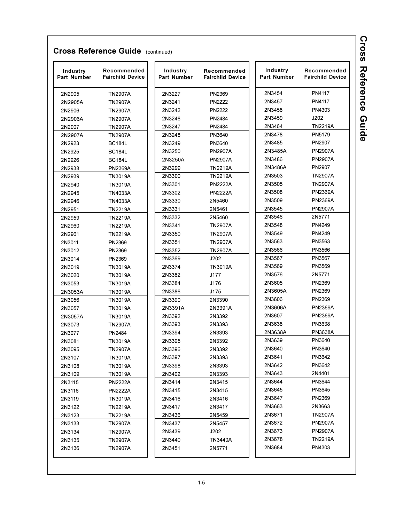| Industry<br>Part Number | Recommended<br><b>Fairchild Device</b> | Industry<br>Part Number | Recommended<br><b>Fairchild Device</b> |        | Industry<br><b>Part Number</b> | Recommended<br><b>Fairchild Device</b> |
|-------------------------|----------------------------------------|-------------------------|----------------------------------------|--------|--------------------------------|----------------------------------------|
| 2N2905                  | <b>TN2907A</b>                         | 2N3227                  | PN2369                                 | 2N3454 |                                | PN4117                                 |
| 2N2905A                 | <b>TN2907A</b>                         | 2N3241                  | <b>PN2222</b>                          | 2N3457 |                                | PN4117                                 |
| 2N2906                  | <b>TN2907A</b>                         | 2N3242                  | <b>PN2222</b>                          | 2N3458 |                                | PN4303                                 |
| 2N2906A                 | <b>TN2907A</b>                         | 2N3246                  | PN2484                                 | 2N3459 |                                | J202                                   |
| 2N2907                  | <b>TN2907A</b>                         | 2N3247                  | PN2484                                 | 2N3464 |                                | <b>TN2219A</b>                         |
| 2N2907A                 | <b>TN2907A</b>                         | 2N3248                  | PN3640                                 | 2N3478 |                                | PN5179                                 |
| 2N2923                  | <b>BC184L</b>                          | 2N3249                  | PN3640                                 | 2N3485 |                                | PN2907                                 |
| 2N2925                  | <b>BC184L</b>                          | 2N3250                  | <b>PN2907A</b>                         |        | 2N3485A                        | <b>PN2907A</b>                         |
| 2N2926                  | <b>BC184L</b>                          | 2N3250A                 | <b>PN2907A</b>                         | 2N3486 |                                | <b>PN2907A</b>                         |
| 2N2938                  | <b>PN2369A</b>                         | 2N3299                  | <b>TN2219A</b>                         |        | 2N3486A                        | PN2907                                 |
| 2N2939                  | <b>TN3019A</b>                         | 2N3300                  | <b>TN2219A</b>                         | 2N3503 |                                | <b>TN2907A</b>                         |
| 2N2940                  | TN3019A                                | 2N3301                  | <b>PN2222A</b>                         | 2N3505 |                                | <b>TN2907A</b>                         |
| 2N2945                  | TN4033A                                | 2N3302                  | <b>PN2222A</b>                         | 2N3508 |                                | <b>PN2369A</b>                         |
| 2N2946                  | TN4033A                                | 2N3330                  | 2N5460                                 | 2N3509 |                                | <b>PN2369A</b>                         |
| 2N2951                  | <b>TN2219A</b>                         | 2N3331                  | 2N5461                                 | 2N3545 |                                | <b>PN2907A</b>                         |
| 2N2959                  | <b>TN2219A</b>                         | 2N3332                  | 2N5460                                 | 2N3546 |                                | 2N5771                                 |
| 2N2960                  | <b>TN2219A</b>                         | 2N3341                  | <b>TN2907A</b>                         | 2N3548 |                                | PN4249                                 |
| 2N2961                  | <b>TN2219A</b>                         | 2N3350                  | <b>TN2907A</b>                         | 2N3549 |                                | PN4249                                 |
| 2N3011                  | PN2369                                 | 2N3351                  | <b>TN2907A</b>                         | 2N3563 |                                | PN3563                                 |
| 2N3012                  | PN2369                                 | 2N3352                  | <b>TN2907A</b>                         | 2N3566 |                                | PN3566                                 |
| 2N3014                  | PN2369                                 | 2N3369                  | J202                                   | 2N3567 |                                | PN3567                                 |
| 2N3019                  | TN3019A                                | 2N3374                  | <b>TN3019A</b>                         | 2N3569 |                                | PN3569                                 |
| 2N3020                  | <b>TN3019A</b>                         | 2N3382                  | J177                                   | 2N3576 |                                | 2N5771                                 |
| 2N3053                  | TN3019A                                | 2N3384                  | J176                                   | 2N3605 |                                | PN2369                                 |
| 2N3053A                 | TN3019A                                | 2N3386                  | J175                                   |        | 2N3605A                        | PN2369                                 |
| 2N3056                  | <b>TN3019A</b>                         | 2N3390                  | 2N3390                                 | 2N3606 |                                | PN2369                                 |
| 2N3057                  | <b>TN3019A</b>                         | 2N3391A                 | 2N3391A                                |        | 2N3606A                        | <b>PN2369A</b>                         |
| 2N3057A                 | TN3019A                                | 2N3392                  | 2N3392                                 | 2N3607 |                                | <b>PN2369A</b>                         |
| 2N3073                  | <b>TN2907A</b>                         | 2N3393                  | 2N3393                                 | 2N3638 |                                | PN3638                                 |
| 2N3077                  | PN2484                                 | 2N3394                  | 2N3393                                 |        | 2N3638A                        | <b>PN3638A</b>                         |
| 2N3081                  | <b>TN3019A</b>                         | 2N3395                  | 2N3392                                 | 2N3639 |                                | PN3640                                 |
| 2N3095                  | <b>TN2907A</b>                         | 2N3396                  | 2N3392                                 | 2N3640 |                                | PN3640                                 |
| 2N3107                  | TN3019A                                | 2N3397                  | 2N3393                                 | 2N3641 |                                | PN3642                                 |
| 2N3108                  | TN3019A                                | 2N3398                  | 2N3393                                 | 2N3642 |                                | PN3642                                 |
| 2N3109                  | <b>TN3019A</b>                         | 2N3402                  | 2N3393                                 | 2N3643 |                                | 2N4401                                 |
| 2N3115                  | <b>PN2222A</b>                         | 2N3414                  | 2N3415                                 | 2N3644 |                                | PN3644                                 |
| 2N3116                  | <b>PN2222A</b>                         | 2N3415                  | 2N3415                                 | 2N3645 |                                | PN3645                                 |
| 2N3119                  | TN3019A                                | 2N3416                  | 2N3416                                 | 2N3647 |                                | PN2369                                 |
| 2N3122                  | <b>TN2219A</b>                         | 2N3417                  | 2N3417                                 | 2N3663 |                                | 2N3663                                 |
| 2N3123                  | <b>TN2219A</b>                         | 2N3436                  | 2N5459                                 | 2N3671 |                                | <b>TN2907A</b>                         |
| 2N3133                  | <b>TN2907A</b>                         | 2N3437                  | 2N5457                                 | 2N3672 |                                | <b>PN2907A</b>                         |
| 2N3134                  | <b>TN2907A</b>                         | 2N3439                  | J202                                   | 2N3673 |                                | <b>PN2907A</b>                         |
| 2N3135                  | <b>TN2907A</b>                         | 2N3440                  | TN3440A                                | 2N3678 |                                | <b>TN2219A</b>                         |
| 2N3136                  | <b>TN2907A</b>                         | 2N3451                  | 2N5771                                 | 2N3684 |                                | PN4303                                 |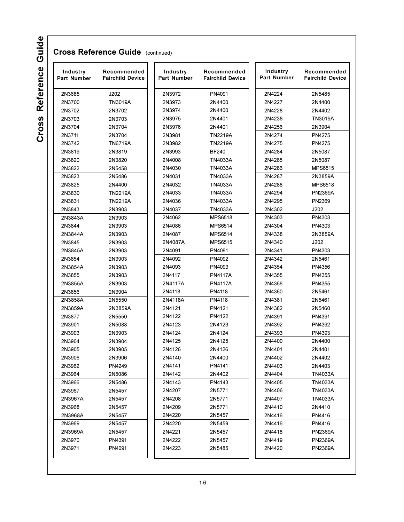| Industry<br><b>Part Number</b> | Recommended<br><b>Fairchild Device</b> | Industry<br><b>Part Number</b> | Recommended<br><b>Fairchild Device</b> | Industry<br><b>Part Number</b> | Recommended<br><b>Fairchild Device</b> |
|--------------------------------|----------------------------------------|--------------------------------|----------------------------------------|--------------------------------|----------------------------------------|
| 2N3685                         | J202                                   | 2N3972                         | PN4091                                 | 2N4224                         | 2N5485                                 |
| 2N3700                         | <b>TN3019A</b>                         | 2N3973                         | 2N4400                                 | 2N4227                         | 2N4400                                 |
| 2N3702                         | 2N3702                                 | 2N3974                         | 2N4400                                 | 2N4228                         | 2N4402                                 |
| 2N3703                         | 2N3703                                 | 2N3975                         | 2N4401                                 | 2N4238                         | TN3019A                                |
| 2N3704                         | 2N3704                                 | 2N3976                         | 2N4401                                 | 2N4256                         | 2N3904                                 |
| 2N3711                         | 2N3704                                 | 2N3981                         | <b>TN2219A</b>                         | 2N4274                         | PN4275                                 |
| 2N3742                         | TN6719A                                | 2N3982                         | <b>TN2219A</b>                         | 2N4275                         | PN4275                                 |
| 2N3819                         | 2N3819                                 | 2N3993                         | <b>BF240</b>                           | 2N4284                         | 2N5087                                 |
| 2N3820                         | 2N3820                                 | 2N4008                         | <b>TN4033A</b>                         | 2N4285                         | 2N5087                                 |
| 2N3822                         | 2N5458                                 | 2N4030                         | <b>TN4033A</b>                         | 2N4286                         | <b>MPS6515</b>                         |
| 2N3823                         | 2N5486                                 | 2N4031                         | <b>TN4033A</b>                         | 2N4287                         | 2N3859A                                |
| 2N3825                         | 2N4400                                 | 2N4032                         | <b>TN4033A</b>                         | 2N4288                         | <b>MPS6518</b>                         |
| 2N3830                         | TN2219A                                | 2N4033                         | <b>TN4033A</b>                         | 2N4294                         | <b>PN2369A</b>                         |
| 2N3831                         | TN2219A                                | 2N4036                         | <b>TN4033A</b>                         | 2N4295                         | PN2369                                 |
| 2N3843                         | 2N3903                                 | 2N4037                         | <b>TN4033A</b>                         | 2N4302                         | J202                                   |
| 2N3843A                        | 2N3903                                 | 2N4062                         | <b>MPS6518</b>                         | 2N4303                         | PN4303                                 |
| 2N3844                         | 2N3903                                 | 2N4086                         | <b>MPS6514</b>                         | 2N4304                         | PN4303                                 |
| 2N3844A                        | 2N3903                                 | 2N4087                         | <b>MPS6514</b>                         | 2N4338                         | 2N3859A                                |
| 2N3845                         | 2N3903                                 | 2N4087A                        | <b>MPS6515</b>                         | 2N4340                         | J202                                   |
| 2N3845A                        | 2N3903                                 | 2N4091                         | PN4091                                 | 2N4341                         | PN4303                                 |
| 2N3854                         | 2N3903                                 | 2N4092                         | PN4092                                 | 2N4342                         | 2N5461                                 |
| 2N3854A                        | 2N3903                                 | 2N4093                         | PN4093                                 | 2N4354                         | PN4356                                 |
| 2N3855                         | 2N3903                                 | 2N4117                         | <b>PN4117A</b>                         | 2N4355                         | PN4355                                 |
| 2N3855A                        | 2N3903                                 | 2N4117A                        | <b>PN4117A</b>                         | 2N4356                         | PN4355                                 |
| 2N3856                         | 2N3904                                 | 2N4118                         | PN4118                                 | 2N4360                         | 2N5461                                 |
| 2N3858A                        | 2N5550                                 | 2N4118A                        | PN4118                                 | 2N4381                         | 2N5461                                 |
| 2N3859A                        | 2N3859A                                | 2N4121                         | PN4121                                 | 2N4382                         | 2N5460                                 |
| 2N3877                         | 2N5550                                 | 2N4122                         | PN4122                                 | 2N4391                         | PN4391                                 |
| 2N3901                         | 2N5088                                 | 2N4123                         | 2N4123                                 | 2N4392                         | PN4392                                 |
| 2N3903                         | 2N3903                                 | 2N4124                         | 2N4124                                 | 2N4393                         | PN4393                                 |
| 2N3904                         | 2N3904                                 | 2N4125                         | 2N4125                                 | 2N4400                         | 2N4400                                 |
| 2N3905                         | 2N3905                                 | 2N4126                         | 2N4126                                 | 2N4401                         | 2N4401                                 |
| 2N3906                         | 2N3906                                 | 2N4140                         | 2N4400                                 | 2N4402                         | 2N4402                                 |
| 2N3962                         | PN4249                                 | 2N4141                         | PN4141                                 | 2N4403                         | 2N4403                                 |
| 2N3964                         | 2N5086                                 | 2N4142                         | 2N4402                                 | 2N4404                         | TN4033A                                |
| 2N3966                         | 2N5486                                 | 2N4143                         | PN4143                                 | 2N4405                         | TN4033A                                |
| 2N3967                         | 2N5457                                 | 2N4207                         | 2N5771                                 | 2N4406                         | TN4033A                                |
| 2N3967A                        | 2N5457                                 | 2N4208                         | 2N5771                                 | 2N4407                         | TN4033A                                |
| 2N3968                         | 2N5457                                 | 2N4209                         | 2N5771                                 | 2N4410                         | 2N4410                                 |
| 2N3968A                        | 2N5457                                 | 2N4220                         | 2N5457                                 | 2N4416                         | PN4416                                 |
| 2N3969                         | 2N5457                                 | 2N4220                         | 2N5459                                 | 2N4416                         | PN4416                                 |
| 2N3969A                        | 2N5457                                 | 2N4221                         | 2N5457                                 | 2N4418                         | <b>PN2369A</b>                         |
| 2N3970                         | PN4391                                 | 2N4222                         | 2N5457                                 | 2N4419                         | <b>PN2369A</b>                         |
| 2N3971                         | PN4091                                 | 2N4223                         | 2N5485                                 | 2N4420                         | <b>PN2369A</b>                         |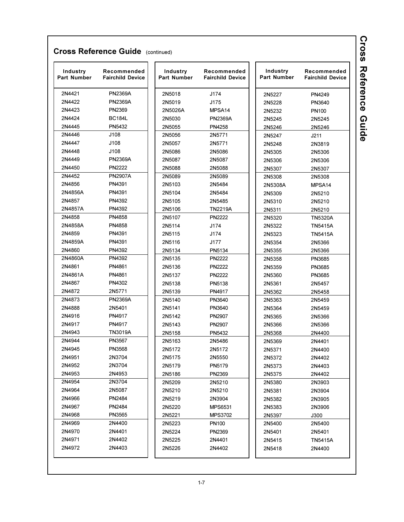| Industry<br><b>Part Number</b> | Recommended<br><b>Fairchild Device</b> | Industry<br><b>Part Number</b> | Recommended<br><b>Fairchild Device</b> | Industry<br>Part Number | Recommended<br><b>Fairchild Device</b> |
|--------------------------------|----------------------------------------|--------------------------------|----------------------------------------|-------------------------|----------------------------------------|
| 2N4421                         | <b>PN2369A</b>                         | 2N5018                         | J174                                   | 2N5227                  | PN4249                                 |
| 2N4422                         | <b>PN2369A</b>                         | 2N5019                         | J175                                   | 2N5228                  | PN3640                                 |
| 2N4423                         | PN2369                                 | 2N5026A                        | MPSA <sub>14</sub>                     | 2N5232                  | PN <sub>100</sub>                      |
| 2N4424                         | <b>BC184L</b>                          | 2N5030                         | <b>PN2369A</b>                         | 2N5245                  | 2N5245                                 |
| 2N4445                         | PN5432                                 | 2N5055                         | PN4258                                 | 2N5246                  | 2N5246                                 |
| 2N4446                         | J108                                   | 2N5056                         | 2N5771                                 | 2N5247                  | J211                                   |
| 2N4447                         | J108                                   | 2N5057                         | 2N5771                                 | 2N5248                  | 2N3819                                 |
| 2N4448                         | J108                                   | 2N5086                         | 2N5086                                 | 2N5305                  | 2N5306                                 |
| 2N4449                         | <b>PN2369A</b>                         | 2N5087                         | 2N5087                                 | 2N5306                  | 2N5306                                 |
| 2N4450                         | <b>PN2222</b>                          | 2N5088                         | 2N5088                                 | 2N5307                  | 2N5307                                 |
| 2N4452                         | <b>PN2907A</b>                         | 2N5089                         | 2N5089                                 | 2N5308                  | 2N5308                                 |
| 2N4856                         | PN4391                                 | 2N5103                         | 2N5484                                 | 2N5308A                 | MPSA <sub>14</sub>                     |
| 2N4856A                        | PN4391                                 | 2N5104                         | 2N5484                                 | 2N5309                  | 2N5210                                 |
| 2N4857                         | PN4392                                 | 2N5105                         | 2N5485                                 | 2N5310                  | 2N5210                                 |
| 2N4857A                        | PN4392                                 | 2N5106                         | <b>TN2219A</b>                         | 2N5311                  | 2N5210                                 |
| 2N4858                         | PN4858                                 | 2N5107                         | <b>PN2222</b>                          | 2N5320                  | <b>TN5320A</b>                         |
| 2N4858A                        | PN4858                                 | 2N5114                         | J174                                   | 2N5322                  | <b>TN5415A</b>                         |
| 2N4859                         | PN4391                                 | 2N5115                         | J174                                   | 2N5323                  | <b>TN5415A</b>                         |
| 2N4859A                        | PN4391                                 | 2N5116                         | J177                                   | 2N5354                  | 2N5366                                 |
| 2N4860                         | PN4392                                 | 2N5134                         | PN5134                                 | 2N5355                  | 2N5366                                 |
| 2N4860A                        | PN4392                                 | 2N5135                         | <b>PN2222</b>                          | 2N5358                  | PN3685                                 |
| 2N4861                         | PN4861                                 | 2N5136                         | <b>PN2222</b>                          | 2N5359                  | PN3685                                 |
| 2N4861A                        | PN4861                                 | 2N5137                         | <b>PN2222</b>                          | 2N5360                  | PN3685                                 |
| 2N4867                         | PN4302                                 | 2N5138                         | PN5138                                 | 2N5361                  | 2N5457                                 |
| 2N4872                         | 2N5771                                 | 2N5139                         | PN4917                                 | 2N5362                  | 2N5458                                 |
| 2N4873                         | <b>PN2369A</b>                         | 2N5140                         | PN3640                                 | 2N5363                  | 2N5459                                 |
| 2N4888                         | 2N5401                                 | 2N5141                         | PN3640                                 | 2N5364                  | 2N5459                                 |
| 2N4916                         | PN4917                                 | 2N5142                         | PN2907                                 | 2N5365                  | 2N5366                                 |
| 2N4917                         | PN4917                                 | 2N5143                         | PN2907                                 | 2N5366                  | 2N5366                                 |
| 2N4943                         | TN3019A                                | 2N5158                         | PN5432                                 | 2N5368                  | 2N4400                                 |
| 2N4944                         | PN3567                                 | 2N5163                         | 2N5486                                 | 2N5369                  | 2N4401                                 |
| 2N4945                         | PN3568                                 | 2N5172                         | 2N5172                                 | 2N5371                  | 2N4400                                 |
| 2N4951                         | 2N3704                                 | 2N5175                         | 2N5550                                 | 2N5372                  | 2N4402                                 |
| 2N4952                         | 2N3704                                 | 2N5179                         | PN5179                                 | 2N5373                  | 2N4403                                 |
| 2N4953                         | 2N4953                                 | 2N5186                         | PN2369                                 | 2N5375                  | 2N4402                                 |
| 2N4954                         | 2N3704                                 | 2N5209                         | 2N5210                                 | 2N5380                  | 2N3903                                 |
| 2N4964                         | 2N5087                                 | 2N5210                         | 2N5210                                 | 2N5381                  | 2N3904                                 |
| 2N4966                         | PN2484                                 | 2N5219                         | 2N3904                                 | 2N5382                  | 2N3905                                 |
| 2N4967                         | PN2484                                 | 2N5220                         | MPS6531                                | 2N5383                  | 2N3906                                 |
| 2N4968                         | PN3565                                 | 2N5221                         | <b>MPS3702</b>                         | 2N5397                  | J300                                   |
| 2N4969                         | 2N4400                                 | 2N5223                         | PN100                                  | 2N5400                  | 2N5400                                 |
| 2N4970                         | 2N4401                                 | 2N5224                         | PN2369                                 | 2N5401                  | 2N5401                                 |
| 2N4971                         | 2N4402                                 | 2N5225                         | 2N4401                                 | 2N5415                  | TN5415A                                |
| 2N4972                         | 2N4403                                 | 2N5226                         | 2N4402                                 | 2N5418                  | 2N4400                                 |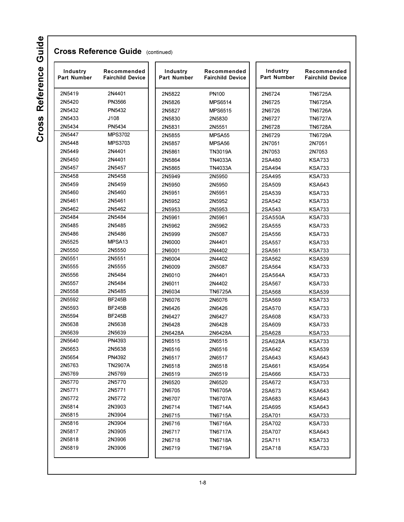| Industry<br><b>Part Number</b> | Recommended<br><b>Fairchild Device</b> | Industry<br><b>Part Number</b> | Recommended<br><b>Fairchild Device</b> | Industry<br><b>Part Number</b> | Recommended<br><b>Fairchild Device</b> |
|--------------------------------|----------------------------------------|--------------------------------|----------------------------------------|--------------------------------|----------------------------------------|
| 2N5419                         | 2N4401                                 | 2N5822                         | PN100                                  | 2N6724                         | <b>TN6725A</b>                         |
| 2N5420                         | PN3566                                 | 2N5826                         | <b>MPS6514</b>                         | 2N6725                         | <b>TN6725A</b>                         |
| 2N5432                         | PN5432                                 | 2N5827                         | <b>MPS6515</b>                         | 2N6726                         | <b>TN6726A</b>                         |
| 2N5433                         | J108                                   | 2N5830                         | 2N5830                                 | 2N6727                         | <b>TN6727A</b>                         |
| 2N5434                         | PN5434                                 | 2N5831                         | 2N5551                                 | 2N6728                         | <b>TN6728A</b>                         |
| 2N5447                         | <b>MPS3702</b>                         | 2N5855                         | MPSA <sub>55</sub>                     | 2N6729                         | <b>TN6729A</b>                         |
| 2N5448                         | <b>MPS3703</b>                         | 2N5857                         | MPSA <sub>56</sub>                     | 2N7051                         | 2N7051                                 |
| 2N5449                         | 2N4401                                 | 2N5861                         | TN3019A                                | 2N7053                         | 2N7053                                 |
| 2N5450                         | 2N4401                                 | 2N5864                         | TN4033A                                | 2SA480                         | KSA733                                 |
| 2N5457                         | 2N5457                                 | 2N5865                         | TN4033A                                | 2SA494                         | <b>KSA733</b>                          |
| 2N5458                         | 2N5458                                 | 2N5949                         | 2N5950                                 | 2SA495                         | <b>KSA733</b>                          |
| 2N5459                         | 2N5459                                 | 2N5950                         | 2N5950                                 | 2SA509                         | KSA643                                 |
| 2N5460                         | 2N5460                                 | 2N5951                         | 2N5951                                 | 2SA539                         | KSA733                                 |
| 2N5461                         | 2N5461                                 | 2N5952                         | 2N5952                                 | 2SA542                         | <b>KSA733</b>                          |
| 2N5462                         | 2N5462                                 | 2N5953                         | 2N5953                                 | 2SA543                         | <b>KSA733</b>                          |
| 2N5484                         | 2N5484                                 | 2N5961                         | 2N5961                                 | 2SA550A                        | <b>KSA733</b>                          |
| 2N5485                         | 2N5485                                 | 2N5962                         | 2N5962                                 | 2SA555                         | KSA733                                 |
| 2N5486                         | 2N5486                                 | 2N5999                         | 2N5087                                 | 2SA556                         | <b>KSA733</b>                          |
| 2N5525                         | MPSA <sub>13</sub>                     | 2N6000                         | 2N4401                                 | 2SA557                         | <b>KSA733</b>                          |
| 2N5550                         | 2N5550                                 | 2N6001                         | 2N4402                                 | 2SA561                         | <b>KSA733</b>                          |
| 2N5551                         | 2N5551                                 | 2N6004                         | 2N4402                                 | 2SA562                         | <b>KSA539</b>                          |
| 2N5555                         | 2N5555                                 | 2N6009                         | 2N5087                                 | 2SA564                         | <b>KSA733</b>                          |
| 2N5556                         | 2N5484                                 | 2N6010                         | 2N4401                                 | 2SA564A                        | <b>KSA733</b>                          |
| 2N5557                         | 2N5484                                 | 2N6011                         | 2N4402                                 | 2SA567                         | KSA733                                 |
| 2N5558                         | 2N5485                                 | 2N6034                         | <b>TN6725A</b>                         | 2SA568                         | <b>KSA539</b>                          |
| 2N5592                         | <b>BF245B</b>                          | 2N6076                         | 2N6076                                 | 2SA569                         | <b>KSA733</b>                          |
| 2N5593                         | <b>BF245B</b>                          | 2N6426                         | 2N6426                                 | 2SA570                         | KSA733                                 |
| 2N5594                         | <b>BF245B</b>                          | 2N6427                         | 2N6427                                 | 2SA608                         | <b>KSA733</b>                          |
| 2N5638                         | 2N5638                                 | 2N6428                         | 2N6428                                 | 2SA609                         | KSA733                                 |
| 2N5639                         | 2N5639                                 | 2N6428A                        | 2N6428A                                | 2SA628                         | KSA733                                 |
| 2N5640                         | PN4393                                 | 2N6515                         | 2N6515                                 | 2SA628A                        | <b>KSA733</b>                          |
| 2N5653                         | 2N5638                                 | 2N6516                         | 2N6516                                 | 2SA642                         | KSA539                                 |
| 2N5654                         | PN4392                                 | 2N6517                         | 2N6517                                 | 2SA643                         | KSA643                                 |
| 2N5763                         | TN2907A                                | 2N6518                         | 2N6518                                 | 2SA661                         | <b>KSA954</b>                          |
| 2N5769                         | 2N5769                                 | 2N6519                         | 2N6519                                 | 2SA666                         | <b>KSA733</b>                          |
| 2N5770                         | 2N5770                                 | 2N6520                         | 2N6520                                 | 2SA672                         | KSA733                                 |
| 2N5771                         | 2N5771                                 | 2N6705                         | <b>TN6705A</b>                         | 2SA673                         | <b>KSA643</b>                          |
| 2N5772                         | 2N5772                                 | 2N6707                         | <b>TN6707A</b>                         | 2SA683                         | <b>KSA643</b>                          |
| 2N5814                         | 2N3903                                 | 2N6714                         | <b>TN6714A</b>                         | 2SA695                         | <b>KSA643</b>                          |
| 2N5815                         | 2N3904                                 |                                |                                        |                                | <b>KSA733</b>                          |
| 2N5816                         | 2N3904                                 | 2N6715                         | <b>TN6715A</b>                         | 2SA701                         |                                        |
| 2N5817                         | 2N3905                                 | 2N6716                         | <b>TN6716A</b>                         | 2SA702                         | KSA733                                 |
|                                |                                        | 2N6717                         | <b>TN6717A</b>                         | 2SA707                         | <b>KSA643</b>                          |
| 2N5818<br>2N5819               | 2N3906<br>2N3906                       | 2N6718<br>2N6719               | <b>TN6718A</b><br><b>TN6719A</b>       | 2SA711<br>2SA718               | <b>KSA733</b><br><b>KSA733</b>         |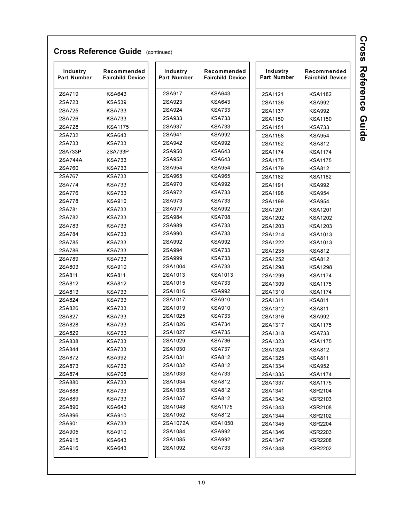| 2SA917<br><b>KSA643</b><br>2SA719<br><b>KSA643</b><br>2SA1121<br><b>KSA1182</b><br>2SA923<br><b>KSA643</b><br>2SA723<br><b>KSA539</b><br>2SA1136<br><b>KSA992</b><br>2SA924<br><b>KSA733</b><br>2SA725<br><b>KSA733</b><br>2SA1137<br><b>KSA992</b><br>2SA933<br><b>KSA733</b><br>2SA726<br><b>KSA733</b><br>2SA1150<br><b>KSA1150</b><br>2SA937<br><b>KSA733</b><br>2SA728<br><b>KSA1175</b><br>2SA1151<br><b>KSA733</b><br>2SA941<br><b>KSA992</b><br>2SA732<br><b>KSA643</b><br>2SA1158<br><b>KSA954</b><br>2SA733<br><b>KSA733</b><br>2SA942<br><b>KSA992</b><br>2SA1162<br><b>KSA812</b><br>2SA950<br><b>KSA643</b><br>2SA733P<br>2SA733P<br>2SA1174<br><b>KSA1174</b><br>2SA952<br><b>KSA643</b><br>2SA744A<br><b>KSA733</b><br>2SA1175<br><b>KSA1175</b><br>2SA954<br><b>KSA954</b><br>2SA760<br><b>KSA733</b><br>2SA1179<br><b>KSA812</b><br>2SA965<br><b>KSA965</b><br>2SA767<br><b>KSA733</b><br>2SA1182<br><b>KSA1182</b><br>2SA970<br><b>KSA992</b><br>2SA774<br><b>KSA733</b><br>2SA1191<br><b>KSA992</b><br>2SA776<br>2SA972<br><b>KSA733</b><br><b>KSA733</b><br>2SA1198<br><b>KSA954</b><br>2SA973<br><b>KSA733</b><br>2SA778<br><b>KSA910</b><br>2SA1199<br><b>KSA954</b><br>2SA979<br><b>KSA992</b><br>2SA781<br><b>KSA733</b><br>2SA1201<br><b>KSA1201</b><br>2SA984<br><b>KSA708</b><br>2SA782<br><b>KSA733</b><br>2SA1202<br><b>KSA1202</b><br>2SA989<br><b>KSA733</b><br>2SA783<br><b>KSA733</b><br>2SA1203<br>KSA1203<br>2SA990<br><b>KSA733</b><br>2SA784<br><b>KSA733</b><br>2SA1214<br><b>KSA1013</b><br>2SA785<br><b>KSA733</b><br>2SA992<br><b>KSA992</b><br>2SA1222<br><b>KSA1013</b><br>2SA994<br><b>KSA733</b><br>2SA786<br><b>KSA733</b><br>2SA1235<br><b>KSA812</b><br>2SA999<br><b>KSA733</b><br>2SA789<br><b>KSA733</b><br>2SA1252<br><b>KSA812</b><br>2SA1004<br><b>KSA733</b><br>2SA803<br><b>KSA910</b><br>2SA1298<br><b>KSA1298</b><br>2SA1013<br><b>KSA1013</b><br>2SA811<br><b>KSA811</b><br>2SA1299<br><b>KSA1174</b><br>2SA1015<br><b>KSA733</b><br>2SA812<br><b>KSA812</b><br>2SA1309<br><b>KSA1175</b><br>2SA1016<br><b>KSA992</b><br>2SA813<br><b>KSA733</b><br>2SA1310<br><b>KSA1174</b><br>2SA1017<br><b>KSA910</b><br>2SA824<br><b>KSA733</b><br>2SA1311<br><b>KSA811</b><br>2SA1019<br><b>KSA910</b><br>2SA826<br><b>KSA733</b><br><b>KSA811</b><br>2SA1312<br>2SA1025<br><b>KSA733</b><br>2SA827<br><b>KSA733</b><br>2SA1316<br><b>KSA992</b><br>2SA1026<br><b>KSA734</b><br>2SA828<br><b>KSA733</b><br>2SA1317<br><b>KSA1175</b><br>2SA1027<br><b>KSA735</b><br>2SA829<br><b>KSA733</b><br>2SA1318<br><b>KSA733</b><br>2SA1029<br><b>KSA736</b><br>2SA838<br><b>KSA733</b><br>2SA1323<br><b>KSA1175</b><br>2SA1030<br><b>KSA737</b><br>2SA844<br><b>KSA733</b><br><b>KSA812</b><br>2SA1324<br>2SA1031<br><b>KSA812</b><br><b>KSA992</b><br>2SA872<br><b>KSA811</b><br>2SA1325<br>2SA1032<br><b>KSA812</b><br>2SA873<br>KSA733<br>2SA1334<br><b>KSA952</b><br>2SA1033<br><b>KSA733</b><br><b>KSA708</b><br>2SA874<br>2SA1335<br><b>KSA1174</b><br>2SA1034<br><b>KSA812</b><br>2SA880<br><b>KSA733</b><br>2SA1337<br><b>KSA1175</b><br>2SA1035<br><b>KSA812</b><br>2SA888<br><b>KSA733</b><br>KSR2104<br>2SA1341<br>2SA1037<br>KSA812<br>2SA889<br><b>KSA733</b><br>2SA1342<br><b>KSR2103</b><br>2SA1048<br><b>KSA1175</b><br>2SA890<br><b>KSA643</b><br>2SA1343<br><b>KSR2108</b><br>2SA1052<br><b>KSA812</b><br>2SA896<br><b>KSA910</b><br>2SA1344<br><b>KSR2102</b><br>2SA1072A<br><b>KSA1050</b><br>2SA901<br>KSA733<br>2SA1345<br><b>KSR2204</b><br>2SA1084<br><b>KSA992</b><br>2SA905<br><b>KSA910</b><br>2SA1346<br><b>KSR2203</b><br>2SA1085<br><b>KSA992</b><br>2SA915<br><b>KSA643</b><br>2SA1347<br><b>KSR2208</b><br>2SA1092<br><b>KSA733</b><br>2SA916<br>KSA643<br>2SA1348<br><b>KSR2202</b> | Industry<br>Part Number | Recommended<br><b>Fairchild Device</b> | Industry<br>Part Number | Recommended<br><b>Fairchild Device</b> | Industry<br>Part Number | Recommended<br><b>Fairchild Device</b> |
|--------------------------------------------------------------------------------------------------------------------------------------------------------------------------------------------------------------------------------------------------------------------------------------------------------------------------------------------------------------------------------------------------------------------------------------------------------------------------------------------------------------------------------------------------------------------------------------------------------------------------------------------------------------------------------------------------------------------------------------------------------------------------------------------------------------------------------------------------------------------------------------------------------------------------------------------------------------------------------------------------------------------------------------------------------------------------------------------------------------------------------------------------------------------------------------------------------------------------------------------------------------------------------------------------------------------------------------------------------------------------------------------------------------------------------------------------------------------------------------------------------------------------------------------------------------------------------------------------------------------------------------------------------------------------------------------------------------------------------------------------------------------------------------------------------------------------------------------------------------------------------------------------------------------------------------------------------------------------------------------------------------------------------------------------------------------------------------------------------------------------------------------------------------------------------------------------------------------------------------------------------------------------------------------------------------------------------------------------------------------------------------------------------------------------------------------------------------------------------------------------------------------------------------------------------------------------------------------------------------------------------------------------------------------------------------------------------------------------------------------------------------------------------------------------------------------------------------------------------------------------------------------------------------------------------------------------------------------------------------------------------------------------------------------------------------------------------------------------------------------------------------------------------------------------------------------------------------------------------------------------------------------------------------------------------------------------------------------------------------------------------------------------------------------------------------------------------------------------------------------------------------------------------------------------------------------------------------------------------------------------------------------------------------------------------------------------------------------------------------------------------------|-------------------------|----------------------------------------|-------------------------|----------------------------------------|-------------------------|----------------------------------------|
|                                                                                                                                                                                                                                                                                                                                                                                                                                                                                                                                                                                                                                                                                                                                                                                                                                                                                                                                                                                                                                                                                                                                                                                                                                                                                                                                                                                                                                                                                                                                                                                                                                                                                                                                                                                                                                                                                                                                                                                                                                                                                                                                                                                                                                                                                                                                                                                                                                                                                                                                                                                                                                                                                                                                                                                                                                                                                                                                                                                                                                                                                                                                                                                                                                                                                                                                                                                                                                                                                                                                                                                                                                                                                                                                                              |                         |                                        |                         |                                        |                         |                                        |
|                                                                                                                                                                                                                                                                                                                                                                                                                                                                                                                                                                                                                                                                                                                                                                                                                                                                                                                                                                                                                                                                                                                                                                                                                                                                                                                                                                                                                                                                                                                                                                                                                                                                                                                                                                                                                                                                                                                                                                                                                                                                                                                                                                                                                                                                                                                                                                                                                                                                                                                                                                                                                                                                                                                                                                                                                                                                                                                                                                                                                                                                                                                                                                                                                                                                                                                                                                                                                                                                                                                                                                                                                                                                                                                                                              |                         |                                        |                         |                                        |                         |                                        |
|                                                                                                                                                                                                                                                                                                                                                                                                                                                                                                                                                                                                                                                                                                                                                                                                                                                                                                                                                                                                                                                                                                                                                                                                                                                                                                                                                                                                                                                                                                                                                                                                                                                                                                                                                                                                                                                                                                                                                                                                                                                                                                                                                                                                                                                                                                                                                                                                                                                                                                                                                                                                                                                                                                                                                                                                                                                                                                                                                                                                                                                                                                                                                                                                                                                                                                                                                                                                                                                                                                                                                                                                                                                                                                                                                              |                         |                                        |                         |                                        |                         |                                        |
|                                                                                                                                                                                                                                                                                                                                                                                                                                                                                                                                                                                                                                                                                                                                                                                                                                                                                                                                                                                                                                                                                                                                                                                                                                                                                                                                                                                                                                                                                                                                                                                                                                                                                                                                                                                                                                                                                                                                                                                                                                                                                                                                                                                                                                                                                                                                                                                                                                                                                                                                                                                                                                                                                                                                                                                                                                                                                                                                                                                                                                                                                                                                                                                                                                                                                                                                                                                                                                                                                                                                                                                                                                                                                                                                                              |                         |                                        |                         |                                        |                         |                                        |
|                                                                                                                                                                                                                                                                                                                                                                                                                                                                                                                                                                                                                                                                                                                                                                                                                                                                                                                                                                                                                                                                                                                                                                                                                                                                                                                                                                                                                                                                                                                                                                                                                                                                                                                                                                                                                                                                                                                                                                                                                                                                                                                                                                                                                                                                                                                                                                                                                                                                                                                                                                                                                                                                                                                                                                                                                                                                                                                                                                                                                                                                                                                                                                                                                                                                                                                                                                                                                                                                                                                                                                                                                                                                                                                                                              |                         |                                        |                         |                                        |                         |                                        |
|                                                                                                                                                                                                                                                                                                                                                                                                                                                                                                                                                                                                                                                                                                                                                                                                                                                                                                                                                                                                                                                                                                                                                                                                                                                                                                                                                                                                                                                                                                                                                                                                                                                                                                                                                                                                                                                                                                                                                                                                                                                                                                                                                                                                                                                                                                                                                                                                                                                                                                                                                                                                                                                                                                                                                                                                                                                                                                                                                                                                                                                                                                                                                                                                                                                                                                                                                                                                                                                                                                                                                                                                                                                                                                                                                              |                         |                                        |                         |                                        |                         |                                        |
|                                                                                                                                                                                                                                                                                                                                                                                                                                                                                                                                                                                                                                                                                                                                                                                                                                                                                                                                                                                                                                                                                                                                                                                                                                                                                                                                                                                                                                                                                                                                                                                                                                                                                                                                                                                                                                                                                                                                                                                                                                                                                                                                                                                                                                                                                                                                                                                                                                                                                                                                                                                                                                                                                                                                                                                                                                                                                                                                                                                                                                                                                                                                                                                                                                                                                                                                                                                                                                                                                                                                                                                                                                                                                                                                                              |                         |                                        |                         |                                        |                         |                                        |
|                                                                                                                                                                                                                                                                                                                                                                                                                                                                                                                                                                                                                                                                                                                                                                                                                                                                                                                                                                                                                                                                                                                                                                                                                                                                                                                                                                                                                                                                                                                                                                                                                                                                                                                                                                                                                                                                                                                                                                                                                                                                                                                                                                                                                                                                                                                                                                                                                                                                                                                                                                                                                                                                                                                                                                                                                                                                                                                                                                                                                                                                                                                                                                                                                                                                                                                                                                                                                                                                                                                                                                                                                                                                                                                                                              |                         |                                        |                         |                                        |                         |                                        |
|                                                                                                                                                                                                                                                                                                                                                                                                                                                                                                                                                                                                                                                                                                                                                                                                                                                                                                                                                                                                                                                                                                                                                                                                                                                                                                                                                                                                                                                                                                                                                                                                                                                                                                                                                                                                                                                                                                                                                                                                                                                                                                                                                                                                                                                                                                                                                                                                                                                                                                                                                                                                                                                                                                                                                                                                                                                                                                                                                                                                                                                                                                                                                                                                                                                                                                                                                                                                                                                                                                                                                                                                                                                                                                                                                              |                         |                                        |                         |                                        |                         |                                        |
|                                                                                                                                                                                                                                                                                                                                                                                                                                                                                                                                                                                                                                                                                                                                                                                                                                                                                                                                                                                                                                                                                                                                                                                                                                                                                                                                                                                                                                                                                                                                                                                                                                                                                                                                                                                                                                                                                                                                                                                                                                                                                                                                                                                                                                                                                                                                                                                                                                                                                                                                                                                                                                                                                                                                                                                                                                                                                                                                                                                                                                                                                                                                                                                                                                                                                                                                                                                                                                                                                                                                                                                                                                                                                                                                                              |                         |                                        |                         |                                        |                         |                                        |
|                                                                                                                                                                                                                                                                                                                                                                                                                                                                                                                                                                                                                                                                                                                                                                                                                                                                                                                                                                                                                                                                                                                                                                                                                                                                                                                                                                                                                                                                                                                                                                                                                                                                                                                                                                                                                                                                                                                                                                                                                                                                                                                                                                                                                                                                                                                                                                                                                                                                                                                                                                                                                                                                                                                                                                                                                                                                                                                                                                                                                                                                                                                                                                                                                                                                                                                                                                                                                                                                                                                                                                                                                                                                                                                                                              |                         |                                        |                         |                                        |                         |                                        |
|                                                                                                                                                                                                                                                                                                                                                                                                                                                                                                                                                                                                                                                                                                                                                                                                                                                                                                                                                                                                                                                                                                                                                                                                                                                                                                                                                                                                                                                                                                                                                                                                                                                                                                                                                                                                                                                                                                                                                                                                                                                                                                                                                                                                                                                                                                                                                                                                                                                                                                                                                                                                                                                                                                                                                                                                                                                                                                                                                                                                                                                                                                                                                                                                                                                                                                                                                                                                                                                                                                                                                                                                                                                                                                                                                              |                         |                                        |                         |                                        |                         |                                        |
|                                                                                                                                                                                                                                                                                                                                                                                                                                                                                                                                                                                                                                                                                                                                                                                                                                                                                                                                                                                                                                                                                                                                                                                                                                                                                                                                                                                                                                                                                                                                                                                                                                                                                                                                                                                                                                                                                                                                                                                                                                                                                                                                                                                                                                                                                                                                                                                                                                                                                                                                                                                                                                                                                                                                                                                                                                                                                                                                                                                                                                                                                                                                                                                                                                                                                                                                                                                                                                                                                                                                                                                                                                                                                                                                                              |                         |                                        |                         |                                        |                         |                                        |
|                                                                                                                                                                                                                                                                                                                                                                                                                                                                                                                                                                                                                                                                                                                                                                                                                                                                                                                                                                                                                                                                                                                                                                                                                                                                                                                                                                                                                                                                                                                                                                                                                                                                                                                                                                                                                                                                                                                                                                                                                                                                                                                                                                                                                                                                                                                                                                                                                                                                                                                                                                                                                                                                                                                                                                                                                                                                                                                                                                                                                                                                                                                                                                                                                                                                                                                                                                                                                                                                                                                                                                                                                                                                                                                                                              |                         |                                        |                         |                                        |                         |                                        |
|                                                                                                                                                                                                                                                                                                                                                                                                                                                                                                                                                                                                                                                                                                                                                                                                                                                                                                                                                                                                                                                                                                                                                                                                                                                                                                                                                                                                                                                                                                                                                                                                                                                                                                                                                                                                                                                                                                                                                                                                                                                                                                                                                                                                                                                                                                                                                                                                                                                                                                                                                                                                                                                                                                                                                                                                                                                                                                                                                                                                                                                                                                                                                                                                                                                                                                                                                                                                                                                                                                                                                                                                                                                                                                                                                              |                         |                                        |                         |                                        |                         |                                        |
|                                                                                                                                                                                                                                                                                                                                                                                                                                                                                                                                                                                                                                                                                                                                                                                                                                                                                                                                                                                                                                                                                                                                                                                                                                                                                                                                                                                                                                                                                                                                                                                                                                                                                                                                                                                                                                                                                                                                                                                                                                                                                                                                                                                                                                                                                                                                                                                                                                                                                                                                                                                                                                                                                                                                                                                                                                                                                                                                                                                                                                                                                                                                                                                                                                                                                                                                                                                                                                                                                                                                                                                                                                                                                                                                                              |                         |                                        |                         |                                        |                         |                                        |
|                                                                                                                                                                                                                                                                                                                                                                                                                                                                                                                                                                                                                                                                                                                                                                                                                                                                                                                                                                                                                                                                                                                                                                                                                                                                                                                                                                                                                                                                                                                                                                                                                                                                                                                                                                                                                                                                                                                                                                                                                                                                                                                                                                                                                                                                                                                                                                                                                                                                                                                                                                                                                                                                                                                                                                                                                                                                                                                                                                                                                                                                                                                                                                                                                                                                                                                                                                                                                                                                                                                                                                                                                                                                                                                                                              |                         |                                        |                         |                                        |                         |                                        |
|                                                                                                                                                                                                                                                                                                                                                                                                                                                                                                                                                                                                                                                                                                                                                                                                                                                                                                                                                                                                                                                                                                                                                                                                                                                                                                                                                                                                                                                                                                                                                                                                                                                                                                                                                                                                                                                                                                                                                                                                                                                                                                                                                                                                                                                                                                                                                                                                                                                                                                                                                                                                                                                                                                                                                                                                                                                                                                                                                                                                                                                                                                                                                                                                                                                                                                                                                                                                                                                                                                                                                                                                                                                                                                                                                              |                         |                                        |                         |                                        |                         |                                        |
|                                                                                                                                                                                                                                                                                                                                                                                                                                                                                                                                                                                                                                                                                                                                                                                                                                                                                                                                                                                                                                                                                                                                                                                                                                                                                                                                                                                                                                                                                                                                                                                                                                                                                                                                                                                                                                                                                                                                                                                                                                                                                                                                                                                                                                                                                                                                                                                                                                                                                                                                                                                                                                                                                                                                                                                                                                                                                                                                                                                                                                                                                                                                                                                                                                                                                                                                                                                                                                                                                                                                                                                                                                                                                                                                                              |                         |                                        |                         |                                        |                         |                                        |
|                                                                                                                                                                                                                                                                                                                                                                                                                                                                                                                                                                                                                                                                                                                                                                                                                                                                                                                                                                                                                                                                                                                                                                                                                                                                                                                                                                                                                                                                                                                                                                                                                                                                                                                                                                                                                                                                                                                                                                                                                                                                                                                                                                                                                                                                                                                                                                                                                                                                                                                                                                                                                                                                                                                                                                                                                                                                                                                                                                                                                                                                                                                                                                                                                                                                                                                                                                                                                                                                                                                                                                                                                                                                                                                                                              |                         |                                        |                         |                                        |                         |                                        |
|                                                                                                                                                                                                                                                                                                                                                                                                                                                                                                                                                                                                                                                                                                                                                                                                                                                                                                                                                                                                                                                                                                                                                                                                                                                                                                                                                                                                                                                                                                                                                                                                                                                                                                                                                                                                                                                                                                                                                                                                                                                                                                                                                                                                                                                                                                                                                                                                                                                                                                                                                                                                                                                                                                                                                                                                                                                                                                                                                                                                                                                                                                                                                                                                                                                                                                                                                                                                                                                                                                                                                                                                                                                                                                                                                              |                         |                                        |                         |                                        |                         |                                        |
|                                                                                                                                                                                                                                                                                                                                                                                                                                                                                                                                                                                                                                                                                                                                                                                                                                                                                                                                                                                                                                                                                                                                                                                                                                                                                                                                                                                                                                                                                                                                                                                                                                                                                                                                                                                                                                                                                                                                                                                                                                                                                                                                                                                                                                                                                                                                                                                                                                                                                                                                                                                                                                                                                                                                                                                                                                                                                                                                                                                                                                                                                                                                                                                                                                                                                                                                                                                                                                                                                                                                                                                                                                                                                                                                                              |                         |                                        |                         |                                        |                         |                                        |
|                                                                                                                                                                                                                                                                                                                                                                                                                                                                                                                                                                                                                                                                                                                                                                                                                                                                                                                                                                                                                                                                                                                                                                                                                                                                                                                                                                                                                                                                                                                                                                                                                                                                                                                                                                                                                                                                                                                                                                                                                                                                                                                                                                                                                                                                                                                                                                                                                                                                                                                                                                                                                                                                                                                                                                                                                                                                                                                                                                                                                                                                                                                                                                                                                                                                                                                                                                                                                                                                                                                                                                                                                                                                                                                                                              |                         |                                        |                         |                                        |                         |                                        |
|                                                                                                                                                                                                                                                                                                                                                                                                                                                                                                                                                                                                                                                                                                                                                                                                                                                                                                                                                                                                                                                                                                                                                                                                                                                                                                                                                                                                                                                                                                                                                                                                                                                                                                                                                                                                                                                                                                                                                                                                                                                                                                                                                                                                                                                                                                                                                                                                                                                                                                                                                                                                                                                                                                                                                                                                                                                                                                                                                                                                                                                                                                                                                                                                                                                                                                                                                                                                                                                                                                                                                                                                                                                                                                                                                              |                         |                                        |                         |                                        |                         |                                        |
|                                                                                                                                                                                                                                                                                                                                                                                                                                                                                                                                                                                                                                                                                                                                                                                                                                                                                                                                                                                                                                                                                                                                                                                                                                                                                                                                                                                                                                                                                                                                                                                                                                                                                                                                                                                                                                                                                                                                                                                                                                                                                                                                                                                                                                                                                                                                                                                                                                                                                                                                                                                                                                                                                                                                                                                                                                                                                                                                                                                                                                                                                                                                                                                                                                                                                                                                                                                                                                                                                                                                                                                                                                                                                                                                                              |                         |                                        |                         |                                        |                         |                                        |
|                                                                                                                                                                                                                                                                                                                                                                                                                                                                                                                                                                                                                                                                                                                                                                                                                                                                                                                                                                                                                                                                                                                                                                                                                                                                                                                                                                                                                                                                                                                                                                                                                                                                                                                                                                                                                                                                                                                                                                                                                                                                                                                                                                                                                                                                                                                                                                                                                                                                                                                                                                                                                                                                                                                                                                                                                                                                                                                                                                                                                                                                                                                                                                                                                                                                                                                                                                                                                                                                                                                                                                                                                                                                                                                                                              |                         |                                        |                         |                                        |                         |                                        |
|                                                                                                                                                                                                                                                                                                                                                                                                                                                                                                                                                                                                                                                                                                                                                                                                                                                                                                                                                                                                                                                                                                                                                                                                                                                                                                                                                                                                                                                                                                                                                                                                                                                                                                                                                                                                                                                                                                                                                                                                                                                                                                                                                                                                                                                                                                                                                                                                                                                                                                                                                                                                                                                                                                                                                                                                                                                                                                                                                                                                                                                                                                                                                                                                                                                                                                                                                                                                                                                                                                                                                                                                                                                                                                                                                              |                         |                                        |                         |                                        |                         |                                        |
|                                                                                                                                                                                                                                                                                                                                                                                                                                                                                                                                                                                                                                                                                                                                                                                                                                                                                                                                                                                                                                                                                                                                                                                                                                                                                                                                                                                                                                                                                                                                                                                                                                                                                                                                                                                                                                                                                                                                                                                                                                                                                                                                                                                                                                                                                                                                                                                                                                                                                                                                                                                                                                                                                                                                                                                                                                                                                                                                                                                                                                                                                                                                                                                                                                                                                                                                                                                                                                                                                                                                                                                                                                                                                                                                                              |                         |                                        |                         |                                        |                         |                                        |
|                                                                                                                                                                                                                                                                                                                                                                                                                                                                                                                                                                                                                                                                                                                                                                                                                                                                                                                                                                                                                                                                                                                                                                                                                                                                                                                                                                                                                                                                                                                                                                                                                                                                                                                                                                                                                                                                                                                                                                                                                                                                                                                                                                                                                                                                                                                                                                                                                                                                                                                                                                                                                                                                                                                                                                                                                                                                                                                                                                                                                                                                                                                                                                                                                                                                                                                                                                                                                                                                                                                                                                                                                                                                                                                                                              |                         |                                        |                         |                                        |                         |                                        |
|                                                                                                                                                                                                                                                                                                                                                                                                                                                                                                                                                                                                                                                                                                                                                                                                                                                                                                                                                                                                                                                                                                                                                                                                                                                                                                                                                                                                                                                                                                                                                                                                                                                                                                                                                                                                                                                                                                                                                                                                                                                                                                                                                                                                                                                                                                                                                                                                                                                                                                                                                                                                                                                                                                                                                                                                                                                                                                                                                                                                                                                                                                                                                                                                                                                                                                                                                                                                                                                                                                                                                                                                                                                                                                                                                              |                         |                                        |                         |                                        |                         |                                        |
|                                                                                                                                                                                                                                                                                                                                                                                                                                                                                                                                                                                                                                                                                                                                                                                                                                                                                                                                                                                                                                                                                                                                                                                                                                                                                                                                                                                                                                                                                                                                                                                                                                                                                                                                                                                                                                                                                                                                                                                                                                                                                                                                                                                                                                                                                                                                                                                                                                                                                                                                                                                                                                                                                                                                                                                                                                                                                                                                                                                                                                                                                                                                                                                                                                                                                                                                                                                                                                                                                                                                                                                                                                                                                                                                                              |                         |                                        |                         |                                        |                         |                                        |
|                                                                                                                                                                                                                                                                                                                                                                                                                                                                                                                                                                                                                                                                                                                                                                                                                                                                                                                                                                                                                                                                                                                                                                                                                                                                                                                                                                                                                                                                                                                                                                                                                                                                                                                                                                                                                                                                                                                                                                                                                                                                                                                                                                                                                                                                                                                                                                                                                                                                                                                                                                                                                                                                                                                                                                                                                                                                                                                                                                                                                                                                                                                                                                                                                                                                                                                                                                                                                                                                                                                                                                                                                                                                                                                                                              |                         |                                        |                         |                                        |                         |                                        |
|                                                                                                                                                                                                                                                                                                                                                                                                                                                                                                                                                                                                                                                                                                                                                                                                                                                                                                                                                                                                                                                                                                                                                                                                                                                                                                                                                                                                                                                                                                                                                                                                                                                                                                                                                                                                                                                                                                                                                                                                                                                                                                                                                                                                                                                                                                                                                                                                                                                                                                                                                                                                                                                                                                                                                                                                                                                                                                                                                                                                                                                                                                                                                                                                                                                                                                                                                                                                                                                                                                                                                                                                                                                                                                                                                              |                         |                                        |                         |                                        |                         |                                        |
|                                                                                                                                                                                                                                                                                                                                                                                                                                                                                                                                                                                                                                                                                                                                                                                                                                                                                                                                                                                                                                                                                                                                                                                                                                                                                                                                                                                                                                                                                                                                                                                                                                                                                                                                                                                                                                                                                                                                                                                                                                                                                                                                                                                                                                                                                                                                                                                                                                                                                                                                                                                                                                                                                                                                                                                                                                                                                                                                                                                                                                                                                                                                                                                                                                                                                                                                                                                                                                                                                                                                                                                                                                                                                                                                                              |                         |                                        |                         |                                        |                         |                                        |
|                                                                                                                                                                                                                                                                                                                                                                                                                                                                                                                                                                                                                                                                                                                                                                                                                                                                                                                                                                                                                                                                                                                                                                                                                                                                                                                                                                                                                                                                                                                                                                                                                                                                                                                                                                                                                                                                                                                                                                                                                                                                                                                                                                                                                                                                                                                                                                                                                                                                                                                                                                                                                                                                                                                                                                                                                                                                                                                                                                                                                                                                                                                                                                                                                                                                                                                                                                                                                                                                                                                                                                                                                                                                                                                                                              |                         |                                        |                         |                                        |                         |                                        |
|                                                                                                                                                                                                                                                                                                                                                                                                                                                                                                                                                                                                                                                                                                                                                                                                                                                                                                                                                                                                                                                                                                                                                                                                                                                                                                                                                                                                                                                                                                                                                                                                                                                                                                                                                                                                                                                                                                                                                                                                                                                                                                                                                                                                                                                                                                                                                                                                                                                                                                                                                                                                                                                                                                                                                                                                                                                                                                                                                                                                                                                                                                                                                                                                                                                                                                                                                                                                                                                                                                                                                                                                                                                                                                                                                              |                         |                                        |                         |                                        |                         |                                        |
|                                                                                                                                                                                                                                                                                                                                                                                                                                                                                                                                                                                                                                                                                                                                                                                                                                                                                                                                                                                                                                                                                                                                                                                                                                                                                                                                                                                                                                                                                                                                                                                                                                                                                                                                                                                                                                                                                                                                                                                                                                                                                                                                                                                                                                                                                                                                                                                                                                                                                                                                                                                                                                                                                                                                                                                                                                                                                                                                                                                                                                                                                                                                                                                                                                                                                                                                                                                                                                                                                                                                                                                                                                                                                                                                                              |                         |                                        |                         |                                        |                         |                                        |
|                                                                                                                                                                                                                                                                                                                                                                                                                                                                                                                                                                                                                                                                                                                                                                                                                                                                                                                                                                                                                                                                                                                                                                                                                                                                                                                                                                                                                                                                                                                                                                                                                                                                                                                                                                                                                                                                                                                                                                                                                                                                                                                                                                                                                                                                                                                                                                                                                                                                                                                                                                                                                                                                                                                                                                                                                                                                                                                                                                                                                                                                                                                                                                                                                                                                                                                                                                                                                                                                                                                                                                                                                                                                                                                                                              |                         |                                        |                         |                                        |                         |                                        |
|                                                                                                                                                                                                                                                                                                                                                                                                                                                                                                                                                                                                                                                                                                                                                                                                                                                                                                                                                                                                                                                                                                                                                                                                                                                                                                                                                                                                                                                                                                                                                                                                                                                                                                                                                                                                                                                                                                                                                                                                                                                                                                                                                                                                                                                                                                                                                                                                                                                                                                                                                                                                                                                                                                                                                                                                                                                                                                                                                                                                                                                                                                                                                                                                                                                                                                                                                                                                                                                                                                                                                                                                                                                                                                                                                              |                         |                                        |                         |                                        |                         |                                        |
|                                                                                                                                                                                                                                                                                                                                                                                                                                                                                                                                                                                                                                                                                                                                                                                                                                                                                                                                                                                                                                                                                                                                                                                                                                                                                                                                                                                                                                                                                                                                                                                                                                                                                                                                                                                                                                                                                                                                                                                                                                                                                                                                                                                                                                                                                                                                                                                                                                                                                                                                                                                                                                                                                                                                                                                                                                                                                                                                                                                                                                                                                                                                                                                                                                                                                                                                                                                                                                                                                                                                                                                                                                                                                                                                                              |                         |                                        |                         |                                        |                         |                                        |
|                                                                                                                                                                                                                                                                                                                                                                                                                                                                                                                                                                                                                                                                                                                                                                                                                                                                                                                                                                                                                                                                                                                                                                                                                                                                                                                                                                                                                                                                                                                                                                                                                                                                                                                                                                                                                                                                                                                                                                                                                                                                                                                                                                                                                                                                                                                                                                                                                                                                                                                                                                                                                                                                                                                                                                                                                                                                                                                                                                                                                                                                                                                                                                                                                                                                                                                                                                                                                                                                                                                                                                                                                                                                                                                                                              |                         |                                        |                         |                                        |                         |                                        |
|                                                                                                                                                                                                                                                                                                                                                                                                                                                                                                                                                                                                                                                                                                                                                                                                                                                                                                                                                                                                                                                                                                                                                                                                                                                                                                                                                                                                                                                                                                                                                                                                                                                                                                                                                                                                                                                                                                                                                                                                                                                                                                                                                                                                                                                                                                                                                                                                                                                                                                                                                                                                                                                                                                                                                                                                                                                                                                                                                                                                                                                                                                                                                                                                                                                                                                                                                                                                                                                                                                                                                                                                                                                                                                                                                              |                         |                                        |                         |                                        |                         |                                        |
|                                                                                                                                                                                                                                                                                                                                                                                                                                                                                                                                                                                                                                                                                                                                                                                                                                                                                                                                                                                                                                                                                                                                                                                                                                                                                                                                                                                                                                                                                                                                                                                                                                                                                                                                                                                                                                                                                                                                                                                                                                                                                                                                                                                                                                                                                                                                                                                                                                                                                                                                                                                                                                                                                                                                                                                                                                                                                                                                                                                                                                                                                                                                                                                                                                                                                                                                                                                                                                                                                                                                                                                                                                                                                                                                                              |                         |                                        |                         |                                        |                         |                                        |
|                                                                                                                                                                                                                                                                                                                                                                                                                                                                                                                                                                                                                                                                                                                                                                                                                                                                                                                                                                                                                                                                                                                                                                                                                                                                                                                                                                                                                                                                                                                                                                                                                                                                                                                                                                                                                                                                                                                                                                                                                                                                                                                                                                                                                                                                                                                                                                                                                                                                                                                                                                                                                                                                                                                                                                                                                                                                                                                                                                                                                                                                                                                                                                                                                                                                                                                                                                                                                                                                                                                                                                                                                                                                                                                                                              |                         |                                        |                         |                                        |                         |                                        |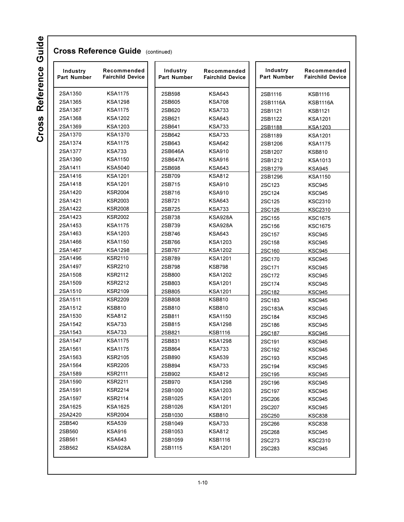| 2SA1350<br>2SA1365<br>2SA1367<br>2SA1368 | <b>KSA1175</b> |         |                | Part Number | <b>Fairchild Device</b> |
|------------------------------------------|----------------|---------|----------------|-------------|-------------------------|
|                                          |                | 2SB598  | <b>KSA643</b>  | 2SB1116     | <b>KSB1116</b>          |
|                                          | <b>KSA1298</b> | 2SB605  | <b>KSA708</b>  | 2SB1116A    | <b>KSB1116A</b>         |
|                                          | <b>KSA1175</b> | 2SB620  | <b>KSA733</b>  | 2SB1121     | <b>KSB1121</b>          |
|                                          | KSA1202        | 2SB621  | <b>KSA643</b>  | 2SB1122     | <b>KSA1201</b>          |
| 2SA1369                                  | KSA1203        | 2SB641  | <b>KSA733</b>  | 2SB1188     | <b>KSA1203</b>          |
| 2SA1370                                  | <b>KSA1370</b> | 2SB642  | <b>KSA733</b>  | 2SB1189     | <b>KSA1201</b>          |
| 2SA1374                                  | <b>KSA1175</b> | 2SB643  | <b>KSA642</b>  | 2SB1206     | <b>KSA1175</b>          |
| 2SA1377                                  | <b>KSA733</b>  | 2SB646A | <b>KSA910</b>  | 2SB1207     | <b>KSB810</b>           |
| 2SA1390                                  | <b>KSA1150</b> | 2SB647A | <b>KSA916</b>  | 2SB1212     | <b>KSA1013</b>          |
| 2SA1411                                  | <b>KSA5040</b> | 2SB698  | <b>KSA643</b>  | 2SB1279     | <b>KSA945</b>           |
| 2SA1416                                  | <b>KSA1201</b> | 2SB709  | <b>KSA812</b>  | 2SB1296     | <b>KSA1150</b>          |
| 2SA1418                                  | <b>KSA1201</b> | 2SB715  | <b>KSA910</b>  | 2SC123      | <b>KSC945</b>           |
| 2SA1420                                  | <b>KSR2004</b> | 2SB716  | <b>KSA910</b>  | 2SC124      | <b>KSC945</b>           |
| 2SA1421                                  | <b>KSR2003</b> | 2SB721  | <b>KSA643</b>  | 2SC125      | KSC2310                 |
| 2SA1422                                  | <b>KSR2008</b> | 2SB725  | <b>KSA733</b>  | 2SC126      | <b>KSC2310</b>          |
| 2SA1423                                  | <b>KSR2002</b> | 2SB738  | KSA928A        | 2SC155      | <b>KSC1675</b>          |
| 2SA1453                                  | <b>KSA1175</b> | 2SB739  | KSA928A        | 2SC156      | <b>KSC1675</b>          |
| 2SA1463                                  | KSA1203        | 2SB746  | <b>KSA643</b>  | 2SC157      | <b>KSC945</b>           |
| 2SA1466                                  | <b>KSA1150</b> | 2SB766  | <b>KSA1203</b> | 2SC158      | <b>KSC945</b>           |
| 2SA1467                                  | <b>KSA1298</b> | 2SB767  | <b>KSA1202</b> | 2SC160      | <b>KSC945</b>           |
| 2SA1496                                  | <b>KSR2110</b> | 2SB789  | <b>KSA1201</b> | 2SC170      | <b>KSC945</b>           |
| 2SA1497                                  | <b>KSR2210</b> | 2SB798  | <b>KSB798</b>  | 2SC171      | <b>KSC945</b>           |
| 2SA1508                                  | <b>KSR2112</b> | 2SB800  | <b>KSA1202</b> | 2SC172      | <b>KSC945</b>           |
| 2SA1509                                  | <b>KSR2212</b> | 2SB803  | <b>KSA1201</b> | 2SC174      | <b>KSC945</b>           |
| 2SA1510                                  | <b>KSR2109</b> | 2SB805  | <b>KSA1201</b> | 2SC182      | <b>KSC945</b>           |
| 2SA1511                                  | <b>KSR2209</b> | 2SB808  | <b>KSB810</b>  | 2SC183      | KSC945                  |
| 2SA1512                                  | <b>KSB810</b>  | 2SB810  | <b>KSB810</b>  | 2SC183A     | <b>KSC945</b>           |
| 2SA1530                                  | <b>KSA812</b>  | 2SB811  | <b>KSA1150</b> | 2SC184      | <b>KSC945</b>           |
| 2SA1542                                  | <b>KSA733</b>  | 2SB815  | <b>KSA1298</b> | 2SC186      | <b>KSC945</b>           |
| 2SA1543                                  | <b>KSA733</b>  | 2SB821  | <b>KSB1116</b> | 2SC187      | <b>KSC945</b>           |
| 2SA1547                                  | <b>KSA1175</b> | 2SB831  | <b>KSA1298</b> | 2SC191      | <b>KSC945</b>           |
| 2SA1561                                  | <b>KSA1175</b> | 2SB864  | <b>KSA733</b>  | 2SC192      | <b>KSC945</b>           |
| 2SA1563                                  | <b>KSR2105</b> | 2SB890  | <b>KSA539</b>  | 2SC193      | <b>KSC945</b>           |
| 2SA1564                                  | <b>KSR2205</b> | 2SB894  | <b>KSA733</b>  | 2SC194      | <b>KSC945</b>           |
| 2SA1589                                  | <b>KSR2111</b> | 2SB902  | <b>KSA812</b>  | 2SC195      | <b>KSC945</b>           |
| 2SA1590                                  | <b>KSR2211</b> | 2SB970  | <b>KSA1298</b> | 2SC196      | KSC945                  |
| 2SA1591                                  | <b>KSR2214</b> | 2SB1000 | KSA1203        | 2SC197      | KSC945                  |
| 2SA1597                                  | <b>KSR2114</b> | 2SB1025 | <b>KSA1201</b> | 2SC206      | KSC945                  |
| 2SA1625                                  | KSA1625        | 2SB1026 | <b>KSA1201</b> | 2SC207      | <b>KSC945</b>           |
| 2SA2420                                  | <b>KSR2004</b> | 2SB1030 | <b>KSB810</b>  | 2SC250      | <b>KSC838</b>           |
| 2SB540                                   | <b>KSA539</b>  | 2SB1049 | <b>KSA733</b>  | 2SC266      | <b>KSC838</b>           |
| 2SB560                                   | <b>KSA916</b>  | 2SB1053 | <b>KSA812</b>  | 2SC268      | <b>KSC945</b>           |
| 2SB561                                   | KSA643         | 2SB1059 | <b>KSB1116</b> | 2SC273      | <b>KSC2310</b>          |
| 2SB562                                   | <b>KSA928A</b> | 2SB1115 | <b>KSA1201</b> | 2SC283      | KSC945                  |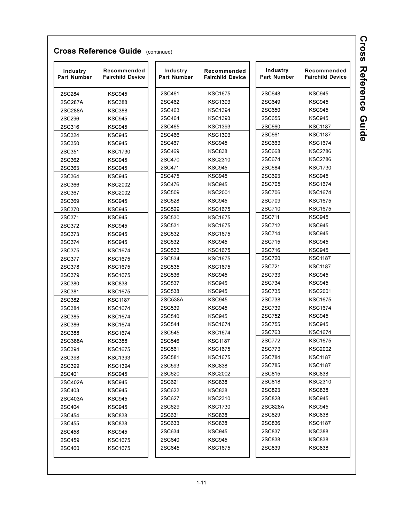| Industry<br><b>Part Number</b> | Recommended<br><b>Fairchild Device</b> | Industry<br><b>Part Number</b> | Recommended<br><b>Fairchild Device</b> | Industry<br>Part Number | Recommended<br><b>Fairchild Device</b> |
|--------------------------------|----------------------------------------|--------------------------------|----------------------------------------|-------------------------|----------------------------------------|
| 2SC284                         | <b>KSC945</b>                          | 2SC461                         | <b>KSC1675</b>                         | 2SC648                  | <b>KSC945</b>                          |
| 2SC287A                        | <b>KSC388</b>                          | 2SC462                         | <b>KSC1393</b>                         | 2SC649                  | <b>KSC945</b>                          |
| 2SC288A                        | <b>KSC388</b>                          | 2SC463                         | <b>KSC1394</b>                         | 2SC650                  | <b>KSC945</b>                          |
| 2SC296                         | <b>KSC945</b>                          | 2SC464                         | <b>KSC1393</b>                         | 2SC655                  | <b>KSC945</b>                          |
| 2SC316                         | <b>KSC945</b>                          | 2SC465                         | <b>KSC1393</b>                         | 2SC660                  | <b>KSC1187</b>                         |
| 2SC324                         | <b>KSC945</b>                          | 2SC466                         | <b>KSC1393</b>                         | 2SC661                  | <b>KSC1187</b>                         |
| 2SC350                         | <b>KSC945</b>                          | 2SC467                         | <b>KSC945</b>                          | 2SC663                  | <b>KSC1674</b>                         |
| 2SC351                         | <b>KSC1730</b>                         | 2SC469                         | <b>KSC838</b>                          | 2SC668                  | <b>KSC2786</b>                         |
| 2SC362                         | <b>KSC945</b>                          | 2SC470                         | <b>KSC2310</b>                         | 2SC674                  | <b>KSC2786</b>                         |
| 2SC363                         | <b>KSC945</b>                          | 2SC471                         | <b>KSC945</b>                          | 2SC684                  | <b>KSC1730</b>                         |
| 2SC364                         | <b>KSC945</b>                          | 2SC475                         | <b>KSC945</b>                          | 2SC693                  | <b>KSC945</b>                          |
| 2SC366                         | <b>KSC2002</b>                         | 2SC476                         | <b>KSC945</b>                          | 2SC705                  | <b>KSC1674</b>                         |
| 2SC367                         | <b>KSC2002</b>                         | 2SC509                         | <b>KSC2001</b>                         | 2SC706                  | <b>KSC1674</b>                         |
| 2SC369                         | <b>KSC945</b>                          | 2SC528                         | <b>KSC945</b>                          | 2SC709                  | <b>KSC1675</b>                         |
| 2SC370                         | <b>KSC945</b>                          | 2SC529                         | <b>KSC1675</b>                         | 2SC710                  | <b>KSC1675</b>                         |
| 2SC371                         | <b>KSC945</b>                          | 2SC530                         | <b>KSC1675</b>                         | 2SC711                  | <b>KSC945</b>                          |
| 2SC372                         | <b>KSC945</b>                          | 2SC531                         | <b>KSC1675</b>                         | 2SC712                  | <b>KSC945</b>                          |
| 2SC373                         | <b>KSC945</b>                          | 2SC532                         | <b>KSC1675</b>                         | 2SC714                  | <b>KSC945</b>                          |
| 2SC374                         | <b>KSC945</b>                          | 2SC532                         | <b>KSC945</b>                          | 2SC715                  | <b>KSC945</b>                          |
| 2SC375                         | <b>KSC1674</b>                         | 2SC533                         | <b>KSC1675</b>                         | 2SC716                  | <b>KSC945</b>                          |
| 2SC377                         | <b>KSC1675</b>                         | 2SC534                         | <b>KSC1675</b>                         | 2SC720                  | <b>KSC1187</b>                         |
| 2SC378                         | <b>KSC1675</b>                         | 2SC535                         | <b>KSC1675</b>                         | 2SC721                  | <b>KSC1187</b>                         |
| 2SC379                         | <b>KSC1675</b>                         | 2SC536                         | <b>KSC945</b>                          | 2SC733                  | <b>KSC945</b>                          |
| 2SC380                         | <b>KSC838</b>                          | 2SC537                         | <b>KSC945</b>                          | 2SC734                  | <b>KSC945</b>                          |
| 2SC381                         | <b>KSC1675</b>                         | 2SC538                         | <b>KSC945</b>                          | 2SC735                  | <b>KSC2001</b>                         |
| 2SC382                         | <b>KSC1187</b>                         | 2SC538A                        | <b>KSC945</b>                          | 2SC738                  | <b>KSC1675</b>                         |
| 2SC384                         | <b>KSC1674</b>                         | 2SC539                         | <b>KSC945</b>                          | 2SC739                  | <b>KSC1674</b>                         |
| 2SC385                         | <b>KSC1674</b>                         | 2SC540                         | <b>KSC945</b>                          | 2SC752                  | <b>KSC945</b>                          |
| 2SC386                         | <b>KSC1674</b>                         | 2SC544                         | <b>KSC1674</b>                         | 2SC755                  | <b>KSC945</b>                          |
| 2SC388                         | <b>KSC1674</b>                         | 2SC545                         | <b>KSC1674</b>                         | 2SC763                  | <b>KSC1674</b>                         |
| 2SC388A                        | <b>KSC388</b>                          | 2SC546                         | <b>KSC1187</b>                         | 2SC772                  | <b>KSC1675</b>                         |
| 2SC394                         | <b>KSC1675</b>                         | 2SC561                         | <b>KSC1675</b>                         | 2SC773                  | <b>KSC2002</b>                         |
| 2SC398                         | <b>KSC1393</b>                         | 2SC581                         | <b>KSC1675</b>                         | 2SC784                  | <b>KSC1187</b>                         |
| 2SC399                         | <b>KSC1394</b>                         | 2SC593                         | <b>KSC838</b>                          | 2SC785                  | <b>KSC1187</b>                         |
| 2SC401                         | KSC945                                 | 2SC620                         | <b>KSC2002</b>                         | 2SC815                  | <b>KSC838</b>                          |
| 2SC402A                        | KSC945                                 | 2SC621                         | <b>KSC838</b>                          | 2SC818                  | <b>KSC2310</b>                         |
| 2SC403                         | KSC945                                 | 2SC622                         | <b>KSC838</b>                          | 2SC823                  | <b>KSC838</b>                          |
| 2SC403A                        | <b>KSC945</b>                          | 2SC627                         | <b>KSC2310</b>                         | 2SC828                  | KSC945                                 |
| 2SC404                         | KSC945                                 | 2SC629                         | <b>KSC1730</b>                         | 2SC828A                 | KSC945                                 |
| 2SC454                         | KSC838                                 | 2SC631                         | <b>KSC838</b>                          | 2SC829                  | <b>KSC838</b>                          |
| 2SC455                         | KSC838                                 | 2SC633                         | <b>KSC838</b>                          | 2SC836                  | <b>KSC1187</b>                         |
| 2SC458                         | KSC945                                 | 2SC634                         | <b>KSC945</b>                          | 2SC837                  | KSC388                                 |
| 2SC459                         | KSC1675                                | 2SC640                         | KSC945                                 | 2SC838                  | <b>KSC838</b>                          |
| 2SC460                         | KSC1675                                | 2SC645                         | <b>KSC1675</b>                         | 2SC839                  | <b>KSC838</b>                          |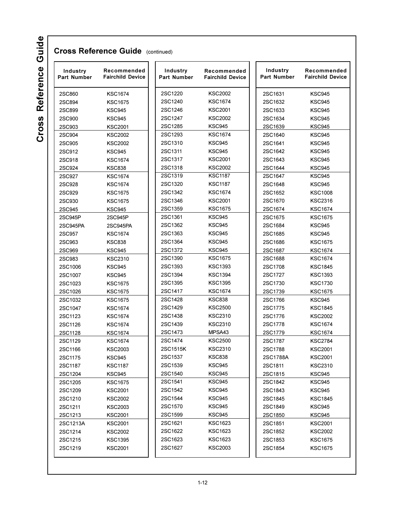| Industry<br><b>Part Number</b> | Recommended<br><b>Fairchild Device</b> | Industry<br><b>Part Number</b> | Recommended<br><b>Fairchild Device</b> | Industry<br>Part Number | Recommended<br><b>Fairchild Device</b> |
|--------------------------------|----------------------------------------|--------------------------------|----------------------------------------|-------------------------|----------------------------------------|
| 2SC860                         | <b>KSC1674</b>                         | 2SC1220                        | <b>KSC2002</b>                         | 2SC1631                 | <b>KSC945</b>                          |
| 2SC894                         | <b>KSC1675</b>                         | 2SC1240                        | <b>KSC1674</b>                         | 2SC1632                 | <b>KSC945</b>                          |
| 2SC899                         | <b>KSC945</b>                          | 2SC1246                        | <b>KSC2001</b>                         | 2SC1633                 | <b>KSC945</b>                          |
| 2SC900                         | <b>KSC945</b>                          | 2SC1247                        | <b>KSC2002</b>                         | 2SC1634                 | <b>KSC945</b>                          |
| 2SC903                         | <b>KSC2001</b>                         | 2SC1285                        | <b>KSC945</b>                          | 2SC1639                 | <b>KSC945</b>                          |
| 2SC904                         | <b>KSC2002</b>                         | 2SC1293                        | <b>KSC1674</b>                         | 2SC1640                 | <b>KSC945</b>                          |
| 2SC905                         | <b>KSC2002</b>                         | 2SC1310                        | <b>KSC945</b>                          | 2SC1641                 | <b>KSC945</b>                          |
| 2SC912                         | <b>KSC945</b>                          | 2SC1311                        | <b>KSC945</b>                          | 2SC1642                 | <b>KSC945</b>                          |
| 2SC918                         | <b>KSC1674</b>                         | 2SC1317                        | <b>KSC2001</b>                         | 2SC1643                 | <b>KSC945</b>                          |
| 2SC924                         | <b>KSC838</b>                          | 2SC1318                        | <b>KSC2002</b>                         | 2SC1644                 | <b>KSC945</b>                          |
| 2SC927                         | <b>KSC1674</b>                         | 2SC1319                        | <b>KSC1187</b>                         | 2SC1647                 | <b>KSC945</b>                          |
| 2SC928                         | <b>KSC1674</b>                         | 2SC1320                        | <b>KSC1187</b>                         | 2SC1648                 | <b>KSC945</b>                          |
| 2SC929                         | <b>KSC1675</b>                         | 2SC1342                        | <b>KSC1674</b>                         | 2SC1652                 | <b>KSC1008</b>                         |
| 2SC930                         | <b>KSC1675</b>                         | 2SC1346                        | <b>KSC2001</b>                         | 2SC1670                 | <b>KSC2316</b>                         |
| 2SC945                         | <b>KSC945</b>                          | 2SC1359                        | <b>KSC1675</b>                         | 2SC1674                 | <b>KSC1674</b>                         |
| 2SC945P                        | 2SC945P                                | 2SC1361                        | <b>KSC945</b>                          | 2SC1675                 | <b>KSC1675</b>                         |
| 2SC945PA                       | 2SC945PA                               | 2SC1362                        | KSC945                                 | 2SC1684                 | <b>KSC945</b>                          |
| 2SC957                         | <b>KSC1674</b>                         | 2SC1363                        | <b>KSC945</b>                          | 2SC1685                 | <b>KSC945</b>                          |
| 2SC963                         | <b>KSC838</b>                          | 2SC1364                        | <b>KSC945</b>                          | 2SC1686                 | <b>KSC1675</b>                         |
| 2SC969                         | <b>KSC945</b>                          | 2SC1372                        | <b>KSC945</b>                          | 2SC1687                 | <b>KSC1674</b>                         |
|                                |                                        | 2SC1390                        | <b>KSC1675</b>                         |                         | <b>KSC1674</b>                         |
| 2SC983                         | <b>KSC2310</b>                         | 2SC1393                        | <b>KSC1393</b>                         | 2SC1688<br>2SC1708      | <b>KSC1845</b>                         |
| 2SC1006                        | <b>KSC945</b>                          | 2SC1394                        | <b>KSC1394</b>                         |                         |                                        |
| 2SC1007                        | <b>KSC945</b>                          | 2SC1395                        | <b>KSC1395</b>                         | 2SC1727                 | <b>KSC1393</b>                         |
| 2SC1023                        | <b>KSC1675</b>                         | 2SC1417                        | <b>KSC1674</b>                         | 2SC1730<br>2SC1739      | <b>KSC1730</b><br><b>KSC1675</b>       |
| 2SC1026                        | <b>KSC1675</b>                         | 2SC1428                        | <b>KSC838</b>                          | 2SC1766                 | <b>KSC945</b>                          |
| 2SC1032                        | <b>KSC1675</b>                         | 2SC1429                        | <b>KSC2500</b>                         |                         |                                        |
| 2SC1047                        | <b>KSC1674</b>                         | 2SC1438                        | <b>KSC2310</b>                         | 2SC1775                 | <b>KSC1845</b>                         |
| 2SC1123                        | <b>KSC1674</b>                         | 2SC1439                        | <b>KSC2310</b>                         | 2SC1776                 | <b>KSC2002</b>                         |
| 2SC1126                        | <b>KSC1674</b>                         |                                |                                        | 2SC1778                 | <b>KSC1674</b>                         |
| 2SC1128                        | <b>KSC1674</b>                         | 2SC1473                        | MPSA43                                 | 2SC1779                 | <b>KSC1674</b>                         |
| 2SC1129                        | <b>KSC1674</b>                         | 2SC1474                        | <b>KSC2500</b>                         | 2SC1787                 | <b>KSC2784</b>                         |
| 2SC1166                        | <b>KSC2003</b>                         | 2SC1515K                       | <b>KSC2310</b>                         | 2SC1788                 | <b>KSC2001</b>                         |
| 2SC1175                        | KSC945                                 | 2SC1537                        | <b>KSC838</b>                          | 2SC1788A                | <b>KSC2001</b>                         |
| 2SC1187                        | <b>KSC1187</b>                         | 2SC1539                        | KSC945                                 | 2SC1811                 | <b>KSC2310</b>                         |
| 2SC1204                        | <b>KSC945</b>                          | 2SC1540                        | <b>KSC945</b>                          | 2SC1815                 | <b>KSC945</b>                          |
| 2SC1205                        | <b>KSC1675</b>                         | 2SC1541                        | <b>KSC945</b>                          | 2SC1842                 | <b>KSC945</b>                          |
| 2SC1209                        | <b>KSC2001</b>                         | 2SC1542                        | <b>KSC945</b>                          | 2SC1843                 | <b>KSC945</b>                          |
| 2SC1210                        | <b>KSC2002</b>                         | 2SC1544                        | <b>KSC945</b>                          | 2SC1845                 | <b>KSC1845</b>                         |
| 2SC1211                        | KSC2003                                | 2SC1570                        | <b>KSC945</b>                          | 2SC1849                 | <b>KSC945</b>                          |
| 2SC1213                        | <b>KSC2001</b>                         | 2SC1599                        | <b>KSC945</b>                          | 2SC1850                 | KSC945                                 |
| 2SC1213A                       | <b>KSC2001</b>                         | 2SC1621                        | <b>KSC1623</b>                         | 2SC1851                 | <b>KSC2001</b>                         |
| 2SC1214                        | <b>KSC2002</b>                         | 2SC1622                        | <b>KSC1623</b>                         | 2SC1852                 | <b>KSC2002</b>                         |
| 2SC1215                        | <b>KSC1395</b>                         | 2SC1623                        | KSC1623                                | 2SC1853                 | <b>KSC1675</b>                         |
| 2SC1219                        | <b>KSC2001</b>                         | 2SC1627                        | <b>KSC2003</b>                         | 2SC1854                 | <b>KSC1675</b>                         |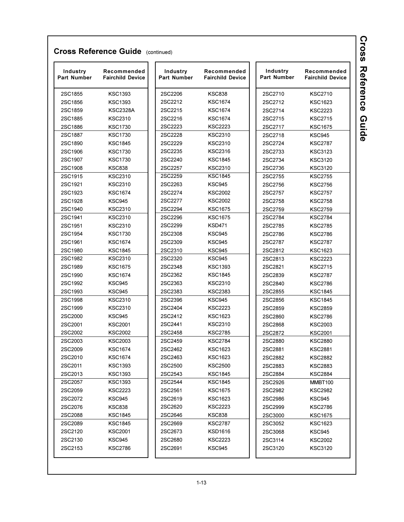| Industry<br>Part Number | Recommended<br><b>Fairchild Device</b> | Industry<br>Part Number | Recommended<br><b>Fairchild Device</b> | Industry<br>Part Number | Recommended<br><b>Fairchild Device</b> |
|-------------------------|----------------------------------------|-------------------------|----------------------------------------|-------------------------|----------------------------------------|
| 2SC1855                 | <b>KSC1393</b>                         | 2SC2206                 | <b>KSC838</b>                          | 2SC2710                 | <b>KSC2710</b>                         |
| 2SC1856                 | <b>KSC1393</b>                         | 2SC2212                 | KSC1674                                | 2SC2712                 | <b>KSC1623</b>                         |
| 2SC1859                 | <b>KSC2328A</b>                        | 2SC2215                 | <b>KSC1674</b>                         | 2SC2714                 | <b>KSC2223</b>                         |
| 2SC1885                 | <b>KSC2310</b>                         | 2SC2216                 | <b>KSC1674</b>                         | 2SC2715                 | <b>KSC2715</b>                         |
| 2SC1886                 | <b>KSC1730</b>                         | 2SC2223                 | KSC2223                                | 2SC2717                 | <b>KSC1675</b>                         |
| 2SC1887                 | <b>KSC1730</b>                         | 2SC2228                 | KSC2310                                | 2SC2718                 | <b>KSC945</b>                          |
| 2SC1890                 | <b>KSC1845</b>                         | 2SC2229                 | KSC2310                                | 2SC2724                 | <b>KSC2787</b>                         |
| 2SC1906                 | <b>KSC1730</b>                         | 2SC2235                 | KSC2316                                | 2SC2733                 | <b>KSC3123</b>                         |
| 2SC1907                 | <b>KSC1730</b>                         | 2SC2240                 | KSC1845                                | 2SC2734                 | <b>KSC3120</b>                         |
| 2SC1908                 | <b>KSC838</b>                          | 2SC2257                 | KSC2310                                | 2SC2736                 | <b>KSC3120</b>                         |
| 2SC1915                 | <b>KSC2310</b>                         | 2SC2259                 | <b>KSC1845</b>                         | 2SC2755                 | <b>KSC2755</b>                         |
| 2SC1921                 | <b>KSC2310</b>                         | 2SC2263                 | KSC945                                 | 2SC2756                 | <b>KSC2756</b>                         |
| 2SC1923                 | <b>KSC1674</b>                         | 2SC2274                 | KSC2002                                | 2SC2757                 | <b>KSC2757</b>                         |
| 2SC1928                 | <b>KSC945</b>                          | 2SC2277                 | KSC2002                                | 2SC2758                 | <b>KSC2758</b>                         |
| 2SC1940                 | <b>KSC2310</b>                         | 2SC2294                 | <b>KSC1675</b>                         | 2SC2759                 | <b>KSC2759</b>                         |
| 2SC1941                 | <b>KSC2310</b>                         | 2SC2296                 | <b>KSC1675</b>                         | 2SC2784                 | <b>KSC2784</b>                         |
| 2SC1951                 | <b>KSC2310</b>                         | 2SC2299                 | <b>KSD471</b>                          | 2SC2785                 | <b>KSC2785</b>                         |
| 2SC1954                 | <b>KSC1730</b>                         | 2SC2308                 | <b>KSC945</b>                          | 2SC2786                 | <b>KSC2786</b>                         |
| 2SC1961                 | <b>KSC1674</b>                         | 2SC2309                 | <b>KSC945</b>                          | 2SC2787                 | <b>KSC2787</b>                         |
| 2SC1980                 | <b>KSC1845</b>                         | 2SC2310                 | KSC945                                 | 2SC2812                 | <b>KSC1623</b>                         |
| 2SC1982                 | <b>KSC2310</b>                         | 2SC2320                 | KSC945                                 | 2SC2813                 | <b>KSC2223</b>                         |
| 2SC1989                 | <b>KSC1675</b>                         | 2SC2348                 | KSC1393                                | 2SC2821                 | <b>KSC2715</b>                         |
| 2SC1990                 | <b>KSC1674</b>                         | 2SC2362                 | KSC1845                                | 2SC2839                 | <b>KSC2787</b>                         |
| 2SC1992                 | <b>KSC945</b>                          | 2SC2363                 | KSC2310                                | 2SC2840                 | <b>KSC2786</b>                         |
| 2SC1993                 | <b>KSC945</b>                          | 2SC2383                 | KSC2383                                | 2SC2855                 | <b>KSC1845</b>                         |
| 2SC1998                 | <b>KSC2310</b>                         | 2SC2396                 | KSC945                                 | 2SC2856                 | <b>KSC1845</b>                         |
| 2SC1999                 | <b>KSC2310</b>                         | 2SC2404                 | KSC2223                                | 2SC2859                 | <b>KSC2859</b>                         |
| 2SC2000                 | <b>KSC945</b>                          | 2SC2412                 | KSC1623                                | 2SC2860                 | <b>KSC2786</b>                         |
| 2SC2001                 | <b>KSC2001</b>                         | 2SC2441                 | KSC2310                                | 2SC2868                 | <b>KSC2003</b>                         |
| 2SC2002                 | <b>KSC2002</b>                         | 2SC2458                 | KSC2785                                | 2SC2872                 | <b>KSC2001</b>                         |
| 2SC2003                 | <b>KSC2003</b>                         | 2SC2459                 | KSC2784                                | 2SC2880                 | <b>KSC2880</b>                         |
| 2SC2009                 | <b>KSC1674</b>                         | 2SC2462                 | KSC1623                                | 2SC2881                 | <b>KSC2881</b>                         |
| 2SC2010                 | <b>KSC1674</b>                         | 2SC2463                 | <b>KSC1623</b>                         | 2SC2882                 | <b>KSC2882</b>                         |
| 2SC2011                 | <b>KSC1393</b>                         | 2SC2500                 | <b>KSC2500</b>                         | 2SC2883                 | KSC2883                                |
| 2SC2013                 | <b>KSC1393</b>                         | 2SC2543                 | <b>KSC1845</b>                         | 2SC2884                 | <b>KSC2884</b>                         |
| 2SC2057                 | <b>KSC1393</b>                         | 2SC2544                 | KSC1845                                | 2SC2926                 | MMBT100                                |
| 2SC2059                 | <b>KSC2223</b>                         | 2SC2561                 | <b>KSC1675</b>                         | 2SC2982                 | <b>KSC2982</b>                         |
| 2SC2072                 | KSC945                                 | 2SC2619                 | KSC1623                                | 2SC2986                 | KSC945                                 |
| 2SC2076                 | <b>KSC838</b>                          | 2SC2620                 | KSC2223                                | 2SC2999                 | <b>KSC2786</b>                         |
| 2SC2088                 | <b>KSC1845</b>                         | 2SC2646                 | KSC838                                 | 2SC3000                 | <b>KSC1675</b>                         |
| 2SC2089                 | <b>KSC1845</b>                         | 2SC2669                 | <b>KSC2787</b>                         | 2SC3052                 | KSC1623                                |
| 2SC2120                 | <b>KSC2001</b>                         | 2SC2673                 | KSD1616                                | 2SC3068                 | KSC945                                 |
| 2SC2130                 | <b>KSC945</b>                          | 2SC2680                 | KSC2223                                | 2SC3114                 | <b>KSC2002</b>                         |
| 2SC2153                 | <b>KSC2786</b>                         | 2SC2691                 | KSC945                                 | 2SC3120                 | KSC3120                                |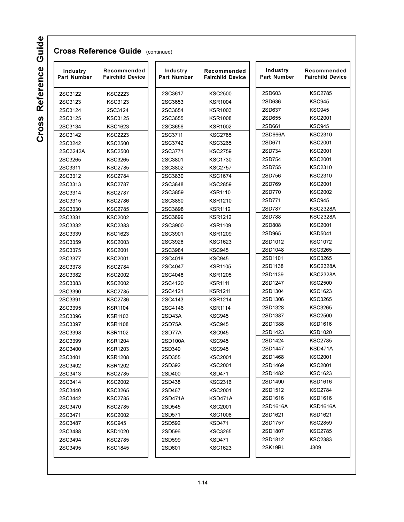| Industry<br><b>Part Number</b> | Recommended<br><b>Fairchild Device</b> | Industry<br><b>Part Number</b> | Recommended<br><b>Fairchild Device</b> | Industry<br><b>Part Number</b> | Recommended<br><b>Fairchild Device</b> |
|--------------------------------|----------------------------------------|--------------------------------|----------------------------------------|--------------------------------|----------------------------------------|
| 2SC3122                        | <b>KSC2223</b>                         | 2SC3617                        | <b>KSC2500</b>                         | 2SD603                         | <b>KSC2785</b>                         |
| 2SC3123                        | <b>KSC3123</b>                         | 2SC3653                        | <b>KSR1004</b>                         | 2SD636                         | <b>KSC945</b>                          |
| 2SC3124                        | 2SC3124                                | 2SC3654                        | <b>KSR1003</b>                         | 2SD637                         | <b>KSC945</b>                          |
| 2SC3125                        | <b>KSC3125</b>                         | 2SC3655                        | <b>KSR1008</b>                         | 2SD655                         | <b>KSC2001</b>                         |
| 2SC3134                        | <b>KSC1623</b>                         | 2SC3656                        | <b>KSR1002</b>                         | 2SD661                         | <b>KSC945</b>                          |
| 2SC3142                        | <b>KSC2223</b>                         | 2SC3711                        | <b>KSC2785</b>                         | 2SD666A                        | <b>KSC2310</b>                         |
| 2SC3242                        | <b>KSC2500</b>                         | 2SC3742                        | <b>KSC3265</b>                         | 2SD671                         | <b>KSC2001</b>                         |
| 2SC3242A                       | <b>KSC2500</b>                         | 2SC3771                        | <b>KSC2759</b>                         | 2SD734                         | <b>KSC2001</b>                         |
| 2SC3265                        | <b>KSC3265</b>                         | 2SC3801                        | <b>KSC1730</b>                         | 2SD754                         | <b>KSC2001</b>                         |
| 2SC3311                        | <b>KSC2785</b>                         | 2SC3802                        | <b>KSC2757</b>                         | 2SD755                         | <b>KSC2310</b>                         |
| 2SC3312                        | <b>KSC2784</b>                         | 2SC3830                        | <b>KSC1674</b>                         | 2SD756                         | <b>KSC2310</b>                         |
| 2SC3313                        | <b>KSC2787</b>                         | 2SC3848                        | <b>KSC2859</b>                         | 2SD769                         | <b>KSC2001</b>                         |
| 2SC3314                        | <b>KSC2787</b>                         | 2SC3859                        | <b>KSR1110</b>                         | 2SD770                         | <b>KSC2002</b>                         |
| 2SC3315                        | <b>KSC2786</b>                         | 2SC3860                        | <b>KSR1210</b>                         | 2SD771                         | <b>KSC945</b>                          |
| 2SC3330                        | <b>KSC2785</b>                         | 2SC3898                        | <b>KSR1112</b>                         | 2SD787                         | <b>KSC2328A</b>                        |
| 2SC3331                        | <b>KSC2002</b>                         | 2SC3899                        | <b>KSR1212</b>                         | 2SD788                         | <b>KSC2328A</b>                        |
| 2SC3332                        | <b>KSC2383</b>                         | 2SC3900                        | <b>KSR1109</b>                         | 2SD808                         | <b>KSC2001</b>                         |
| 2SC3339                        | <b>KSC1623</b>                         | 2SC3901                        | <b>KSR1209</b>                         | 2SD965                         | <b>KSD5041</b>                         |
| 2SC3359                        | <b>KSC2003</b>                         | 2SC3928                        | <b>KSC1623</b>                         | 2SD1012                        | <b>KSC1072</b>                         |
| 2SC3375                        | <b>KSC2001</b>                         | 2SC3984                        | <b>KSC945</b>                          | 2SD1048                        | <b>KSC3265</b>                         |
| 2SC3377                        | <b>KSC2001</b>                         | 2SC4018                        | <b>KSC945</b>                          | 2SD1101                        | <b>KSC3265</b>                         |
| 2SC3378                        | <b>KSC2784</b>                         | 2SC4047                        | <b>KSR1105</b>                         | 2SD1138                        | <b>KSC2328A</b>                        |
| 2SC3382                        | <b>KSC2002</b>                         | 2SC4048                        | <b>KSR1205</b>                         | 2SD1139                        | <b>KSC2328A</b>                        |
| 2SC3383                        | <b>KSC2002</b>                         | 2SC4120                        | <b>KSR1111</b>                         | 2SD1247                        | <b>KSC2500</b>                         |
| 2SC3390                        | <b>KSC2785</b>                         | 2SC4121                        | <b>KSR1211</b>                         | 2SD1304                        | <b>KSC1623</b>                         |
| 2SC3391                        | <b>KSC2786</b>                         | 2SC4143                        | <b>KSR1214</b>                         | 2SD1306                        | <b>KSC3265</b>                         |
| 2SC3395                        | <b>KSR1104</b>                         | 2SC4146                        | <b>KSR1114</b>                         | 2SD1328                        | <b>KSC3265</b>                         |
| 2SC3396                        | <b>KSR1103</b>                         | 2SD43A                         | <b>KSC945</b>                          | 2SD1387                        | <b>KSC2500</b>                         |
| 2SC3397                        | <b>KSR1108</b>                         | 2SD75A                         | <b>KSC945</b>                          | 2SD1388                        | <b>KSD1616</b>                         |
| 2SC3398                        | <b>KSR1102</b>                         | 2SD77A                         | <b>KSC945</b>                          | 2SD1423                        | <b>KSD1020</b>                         |
| 2SC3399                        | <b>KSR1204</b>                         | 2SD100A                        | <b>KSC945</b>                          | 2SD1424                        | <b>KSC2785</b>                         |
| 2SC3400                        | <b>KSR1203</b>                         | 2SD349                         | <b>KSC945</b>                          | 2SD1447                        | KSD471A                                |
| 2SC3401                        | <b>KSR1208</b>                         | 2SD355                         | <b>KSC2001</b>                         | 2SD1468                        | <b>KSC2001</b>                         |
| 2SC3402                        | <b>KSR1202</b>                         | 2SD392                         | <b>KSC2001</b>                         | 2SD1469                        | <b>KSC2001</b>                         |
| 2SC3413                        | <b>KSC2785</b>                         | 2SD400                         | <b>KSD471</b>                          | 2SD1482                        | <b>KSC1623</b>                         |
| 2SC3414                        | <b>KSC2002</b>                         | 2SD438                         | <b>KSC2316</b>                         | 2SD1490                        | <b>KSD1616</b>                         |
| 2SC3440                        | <b>KSC3265</b>                         | 2SD467                         | <b>KSC2001</b>                         | 2SD1512                        | KSC2784                                |
| 2SC3442                        | <b>KSC2785</b>                         | 2SD471A                        | KSD471A                                | 2SD1616                        | KSD1616                                |
| 2SC3470                        | <b>KSC2785</b>                         | 2SD545                         | <b>KSC2001</b>                         | 2SD1616A                       | <b>KSD1616A</b>                        |
| 2SC3471                        | <b>KSC2002</b>                         | 2SD571                         | <b>KSC1008</b>                         | 2SD1621                        | <b>KSD1621</b>                         |
| 2SC3487                        | <b>KSC945</b>                          | 2SD592                         | <b>KSD471</b>                          | 2SD1757                        | <b>KSC2859</b>                         |
| 2SC3488                        | <b>KSD1020</b>                         | 2SD596                         | KSC3265                                | 2SD1807                        | <b>KSC2785</b>                         |
| 2SC3494                        | <b>KSC2785</b>                         | 2SD599                         | <b>KSD471</b>                          | 2SD1812                        | KSC2383                                |
| 2SC3495                        | <b>KSC1845</b>                         | 2SD601                         | KSC1623                                | 2SK19BL                        | J309                                   |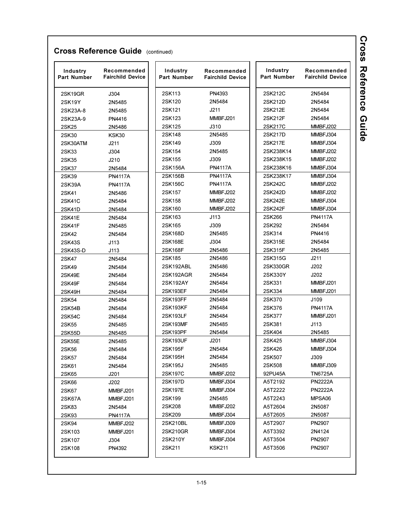| Industry<br><b>Part Number</b> | Recommended<br><b>Fairchild Device</b> | Industry<br><b>Part Number</b> | Recommended<br><b>Fairchild Device</b> | Industry<br>Part Number | Recommended<br><b>Fairchild Device</b> |
|--------------------------------|----------------------------------------|--------------------------------|----------------------------------------|-------------------------|----------------------------------------|
| 2SK19GR                        | J304                                   | 2SK113                         | PN4393                                 | 2SK212C                 | 2N5484                                 |
| 2SK19Y                         | 2N5485                                 | 2SK120                         | 2N5484                                 | 2SK212D                 | 2N5484                                 |
| 2SK23A-8                       | 2N5485                                 | 2SK121                         | J211                                   | 2SK212E                 | 2N5484                                 |
| 2SK23A-9                       | PN4416                                 | 2SK123                         | MMBFJ201                               | 2SK212F                 | 2N5484                                 |
| 2SK25                          | 2N5486                                 | 2SK125                         | J310                                   | 2SK217C                 | MMBFJ202                               |
| 2SK30                          | KSK30                                  | 2SK148                         | 2N5485                                 | 2SK217D                 | MMBFJ304                               |
| 2SK30ATM                       | J211                                   | 2SK149                         | J309                                   | 2SK217E                 | MMBFJ304                               |
| 2SK33                          | J304                                   | 2SK154                         | 2N5485                                 | 2SK238K14               | MMBFJ202                               |
| 2SK35                          | J210                                   | 2SK155                         | J309                                   | 2SK238K15               | MMBFJ202                               |
| 2SK37                          | 2N5484                                 | 2SK156A                        | <b>PN4117A</b>                         | 2SK238K16               | MMBFJ304                               |
| 2SK39                          | <b>PN4117A</b>                         | 2SK156B                        | <b>PN4117A</b>                         | 2SK238K17               | MMBFJ304                               |
| 2SK39A                         | <b>PN4117A</b>                         | 2SK156C                        | <b>PN4117A</b>                         | 2SK242C                 | MMBFJ202                               |
| 2SK41                          | 2N5486                                 | 2SK157                         | MMBFJ202                               | 2SK242D                 | MMBFJ202                               |
| <b>2SK41C</b>                  | 2N5484                                 | 2SK158                         | MMBFJ202                               | 2SK242E                 | MMBFJ304                               |
| 2SK41D                         | 2N5484                                 | 2SK160                         | MMBFJ202                               | 2SK242F                 | MMBFJ304                               |
| 2SK41E                         | 2N5484                                 | 2SK163                         | J113                                   | 2SK266                  | <b>PN4117A</b>                         |
| 2SK41F                         | 2N5485                                 | 2SK165                         | J309                                   | 2SK292                  | 2N5484                                 |
| 2SK42                          | 2N5484                                 | 2SK168D                        | 2N5485                                 | 2SK314                  | PN4416                                 |
| 2SK43S                         | J113                                   | 2SK168E                        | J304                                   | 2SK315E                 | 2N5484                                 |
| 2SK43S-D                       | J113                                   | 2SK168F                        | 2N5486                                 | 2SK315F                 | 2N5485                                 |
| 2SK47                          | 2N5484                                 | 2SK185                         | 2N5486                                 | 2SK315G                 | J211                                   |
| 2SK49                          | 2N5484                                 | 2SK192ABL                      | 2N5486                                 | 2SK330GR                | J202                                   |
| 2SK49E                         | 2N5484                                 | 2SK192AGR                      | 2N5484                                 | 2SK330Y                 | J202                                   |
| 2SK49F                         | 2N5484                                 | 2SK192AY                       | 2N5484                                 | 2SK331                  | MMBFJ201                               |
| 2SK49H                         | 2N5484                                 | 2SK193EF                       | 2N5484                                 | 2SK334                  | MMBFJ201                               |
| 2SK54                          | 2N5484                                 | 2SK193FF                       | 2N5484                                 | 2SK370                  | J109                                   |
| 2SK54B                         | 2N5484                                 | 2SK193KF                       | 2N5484                                 | 2SK376                  | <b>PN4117A</b>                         |
| 2SK54C                         | 2N5484                                 | 2SK193LF                       | 2N5484                                 | 2SK377                  | MMBFJ201                               |
| 2SK55                          | 2N5485                                 | 2SK193MF                       | 2N5485                                 | 2SK381                  | J113                                   |
| 2SK55D                         | 2N5485                                 | 2SK193PF                       | 2N5484                                 | 2SK404                  | 2N5485                                 |
| 2SK55E                         | 2N5485                                 | 2SK193UF                       | J201                                   | 2SK425                  | MMBFJ304                               |
| 2SK56                          | 2N5484                                 | 2SK195F                        | 2N5484                                 | 2SK426                  | MMBFJ304                               |
| 2SK57                          | 2N5484                                 | 2SK195H                        | 2N5484                                 | 2SK507                  | J309                                   |
| 2SK61                          | 2N5484                                 | 2SK195J                        | 2N5485                                 | 2SK508                  | MMBFJ309                               |
| 2SK65                          | J201                                   | 2SK197C                        | MMBFJ202                               | 92PU45A                 | <b>TN6725A</b>                         |
| 2SK66                          | J202                                   | 2SK197D                        | MMBFJ304                               | A5T2192                 | <b>PN2222A</b>                         |
| 2SK67                          | MMBFJ201                               | 2SK197E                        | MMBFJ304                               | A5T2222                 | <b>PN2222A</b>                         |
| 2SK67A                         | MMBFJ201                               | 2SK199                         | 2N5485                                 | A5T2243                 | MPSA06                                 |
| 2SK83                          | 2N5484                                 | 2SK208                         | MMBFJ202                               | A5T2604                 | 2N5087                                 |
| 2SK93                          | <b>PN4117A</b>                         | 2SK209                         | MMBFJ304                               | A5T2605                 | 2N5087                                 |
| 2SK94                          | MMBFJ202                               | 2SK210BL                       | MMBFJ309                               | A5T2907                 | PN2907                                 |
| 2SK103                         | MMBFJ201                               | 2SK210GR                       | MMBFJ304                               | A5T3392                 | 2N4124                                 |
| 2SK107                         | J304                                   | 2SK210Y                        | MMBFJ304                               | A5T3504                 | PN2907                                 |
| 2SK108                         | PN4392                                 | 2SK211                         | <b>KSK211</b>                          | A5T3506                 | PN2907                                 |
|                                |                                        |                                |                                        |                         |                                        |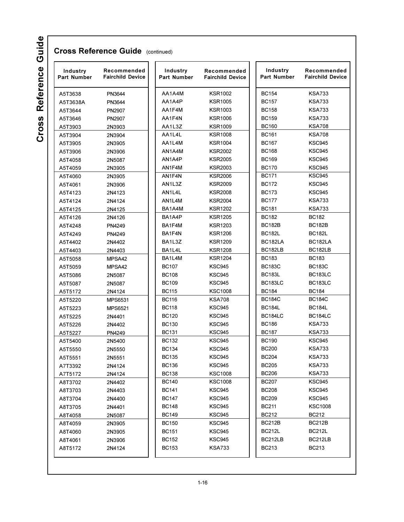| Industry<br><b>Part Number</b> | Recommended<br><b>Fairchild Device</b> | Industry<br><b>Part Number</b> | Recommended<br><b>Fairchild Device</b> | Industry<br>Part Number | Recommended<br><b>Fairchild Device</b> |
|--------------------------------|----------------------------------------|--------------------------------|----------------------------------------|-------------------------|----------------------------------------|
| A5T3638                        | PN3644                                 | AA1A4M                         | <b>KSR1002</b>                         | <b>BC154</b>            | <b>KSA733</b>                          |
| A5T3638A                       | PN3644                                 | AA1A4P                         | <b>KSR1005</b>                         | <b>BC157</b>            | <b>KSA733</b>                          |
| A5T3644                        | PN2907                                 | AA1F4M                         | <b>KSR1003</b>                         | <b>BC158</b>            | <b>KSA733</b>                          |
| A5T3646                        | PN2907                                 | AA1F4N                         | <b>KSR1006</b>                         | <b>BC159</b>            | <b>KSA733</b>                          |
| A5T3903                        | 2N3903                                 | AA1L3Z                         | <b>KSR1009</b>                         | <b>BC160</b>            | <b>KSA708</b>                          |
| A5T3904                        | 2N3904                                 | AA1L4L                         | <b>KSR1008</b>                         | <b>BC161</b>            | <b>KSA708</b>                          |
| A5T3905                        | 2N3905                                 | AA1L4M                         | <b>KSR1004</b>                         | <b>BC167</b>            | <b>KSC945</b>                          |
| A5T3906                        | 2N3906                                 | AN1A4M                         | <b>KSR2002</b>                         | <b>BC168</b>            | <b>KSC945</b>                          |
| A5T4058                        | 2N5087                                 | AN1A4P                         | <b>KSR2005</b>                         | <b>BC169</b>            | <b>KSC945</b>                          |
| A5T4059                        | 2N3905                                 | AN1F4M                         | <b>KSR2003</b>                         | <b>BC170</b>            | <b>KSC945</b>                          |
| A5T4060                        | 2N3905                                 | AN1F4N                         | <b>KSR2006</b>                         | <b>BC171</b>            | <b>KSC945</b>                          |
| A5T4061                        | 2N3906                                 | AN1L3Z                         | KSR2009                                | <b>BC172</b>            | <b>KSC945</b>                          |
| A5T4123                        | 2N4123                                 | AN1L4L                         | KSR2008                                | <b>BC173</b>            | <b>KSC945</b>                          |
| A5T4124                        | 2N4124                                 | AN1L4M                         | <b>KSR2004</b>                         | <b>BC177</b>            | <b>KSA733</b>                          |
| A5T4125                        | 2N4125                                 | BA1A4M                         | <b>KSR1202</b>                         | <b>BC181</b>            | <b>KSA733</b>                          |
| A5T4126                        | 2N4126                                 | BA1A4P                         | <b>KSR1205</b>                         | <b>BC182</b>            | <b>BC182</b>                           |
| A5T4248                        | PN4249                                 | BA1F4M                         | <b>KSR1203</b>                         | <b>BC182B</b>           | <b>BC182B</b>                          |
| A5T4249                        | PN4249                                 | BA1F4N                         | <b>KSR1206</b>                         | <b>BC182L</b>           | <b>BC182L</b>                          |
| A5T4402                        | 2N4402                                 | BA1L3Z                         | <b>KSR1209</b>                         | BC182LA                 | BC182LA                                |
| A5T4403                        | 2N4403                                 | BA1L4L                         | <b>KSR1208</b>                         | BC182LB                 | BC182LB                                |
| A5T5058                        | MPSA42                                 | BA1L4M                         | <b>KSR1204</b>                         | <b>BC183</b>            | <b>BC183</b>                           |
| A5T5059                        | MPSA42                                 | <b>BC107</b>                   | <b>KSC945</b>                          | <b>BC183C</b>           | <b>BC183C</b>                          |
| A5T5086                        | 2N5087                                 | <b>BC108</b>                   | <b>KSC945</b>                          | <b>BC183L</b>           | <b>BC183LC</b>                         |
| A5T5087                        | 2N5087                                 | <b>BC109</b>                   | <b>KSC945</b>                          | BC183LC                 | <b>BC183LC</b>                         |
| A5T5172                        | 2N4124                                 | <b>BC115</b>                   | <b>KSC1008</b>                         | <b>BC184</b>            | <b>BC184</b>                           |
| A5T5220                        | <b>MPS6531</b>                         | <b>BC116</b>                   | <b>KSA708</b>                          | <b>BC184C</b>           | <b>BC184C</b>                          |
| A5T5223                        | MPS6521                                | <b>BC118</b>                   | <b>KSC945</b>                          | <b>BC184L</b>           | <b>BC184L</b>                          |
| A5T5225                        | 2N4401                                 | <b>BC120</b>                   | <b>KSC945</b>                          | BC184LC                 | BC184LC                                |
| A5T5226                        | 2N4402                                 | <b>BC130</b>                   | <b>KSC945</b>                          | <b>BC186</b>            | <b>KSA733</b>                          |
| A5T5227                        | PN4249                                 | <b>BC131</b>                   | <b>KSC945</b>                          | <b>BC187</b>            | <b>KSA733</b>                          |
| A5T5400                        | 2N5400                                 | <b>BC132</b>                   | <b>KSC945</b>                          | <b>BC190</b>            | <b>KSC945</b>                          |
| A5T5550                        | 2N5550                                 | <b>BC134</b>                   | KSC945                                 | <b>BC200</b>            | <b>KSA733</b>                          |
| A5T5551                        | 2N5551                                 | <b>BC135</b>                   | <b>KSC945</b>                          | <b>BC204</b>            | <b>KSA733</b>                          |
| A7T3392                        | 2N4124                                 | <b>BC136</b>                   | KSC945                                 | BC205                   | <b>KSA733</b>                          |
| A7T5172                        | 2N4124                                 | <b>BC138</b>                   | KSC1008                                | <b>BC206</b>            | <b>KSA733</b>                          |
| A8T3702                        | 2N4402                                 | BC140                          | <b>KSC1008</b>                         | BC207                   | KSC945                                 |
| A8T3703                        | 2N4403                                 | BC141                          | KSC945                                 | BC208                   | KSC945                                 |
| A8T3704                        | 2N4400                                 | <b>BC147</b>                   | <b>KSC945</b>                          | BC209                   | KSC945                                 |
| A8T3705                        | 2N4401                                 | <b>BC148</b>                   | <b>KSC945</b>                          | BC211                   | KSC1008                                |
| A8T4058                        | 2N5087                                 | <b>BC149</b>                   | <b>KSC945</b>                          | <b>BC212</b>            | <b>BC212</b>                           |
| A8T4059                        | 2N3905                                 | <b>BC150</b>                   | KSC945                                 | BC212B                  | <b>BC212B</b>                          |
| A8T4060                        | 2N3905                                 | BC151                          | KSC945                                 | BC212L                  | <b>BC212L</b>                          |
| A8T4061                        | 2N3906                                 | BC152                          | KSC945                                 | BC212LB                 | BC212LB                                |
| A8T5172                        | 2N4124                                 | BC153                          | KSA733                                 | <b>BC213</b>            | <b>BC213</b>                           |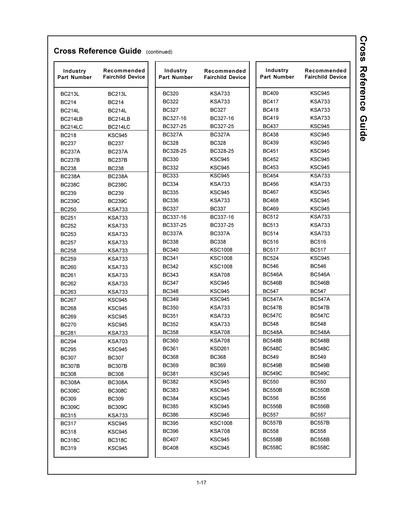| Industry<br><b>Part Number</b> | Recommended<br><b>Fairchild Device</b> | Industry<br><b>Part Number</b> | Recommended<br><b>Fairchild Device</b> | Industry<br>Part Number | Recommended<br><b>Fairchild Device</b> |
|--------------------------------|----------------------------------------|--------------------------------|----------------------------------------|-------------------------|----------------------------------------|
| <b>BC213L</b>                  | <b>BC213L</b>                          | <b>BC320</b>                   | <b>KSA733</b>                          | <b>BC409</b>            | <b>KSC945</b>                          |
| <b>BC214</b>                   | <b>BC214</b>                           | <b>BC322</b>                   | <b>KSA733</b>                          | <b>BC417</b>            | KSA733                                 |
| <b>BC214L</b>                  | <b>BC214L</b>                          | <b>BC327</b>                   | <b>BC327</b>                           | <b>BC418</b>            | KSA733                                 |
| BC214LB                        | BC214LB                                | BC327-16                       | BC327-16                               | <b>BC419</b>            | KSA733                                 |
| BC214LC                        | BC214LC                                | BC327-25                       | BC327-25                               | <b>BC437</b>            | KSC945                                 |
| <b>BC218</b>                   | <b>KSC945</b>                          | <b>BC327A</b>                  | <b>BC327A</b>                          | <b>BC438</b>            | <b>KSC945</b>                          |
| <b>BC237</b>                   | <b>BC237</b>                           | <b>BC328</b>                   | <b>BC328</b>                           | <b>BC439</b>            | <b>KSC945</b>                          |
| <b>BC237A</b>                  | <b>BC237A</b>                          | BC328-25                       | BC328-25                               | <b>BC451</b>            | <b>KSC945</b>                          |
| <b>BC237B</b>                  | <b>BC237B</b>                          | <b>BC330</b>                   | <b>KSC945</b>                          | <b>BC452</b>            | <b>KSC945</b>                          |
| <b>BC238</b>                   | <b>BC238</b>                           | <b>BC332</b>                   | <b>KSC945</b>                          | <b>BC453</b>            | <b>KSC945</b>                          |
| <b>BC238A</b>                  | <b>BC238A</b>                          | <b>BC333</b>                   | <b>KSC945</b>                          | <b>BC454</b>            | <b>KSA733</b>                          |
| <b>BC238C</b>                  | <b>BC238C</b>                          | <b>BC334</b>                   | <b>KSA733</b>                          | <b>BC456</b>            | KSA733                                 |
| <b>BC239</b>                   | <b>BC239</b>                           | <b>BC335</b>                   | <b>KSC945</b>                          | <b>BC467</b>            | KSC945                                 |
| <b>BC239C</b>                  | <b>BC239C</b>                          | <b>BC336</b>                   | <b>KSA733</b>                          | <b>BC468</b>            | KSC945                                 |
| <b>BC250</b>                   | <b>KSA733</b>                          | <b>BC337</b>                   | <b>BC337</b>                           | <b>BC469</b>            | <b>KSC945</b>                          |
| <b>BC251</b>                   | <b>KSA733</b>                          | BC337-16                       | BC337-16                               | <b>BC512</b>            | <b>KSA733</b>                          |
| <b>BC252</b>                   | <b>KSA733</b>                          | BC337-25                       | BC337-25                               | <b>BC513</b>            | <b>KSA733</b>                          |
| <b>BC253</b>                   | KSA733                                 | <b>BC337A</b>                  | <b>BC337A</b>                          | <b>BC514</b>            | KSA733                                 |
| <b>BC257</b>                   | KSA733                                 | <b>BC338</b>                   | <b>BC338</b>                           | <b>BC516</b>            | <b>BC516</b>                           |
| <b>BC258</b>                   | <b>KSA733</b>                          | <b>BC340</b>                   | <b>KSC1008</b>                         | <b>BC517</b>            | <b>BC517</b>                           |
| <b>BC259</b>                   | <b>KSA733</b>                          | <b>BC341</b>                   | <b>KSC1008</b>                         | <b>BC524</b>            | <b>KSC945</b>                          |
| <b>BC260</b>                   | KSA733                                 | <b>BC342</b>                   | <b>KSC1008</b>                         | <b>BC546</b>            | <b>BC546</b>                           |
| <b>BC261</b>                   | KSA733                                 | <b>BC343</b>                   | <b>KSA708</b>                          | <b>BC546A</b>           | <b>BC546A</b>                          |
| <b>BC262</b>                   | KSA733                                 | <b>BC347</b>                   | <b>KSC945</b>                          | <b>BC546B</b>           | <b>BC546B</b>                          |
| <b>BC263</b>                   | KSA733                                 | <b>BC348</b>                   | KSC945                                 | <b>BC547</b>            | <b>BC547</b>                           |
| <b>BC267</b>                   | <b>KSC945</b>                          | <b>BC349</b>                   | <b>KSC945</b>                          | <b>BC547A</b>           | <b>BC547A</b>                          |
| <b>BC268</b>                   | KSC945                                 | <b>BC350</b>                   | <b>KSA733</b>                          | <b>BC547B</b>           | <b>BC547B</b>                          |
| <b>BC269</b>                   | <b>KSC945</b>                          | <b>BC351</b>                   | KSA733                                 | <b>BC547C</b>           | <b>BC547C</b>                          |
| <b>BC270</b>                   | <b>KSC945</b>                          | <b>BC352</b>                   | KSA733                                 | <b>BC548</b>            | <b>BC548</b>                           |
| <b>BC281</b>                   | KSA733                                 | <b>BC358</b>                   | KSA708                                 | <b>BC548A</b>           | <b>BC548A</b>                          |
| <b>BC294</b>                   | KSA703                                 | <b>BC360</b>                   | KSA708                                 | <b>BC548B</b>           | <b>BC548B</b>                          |
| <b>BC295</b>                   | <b>KSC945</b>                          | <b>BC361</b>                   | <b>KSD261</b>                          | <b>BC548C</b>           | <b>BC548C</b>                          |
| <b>BC307</b>                   | <b>BC307</b>                           | <b>BC368</b>                   | <b>BC368</b>                           | <b>BC549</b>            | BC549                                  |
| <b>BC307B</b>                  | <b>BC307B</b>                          | <b>BC369</b>                   | <b>BC369</b>                           | <b>BC549B</b>           | BC549B                                 |
| <b>BC308</b>                   | <b>BC308</b>                           | <b>BC381</b>                   | <b>KSC945</b>                          | <b>BC549C</b>           | <b>BC549C</b>                          |
| <b>BC308A</b>                  | <b>BC308A</b>                          | BC382                          | <b>KSC945</b>                          | <b>BC550</b>            | <b>BC550</b>                           |
| <b>BC308C</b>                  | <b>BC308C</b>                          | BC383                          | KSC945                                 | <b>BC550B</b>           | BC550B                                 |
| <b>BC309</b>                   | <b>BC309</b>                           | BC384                          | <b>KSC945</b>                          | <b>BC556</b>            | BC556                                  |
| <b>BC309C</b>                  | <b>BC309C</b>                          | <b>BC385</b>                   | <b>KSC945</b>                          | <b>BC556B</b>           | BC556B                                 |
| <b>BC315</b>                   | <b>KSA733</b>                          | <b>BC386</b>                   | KSC945                                 | <b>BC557</b>            | <b>BC557</b>                           |
| <b>BC317</b>                   | KSC945                                 | BC395                          | KSC1008                                | <b>BC557B</b>           | BC557B                                 |
| <b>BC318</b>                   | KSC945                                 | <b>BC396</b>                   | <b>KSA708</b>                          | <b>BC558</b>            | BC558                                  |
| <b>BC318C</b>                  | BC318C                                 | BC407                          | KSC945                                 | <b>BC558B</b>           | BC558B                                 |
| <b>BC319</b>                   | <b>KSC945</b>                          | <b>BC408</b>                   | KSC945                                 | <b>BC558C</b>           | <b>BC558C</b>                          |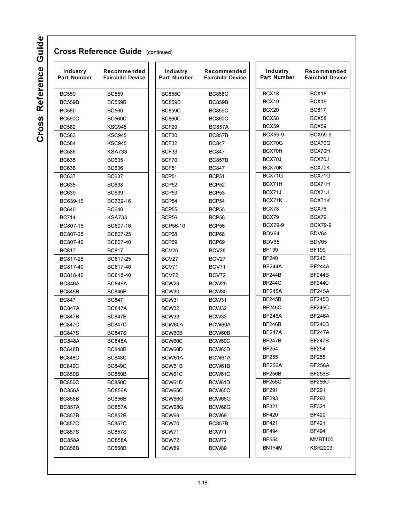Cross Reference Guide

| Industry<br><b>Part Number</b> | Recommended<br><b>Fairchild Device</b> | Industry<br><b>Part Number</b> | Recommended<br><b>Fairchild Device</b> | Industry<br>Part Number | Recommended<br><b>Fairchild Device</b> |
|--------------------------------|----------------------------------------|--------------------------------|----------------------------------------|-------------------------|----------------------------------------|
| <b>BC559</b>                   | <b>BC559</b>                           | <b>BC858C</b>                  | <b>BC858C</b>                          | BCX18                   | BCX18                                  |
| <b>BC559B</b>                  | <b>BC559B</b>                          | <b>BC859B</b>                  | <b>BC859B</b>                          | <b>BCX19</b>            | BCX19                                  |
| <b>BC560</b>                   | <b>BC560</b>                           | <b>BC859C</b>                  | <b>BC859C</b>                          | BCX20                   | <b>BC817</b>                           |
| <b>BC560C</b>                  | <b>BC560C</b>                          | <b>BC860C</b>                  | <b>BC860C</b>                          | BCX58                   | BCX58                                  |
| <b>BC582</b>                   | <b>KSC945</b>                          | BCF29                          | <b>BC857A</b>                          | BCX59                   | <b>BCX59</b>                           |
| <b>BC583</b>                   | <b>KSC945</b>                          | BCF30                          | <b>BC857B</b>                          | <b>BCX59-9</b>          | <b>BCX59-9</b>                         |
| <b>BC584</b>                   | <b>KSC945</b>                          | BCF32                          | <b>BC847</b>                           | BCX70G                  | BCX70G                                 |
| <b>BC586</b>                   | <b>KSA733</b>                          | BCF33                          | <b>BC847</b>                           | BCX70H                  | BCX70H                                 |
| <b>BC635</b>                   | <b>BC635</b>                           | BCF70                          | <b>BC857B</b>                          | BCX70J                  | BCX70J                                 |
| <b>BC636</b>                   | <b>BC636</b>                           | BCF81                          | <b>BC847</b>                           | BCX70K                  | BCX70K                                 |
| <b>BC637</b>                   | <b>BC637</b>                           | BCP <sub>51</sub>              | BCP <sub>51</sub>                      | BCX71G                  | BCX71G                                 |
| <b>BC638</b>                   | <b>BC638</b>                           | <b>BCP52</b>                   | <b>BCP52</b>                           | BCX71H                  | BCX71H                                 |
| <b>BC639</b>                   | <b>BC639</b>                           | BCP <sub>53</sub>              | BCP <sub>53</sub>                      | BCX71J                  | BCX71J                                 |
| BC639-16                       | BC639-16                               | BCP <sub>54</sub>              | BCP <sub>54</sub>                      | BCX71K                  | BCX71K                                 |
| <b>BC640</b>                   | <b>BC640</b>                           | <b>BCP55</b>                   | <b>BCP55</b>                           | BCX78                   | BCX78                                  |
| <b>BC714</b>                   | <b>KSA733</b>                          | BCP <sub>56</sub>              | BCP <sub>56</sub>                      | BCX79                   | BCX79                                  |
| BC807-16                       | BC807-16                               | <b>BCP56-10</b>                | BCP <sub>56</sub>                      | <b>BCX79-9</b>          | <b>BCX79-9</b>                         |
| BC807-25                       | BC807-25                               | BCP68                          | BCP68                                  | BDV64                   | BDV64                                  |
| BC807-40                       | BC807-40                               | BCP69                          | BCP69                                  | BDV65                   | BDV65                                  |
| <b>BC817</b>                   | <b>BC817</b>                           | BCV26                          | BCV26                                  | <b>BF199</b>            | <b>BF199</b>                           |
| BC817-25                       | BC817-25                               | BCV <sub>27</sub>              | BCV27                                  | <b>BF240</b>            | <b>BF240</b>                           |
| BC817-40                       | BC817-40                               | BCV71                          | BCV71                                  | <b>BF244A</b>           | <b>BF244A</b>                          |
| BC818-40                       | BC818-40                               | BCV72                          | BCV72                                  | <b>BF244B</b>           | <b>BF244B</b>                          |
| <b>BC846A</b>                  | <b>BC846A</b>                          | BCW <sub>29</sub>              | BCW <sub>29</sub>                      | <b>BF244C</b>           | <b>BF244C</b>                          |
| <b>BC846B</b>                  | <b>BC846B</b>                          | BCW30                          | BCW30                                  | <b>BF245A</b>           | <b>BF245A</b>                          |
| <b>BC847</b>                   | <b>BC847</b>                           | BCW31                          | BCW31                                  | <b>BF245B</b>           | <b>BF245B</b>                          |
| <b>BC847A</b>                  | <b>BC847A</b>                          | BCW32                          | BCW32                                  | <b>BF245C</b>           | <b>BF245C</b>                          |
| <b>BC847B</b>                  | <b>BC847B</b>                          | BCW33                          | BCW33                                  | <b>BF246A</b>           | <b>BF246A</b>                          |
| <b>BC847C</b>                  | <b>BC847C</b>                          | BCW60A                         | BCW60A                                 | <b>BF246B</b>           | <b>BF246B</b>                          |
| <b>BC847S</b>                  | <b>BC847S</b>                          | BCW60B                         | BCW60B                                 | <b>BF247A</b>           | <b>BF247A</b>                          |
| <b>BC848A</b>                  | <b>BC848A</b>                          | BCW60C                         | BCW60C                                 | <b>BF247B</b>           | <b>BF247B</b>                          |
| <b>BC848B</b>                  | BC848B                                 | BCW60D                         | BCW60D                                 | <b>BF254</b>            | <b>BF254</b>                           |
| <b>BC848C</b>                  | <b>BC848C</b>                          | BCW61A                         | BCW61A                                 | <b>BF255</b>            | <b>BF255</b>                           |
| <b>BC849C</b>                  | <b>BC849C</b>                          | BCW61B                         | BCW61B                                 | <b>BF256A</b>           | <b>BF256A</b>                          |
| <b>BC850B</b>                  | <b>BC850B</b>                          | BCW61C                         | BCW61C                                 | <b>BF256B</b>           | <b>BF256B</b>                          |
| <b>BC850C</b>                  | <b>BC850C</b>                          | BCW61D                         | BCW61D                                 | <b>BF256C</b>           | <b>BF256C</b>                          |
|                                | <b>BC856A</b>                          |                                | BCW65C                                 | <b>BF291</b>            | <b>BF291</b>                           |
| <b>BC856A</b><br>BC856B        | <b>BC856B</b>                          | BCW65C<br>BCW66G               | BCW66G                                 | BF293                   | <b>BF293</b>                           |
|                                |                                        | BCW68G                         |                                        | <b>BF321</b>            | BF321                                  |
| <b>BC857A</b>                  | <b>BC857A</b><br>BC857B                |                                | BCW68G                                 | <b>BF420</b>            | <b>BF420</b>                           |
| <b>BC857B</b>                  |                                        | BCW69                          | BCW69                                  | BF421                   | <b>BF421</b>                           |
| <b>BC857C</b>                  | <b>BC857C</b>                          | BCW70                          | <b>BC857B</b>                          |                         |                                        |
| <b>BC857S</b>                  | <b>BC857S</b>                          | BCW71                          | BCW71                                  | BF494                   | <b>BF494</b>                           |
| <b>BC858A</b><br><b>BC858B</b> | <b>BC858A</b><br><b>BC858B</b>         | BCW72<br>BCW89                 | BCW72<br>BCW89                         | BF554<br>BN1F4M         | MMBT100<br><b>KSR2203</b>              |

 $1 - 18$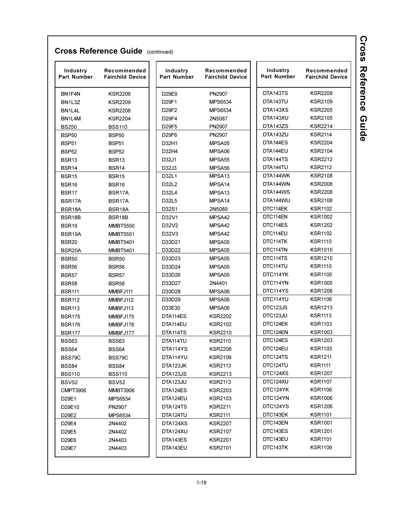| Industry<br><b>Part Number</b> | Recommended<br><b>Fairchild Device</b> | Industry<br><b>Part Number</b> | Recommended<br><b>Fairchild Device</b> | Industry<br><b>Part Number</b> | Recommended<br><b>Fairchild Device</b> |
|--------------------------------|----------------------------------------|--------------------------------|----------------------------------------|--------------------------------|----------------------------------------|
| BN1F4N                         | <b>KSR2206</b>                         | D29E9                          | <b>PN2907</b>                          | DTA143TS                       | <b>KSR2209</b>                         |
| BN <sub>1L3Z</sub>             | <b>KSR2209</b>                         | D29F1                          | <b>MPS6534</b>                         | DTA143TU                       | <b>KSR2109</b>                         |
| BN1L4L                         | <b>KSR2208</b>                         | D29F2                          | <b>MPS6534</b>                         | DTA143XS                       | <b>KSR2205</b>                         |
| BN1L4M                         | <b>KSR2204</b>                         | D29F4                          | 2N5087                                 | DTA143XU                       | <b>KSR2105</b>                         |
| <b>BS250</b>                   | <b>BSS110</b>                          | D29F5                          | PN2907                                 | DTA143ZS                       | <b>KSR2214</b>                         |
| <b>BSP50</b>                   | <b>BSP50</b>                           | D29F6                          | PN2907                                 | DTA143ZU                       | <b>KSR2114</b>                         |
| <b>BSP51</b>                   | BSP51                                  | D32H1                          | MPSA05                                 | DTA144ES                       | <b>KSR2204</b>                         |
| <b>BSP52</b>                   | BSP <sub>52</sub>                      | D32H4                          | MPSA06                                 | DTA144EU                       | <b>KSR2104</b>                         |
| BSR <sub>13</sub>              | BSR <sub>13</sub>                      | D32J1                          | MPSA <sub>55</sub>                     | DTA144TS                       | <b>KSR2212</b>                         |
| BSR14                          | BSR14                                  | D32J3                          | MPSA <sub>56</sub>                     | DTA144TU                       | <b>KSR2112</b>                         |
| <b>BSR15</b>                   | BSR <sub>15</sub>                      | D32L1                          | MPSA <sub>13</sub>                     | DTA144WK                       | <b>KSR2108</b>                         |
| BSR <sub>16</sub>              | BSR <sub>16</sub>                      | D32L2                          | MPSA <sub>14</sub>                     | DTA144WN                       | <b>KSR2008</b>                         |
| BSR <sub>17</sub>              | BSR17A                                 | D32L4                          | MPSA <sub>13</sub>                     | DTA144WS                       | <b>KSR2208</b>                         |
| BSR17A                         | BSR17A                                 | D32L5                          | MPSA14                                 | DTA144WU                       | <b>KSR2108</b>                         |
| BSR18A                         | BSR18A                                 | D32S1                          | 2N5089                                 | DTC114EK                       | <b>KSR1102</b>                         |
| BSR18B                         | BSR18B                                 | D32V1                          | MPSA42                                 | DTC114EN                       | <b>KSR1002</b>                         |
| <b>BSR19</b>                   | <b>MMBT5550</b>                        | D32V2                          | MPSA42                                 | DTC114ES                       | <b>KSR1202</b>                         |
| BSR19A                         | <b>MMBT5551</b>                        | D32V3                          | MPSA42                                 | DTC114EU                       | <b>KSR1102</b>                         |
| <b>BSR20</b>                   | <b>MMBT5401</b>                        | D33D21                         | MPSA05                                 | DTC114TK                       | <b>KSR1110</b>                         |
| BSR <sub>20</sub> A            | <b>MMBT5401</b>                        | D33D22                         | MPSA05                                 | DTC114TN                       | <b>KSR1010</b>                         |
| <b>BSR50</b>                   | <b>BSR50</b>                           | D33D23                         | MPSA05                                 | DTC114TS                       | <b>KSR1210</b>                         |
| <b>BSR56</b>                   | <b>BSR56</b>                           | D33D24                         | MPSA05                                 | DTC114TU                       | <b>KSR1110</b>                         |
| <b>BSR57</b>                   | <b>BSR57</b>                           | D33D26                         | MPSA05                                 | DTC114YK                       | <b>KSR1105</b>                         |
| <b>BSR58</b>                   | <b>BSR58</b>                           | D33D27                         | 2N4401                                 | DTC114YN                       | <b>KSR1005</b>                         |
| <b>BSR111</b>                  | MMBFJ111                               | D33D28                         | MPSA06                                 | DTC114YS                       | <b>KSR1206</b>                         |
| <b>BSR112</b>                  | MMBFJ112                               | D33D29                         | MPSA06                                 | DTC114YU                       | <b>KSR1106</b>                         |
| <b>BSR113</b>                  | MMBFJ113                               | D33E30                         | MPSA06                                 | DTC123JS                       | <b>KSR1213</b>                         |
| <b>BSR175</b>                  | MMBFJ175                               | DTA114ES                       | <b>KSR2202</b>                         | DTC123JU                       | <b>KSR1113</b>                         |
| <b>BSR176</b>                  | MMBFJ176                               | DTA114EU                       | <b>KSR2102</b>                         | DTC124EK                       | <b>KSR1103</b>                         |
| <b>BSR177</b>                  | MMBFJ177                               | DTA114TS                       | <b>KSR2210</b>                         | DTC124EN                       | <b>KSR1003</b>                         |
| <b>BSS63</b>                   | BSS63                                  | DTA114TU                       | <b>KSR2110</b>                         | DTC124ES                       | <b>KSR1203</b>                         |
| <b>BSS64</b>                   | <b>BSS64</b>                           | DTA114YS                       | <b>KSR2206</b>                         | DTC124EU                       | <b>KSR1103</b>                         |
| BSS79C                         | BSS79C                                 | DTA114YU                       | <b>KSR2106</b>                         | DTC124TS                       | <b>KSR1211</b>                         |
| <b>BSS84</b>                   | BSS84                                  | DTA123JK                       | <b>KSR2113</b>                         | DTC124TU                       | <b>KSR1111</b>                         |
| <b>BSS110</b>                  | <b>BSS110</b>                          | DTA123JS                       | <b>KSR2213</b>                         | DTC124XS                       | <b>KSR1207</b>                         |
| BSV52                          | <b>BSV52</b>                           | DTA123JU                       | <b>KSR2113</b>                         | DTC124XU                       | <b>KSR1107</b>                         |
| <b>CMPT3906</b>                | MMBT3906                               | DTA124ES                       | <b>KSR2203</b>                         | DTC124YK                       | <b>KSR1106</b>                         |
| D29E1                          | <b>MPS6534</b>                         | DTA124EU                       | <b>KSR2103</b>                         | DTC124YN                       | <b>KSR1006</b>                         |
| D29E10                         | PN2907                                 | DTA124TS                       | <b>KSR2211</b>                         | DTC124YS                       | <b>KSR1206</b>                         |
| D29E2                          | <b>MPS6534</b>                         | DTA124TU                       | <b>KSR2111</b>                         | DTC143EK                       | <b>KSR1101</b>                         |
| D29E4                          | 2N4402                                 | DTA124XS                       | <b>KSR2207</b>                         | DTC143EN                       | <b>KSR1001</b>                         |
| D29E5                          | 2N4402                                 | DTA124XU                       | <b>KSR2107</b>                         | DTC143ES                       | <b>KSR1201</b>                         |
| D29E6                          | 2N4403                                 | DTA143ES                       | <b>KSR2201</b>                         | DTC143EU                       | <b>KSR1101</b>                         |
| D29E7                          | 2N4403                                 | DTA143EU                       | <b>KSR2101</b>                         | DTC143TK                       | <b>KSR1109</b>                         |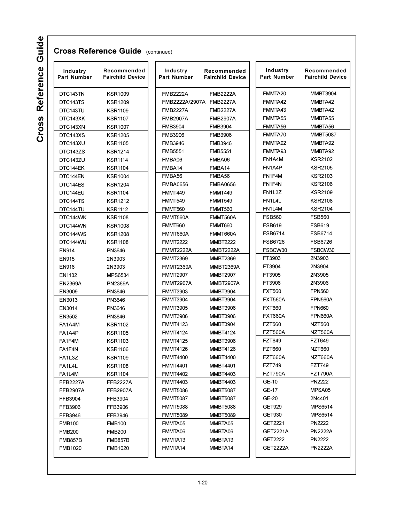| Industry<br><b>Part Number</b> | Recommended<br><b>Fairchild Device</b> | Industry<br><b>Part Number</b> | Recommended<br><b>Fairchild Device</b> | Industry<br><b>Part Number</b> | Recommended<br><b>Fairchild Device</b> |
|--------------------------------|----------------------------------------|--------------------------------|----------------------------------------|--------------------------------|----------------------------------------|
| DTC143TN                       | <b>KSR1009</b>                         | <b>FMB2222A</b>                | <b>FMB2222A</b>                        | FMMTA20                        | <b>MMBT3904</b>                        |
| DTC143TS                       | <b>KSR1209</b>                         | FMB2222A/2907A FMB2227A        |                                        | FMMTA42                        | MMBTA42                                |
| DTC143TU                       | <b>KSR1109</b>                         | <b>FMB2227A</b>                | <b>FMB2227A</b>                        | FMMTA43                        | MMBTA42                                |
| DTC143XK                       | KSR1107                                | <b>FMB2907A</b>                | <b>FMB2907A</b>                        | FMMTA55                        | MMBTA55                                |
| DTC143XN                       | <b>KSR1007</b>                         | <b>FMB3904</b>                 | <b>FMB3904</b>                         | FMMTA56                        | MMBTA56                                |
| DTC143XS                       | <b>KSR1205</b>                         | <b>FMB3906</b>                 | <b>FMB3906</b>                         | FMMTA70                        | <b>MMBT5087</b>                        |
| DTC143XU                       | KSR1105                                | <b>FMB3946</b>                 | <b>FMB3946</b>                         | FMMTA92                        | MMBTA92                                |
| DTC143ZS                       | <b>KSR1214</b>                         | <b>FMB5551</b>                 | <b>FMB5551</b>                         | FMMTA93                        | MMBTA92                                |
| DTC143ZU                       | KSR1114                                | FMBA06                         | FMBA06                                 | FN1A4M                         | <b>KSR2102</b>                         |
| DTC144EK                       | KSR1104                                | FMBA14                         | FMBA14                                 | FN1A4P                         | <b>KSR2105</b>                         |
| DTC144EN                       | <b>KSR1004</b>                         | FMBA56                         | FMBA56                                 | FN1F4M                         | <b>KSR2103</b>                         |
| DTC144ES                       | <b>KSR1204</b>                         | <b>FMBA0656</b>                | <b>FMBA0656</b>                        | FN1F4N                         | <b>KSR2106</b>                         |
| DTC144EU                       | KSR1104                                | FMMT449                        | FMMT449                                | FN1L3Z                         | <b>KSR2109</b>                         |
| DTC144TS                       | <b>KSR1212</b>                         | <b>FMMT549</b>                 | FMMT549                                | FN1L4L                         | <b>KSR2108</b>                         |
| DTC144TU                       | <b>KSR1112</b>                         | FMMT560                        | FMMT560                                | FN1L4M                         | <b>KSR2104</b>                         |
| DTC144WK                       | <b>KSR1108</b>                         | FMMT560A                       | FMMT560A                               | <b>FSB560</b>                  | <b>FSB560</b>                          |
| DTC144WN                       | <b>KSR1008</b>                         | FMMT660                        | FMMT660                                | <b>FSB619</b>                  | <b>FSB619</b>                          |
| DTC144WS                       | <b>KSR1208</b>                         | FMMT660A                       | FMMT660A                               | <b>FSB6714</b>                 | <b>FSB6714</b>                         |
| DTC144WU                       | KSR1108                                | <b>FMMT2222</b>                | <b>MMBT2222</b>                        | <b>FSB6726</b>                 | <b>FSB6726</b>                         |
| <b>EN914</b>                   | PN3646                                 | <b>FMMT2222A</b>               | <b>MMBT2222A</b>                       | FSBCW30                        | FSBCW30                                |
| <b>EN915</b>                   | 2N3903                                 | <b>FMMT2369</b>                | <b>MMBT2369</b>                        | FT3903                         | 2N3903                                 |
| <b>EN916</b>                   | 2N3903                                 | <b>FMMT2369A</b>               | <b>MMBT2369A</b>                       | FT3904                         | 2N3904                                 |
| EN1132                         | <b>MPS6534</b>                         | <b>FMMT2907</b>                | <b>MMBT2907</b>                        | FT3905                         | 2N3905                                 |
| <b>EN2369A</b>                 | <b>PN2369A</b>                         | <b>FMMT2907A</b>               | <b>MMBT2907A</b>                       | FT3906                         | 2N3906                                 |
| EN3009                         | PN3646                                 | <b>FMMT3903</b>                | <b>MMBT3904</b>                        | <b>FXT560</b>                  | <b>FPN560</b>                          |
| EN3013                         | PN3646                                 | <b>FMMT3904</b>                | <b>MMBT3904</b>                        | <b>FXT560A</b>                 | <b>FPN560A</b>                         |
| EN3014                         | PN3646                                 | <b>FMMT3905</b>                | <b>MMBT3906</b>                        | <b>FXT660</b>                  | <b>FPN660</b>                          |
| EN3502                         | PN3646                                 | <b>FMMT3906</b>                | <b>MMBT3906</b>                        | <b>FXT660A</b>                 | <b>FPN660A</b>                         |
| FA1A4M                         | KSR1102                                | <b>FMMT4123</b>                | <b>MMBT3904</b>                        | <b>FZT560</b>                  | <b>NZT560</b>                          |
| FA1A4P                         | KSR1105                                | <b>FMMT4124</b>                | <b>MMBT4124</b>                        | <b>FZT560A</b>                 | NZT560A                                |
| FA1F4M                         | KSR1103                                | <b>FMMT4125</b>                | <b>MMBT3906</b>                        | <b>FZT649</b>                  | <b>FZT649</b>                          |
| FA1F4N                         | KSR1106                                | <b>FMMT4126</b>                | <b>MMBT4126</b>                        | <b>FZT660</b>                  | <b>NZT660</b>                          |
| FA1L3Z                         | <b>KSR1109</b>                         | <b>FMMT4400</b>                | <b>MMBT4400</b>                        | FZT660A                        | NZT660A                                |
| FA1L4L                         | KSR1108                                | <b>FMMT4401</b>                | <b>MMBT4401</b>                        | <b>FZT749</b>                  | <b>FZT749</b>                          |
| FA1L4M                         | KSR1104                                | <b>FMMT4402</b>                | MMBT4403                               | <b>FZT790A</b>                 | <b>FZT790A</b>                         |
| <b>FFB2227A</b>                | FFB2227A                               | <b>FMMT4403</b>                | <b>MMBT4403</b>                        | GE-10                          | <b>PN2222</b>                          |
| <b>FFB2907A</b>                | FFB2907A                               | <b>FMMT5086</b>                | <b>MMBT5087</b>                        | GE-17                          | MPSA05                                 |
| FFB3904                        | FFB3904                                | <b>FMMT5087</b>                | <b>MMBT5087</b>                        | GE-20                          | 2N4401                                 |
| FFB3906                        | FFB3906                                | <b>FMMT5088</b>                | <b>MMBT5088</b>                        | <b>GET929</b>                  | <b>MPS6514</b>                         |
| FFB3946                        | FFB3946                                | <b>FMMT5089</b>                | <b>MMBT5089</b>                        | GET930                         | MPS6514                                |
| <b>FMB100</b>                  | <b>FMB100</b>                          | FMMTA05                        | MMBTA05                                | GET2221                        | <b>PN2222</b>                          |
| <b>FMB200</b>                  | <b>FMB200</b>                          | FMMTA06                        | MMBTA06                                | GET2221A                       | <b>PN2222A</b>                         |
| FMB857B                        | FMB857B                                | FMMTA <sub>13</sub>            | MMBTA <sub>13</sub>                    | GET2222                        | PN2222                                 |
| <b>FMB1020</b>                 | FMB1020                                | FMMTA14                        | MMBTA14                                | GET2222A                       | PN2222A                                |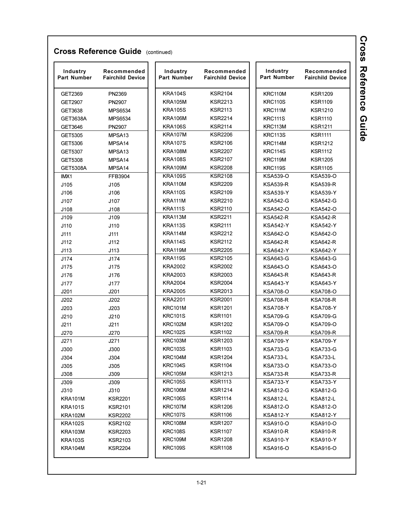| Industry<br>Part Number | Recommended<br><b>Fairchild Device</b> | Industry<br>Part Number | Recommended<br><b>Fairchild Device</b> | Industry<br><b>Part Number</b> | Recommended<br><b>Fairchild Device</b> |
|-------------------------|----------------------------------------|-------------------------|----------------------------------------|--------------------------------|----------------------------------------|
| GET2369                 | PN2369                                 | KRA104S                 | <b>KSR2104</b>                         | KRC110M                        | <b>KSR1209</b>                         |
| GET2907                 | PN2907                                 | <b>KRA105M</b>          | <b>KSR2213</b>                         | <b>KRC110S</b>                 | <b>KSR1109</b>                         |
| GET3638                 | MPS6534                                | <b>KRA105S</b>          | <b>KSR2113</b>                         | KRC111M                        | KSR1210                                |
| GET3638A                | <b>MPS6534</b>                         | <b>KRA106M</b>          | <b>KSR2214</b>                         | <b>KRC111S</b>                 | <b>KSR1110</b>                         |
| GET3646                 | PN2907                                 | <b>KRA106S</b>          | <b>KSR2114</b>                         | KRC113M                        | <b>KSR1211</b>                         |
| GET5305                 | MPSA <sub>13</sub>                     | KRA107M                 | <b>KSR2206</b>                         | <b>KRC113S</b>                 | <b>KSR1111</b>                         |
| GET5306                 | MPSA <sub>14</sub>                     | <b>KRA107S</b>          | <b>KSR2106</b>                         | KRC114M                        | KSR1212                                |
| GET5307                 | MPSA13                                 | <b>KRA108M</b>          | <b>KSR2207</b>                         | <b>KRC114S</b>                 | <b>KSR1112</b>                         |
| GET5308                 | MPSA14                                 | <b>KRA108S</b>          | <b>KSR2107</b>                         | KRC119M                        | <b>KSR1205</b>                         |
| <b>GET5308A</b>         | MPSA14                                 | KRA109M                 | <b>KSR2208</b>                         | <b>KRC119S</b>                 | <b>KSR1105</b>                         |
| IMX1                    | FFB3904                                | <b>KRA109S</b>          | <b>KSR2108</b>                         | <b>KSA539-O</b>                | <b>KSA539-O</b>                        |
| J105                    | J105                                   | KRA110M                 | <b>KSR2209</b>                         | <b>KSA539-R</b>                | <b>KSA539-R</b>                        |
| J106                    | J106                                   | <b>KRA110S</b>          | <b>KSR2109</b>                         | <b>KSA539-Y</b>                | KSA539-Y                               |
| J107                    | J107                                   | KRA111M                 | <b>KSR2210</b>                         | <b>KSA542-G</b>                | <b>KSA542-G</b>                        |
| J108                    | J108                                   | <b>KRA111S</b>          | <b>KSR2110</b>                         | <b>KSA542-O</b>                | KSA542-O                               |
| J109                    | J109                                   | KRA113M                 | <b>KSR2211</b>                         | <b>KSA542-R</b>                | KSA542-R                               |
| J110                    | J110                                   | KRA113S                 | <b>KSR2111</b>                         | <b>KSA542-Y</b>                | <b>KSA542-Y</b>                        |
| J111                    | J111                                   | KRA114M                 | <b>KSR2212</b>                         | <b>KSA642-O</b>                | KSA642-O                               |
| J112                    | J112                                   | KRA114S                 | <b>KSR2112</b>                         | <b>KSA642-R</b>                | KSA642-R                               |
| J113                    | J113                                   | KRA119M                 | <b>KSR2205</b>                         | <b>KSA642-Y</b>                | <b>KSA642-Y</b>                        |
| J174                    | J174                                   | KRA119S                 | <b>KSR2105</b>                         | <b>KSA643-G</b>                | KSA643-G                               |
| J175                    | J175                                   | KRA2002                 | <b>KSR2002</b>                         | KSA643-O                       | KSA643-O                               |
| J176                    | J176                                   | KRA2003                 | <b>KSR2003</b>                         | <b>KSA643-R</b>                | KSA643-R                               |
| J177                    | J177                                   | <b>KRA2004</b>          | <b>KSR2004</b>                         | <b>KSA643-Y</b>                | KSA643-Y                               |
| J201                    | J201                                   | <b>KRA2005</b>          | <b>KSR2013</b>                         | <b>KSA708-O</b>                | KSA708-O                               |
| J202                    | J202                                   | <b>KRA2201</b>          | <b>KSR2001</b>                         | <b>KSA708-R</b>                | <b>KSA708-R</b>                        |
| J203                    | J203                                   | <b>KRC101M</b>          | <b>KSR1201</b>                         | <b>KSA708-Y</b>                | <b>KSA708-Y</b>                        |
| J210                    | J210                                   | <b>KRC101S</b>          | <b>KSR1101</b>                         | <b>KSA709-G</b>                | KSA709-G                               |
| J211                    | J211                                   | <b>KRC102M</b>          | <b>KSR1202</b>                         | <b>KSA709-O</b>                | KSA709-O                               |
| J270                    | J270                                   | <b>KRC102S</b>          | <b>KSR1102</b>                         | <b>KSA709-R</b>                | <b>KSA709-R</b>                        |
| J271                    | J271                                   | <b>KRC103M</b>          | <b>KSR1203</b>                         | <b>KSA709-Y</b>                | <b>KSA709-Y</b>                        |
| J300                    | J300                                   | <b>KRC103S</b>          | <b>KSR1103</b>                         | <b>KSA733-G</b>                | <b>KSA733-G</b>                        |
| J304                    | J304                                   | KRC104M                 | <b>KSR1204</b>                         | <b>KSA733-L</b>                | <b>KSA733-L</b>                        |
| J305                    | J305                                   | <b>KRC104S</b>          | <b>KSR1104</b>                         | KSA733-O                       | KSA733-O                               |
| J308                    | J309                                   | <b>KRC105M</b>          | <b>KSR1213</b>                         | <b>KSA733-R</b>                | <b>KSA733-R</b>                        |
| J309                    | J309                                   | <b>KRC105S</b>          | <b>KSR1113</b>                         | <b>KSA733-Y</b>                | KSA733-Y                               |
| J310                    | J310                                   | KRC106M                 | <b>KSR1214</b>                         | KSA812-G                       | KSA812-G                               |
| <b>KRA101M</b>          | <b>KSR2201</b>                         | <b>KRC106S</b>          | <b>KSR1114</b>                         | KSA812-L                       | KSA812-L                               |
| <b>KRA101S</b>          | <b>KSR2101</b>                         | KRC107M                 | <b>KSR1206</b>                         | <b>KSA812-O</b>                | <b>KSA812-O</b>                        |
| KRA102M                 | <b>KSR2202</b>                         | KRC107S                 | <b>KSR1106</b>                         | <b>KSA812-Y</b>                | <b>KSA812-Y</b>                        |
| <b>KRA102S</b>          | <b>KSR2102</b>                         | KRC108M                 | <b>KSR1207</b>                         | <b>KSA910-O</b>                | KSA910-O                               |
| KRA103M                 | <b>KSR2203</b>                         | <b>KRC108S</b>          | <b>KSR1107</b>                         | <b>KSA910-R</b>                | KSA910-R                               |
| <b>KRA103S</b>          | <b>KSR2103</b>                         | KRC109M                 | <b>KSR1208</b>                         | <b>KSA910-Y</b>                | <b>KSA910-Y</b>                        |
| KRA104M                 | <b>KSR2204</b>                         | <b>KRC109S</b>          | <b>KSR1108</b>                         | <b>KSA916-O</b>                | <b>KSA916-O</b>                        |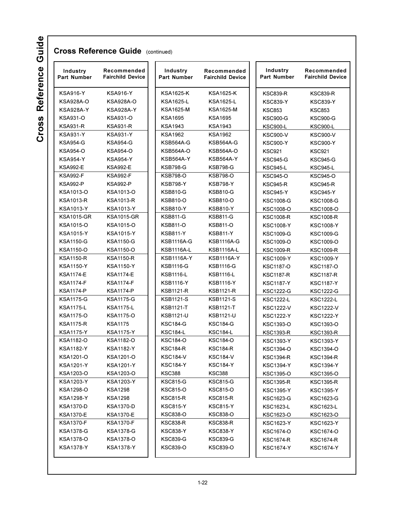| Industry<br>Part Number | Recommended<br><b>Fairchild Device</b> | Industry<br>Part Number | Recommended<br><b>Fairchild Device</b> | Industry<br>Part Number | Recommended<br><b>Fairchild Device</b> |
|-------------------------|----------------------------------------|-------------------------|----------------------------------------|-------------------------|----------------------------------------|
| <b>KSA916-Y</b>         | <b>KSA916-Y</b>                        | <b>KSA1625-K</b>        | <b>KSA1625-K</b>                       | <b>KSC839-R</b>         | <b>KSC839-R</b>                        |
| <b>KSA928A-O</b>        | <b>KSA928A-O</b>                       | <b>KSA1625-L</b>        | KSA1625-L                              | <b>KSC839-Y</b>         | <b>KSC839-Y</b>                        |
| <b>KSA928A-Y</b>        | KSA928A-Y                              | <b>KSA1625-M</b>        | KSA1625-M                              | <b>KSC853</b>           | <b>KSC853</b>                          |
| <b>KSA931-O</b>         | <b>KSA931-O</b>                        | <b>KSA1695</b>          | <b>KSA1695</b>                         | <b>KSC900-G</b>         | <b>KSC900-G</b>                        |
| <b>KSA931-R</b>         | <b>KSA931-R</b>                        | <b>KSA1943</b>          | KSA1943                                | <b>KSC900-L</b>         | <b>KSC900-L</b>                        |
| <b>KSA931-Y</b>         | <b>KSA931-Y</b>                        | <b>KSA1962</b>          | KSA1962                                | <b>KSC900-V</b>         | <b>KSC900-V</b>                        |
| <b>KSA954-G</b>         | <b>KSA954-G</b>                        | KSB564A-G               | <b>KSB564A-G</b>                       | <b>KSC900-Y</b>         | <b>KSC900-Y</b>                        |
| <b>KSA954-O</b>         | <b>KSA954-O</b>                        | <b>KSB564A-O</b>        | KSB564A-O                              | <b>KSC921</b>           | <b>KSC921</b>                          |
| <b>KSA954-Y</b>         | <b>KSA954-Y</b>                        | <b>KSB564A-Y</b>        | KSB564A-Y                              | <b>KSC945-G</b>         | <b>KSC945-G</b>                        |
| <b>KSA992-E</b>         | <b>KSA992-E</b>                        | <b>KSB798-G</b>         | <b>KSB798-G</b>                        | <b>KSC945-L</b>         | KSC945-L                               |
| <b>KSA992-F</b>         | <b>KSA992-F</b>                        | <b>KSB798-O</b>         | <b>KSB798-O</b>                        | <b>KSC945-O</b>         | <b>KSC945-O</b>                        |
| <b>KSA992-P</b>         | <b>KSA992-P</b>                        | <b>KSB798-Y</b>         | <b>KSB798-Y</b>                        | <b>KSC945-R</b>         | KSC945-R                               |
| KSA1013-O               | KSA1013-O                              | <b>KSB810-G</b>         | <b>KSB810-G</b>                        | <b>KSC945-Y</b>         | <b>KSC945-Y</b>                        |
| <b>KSA1013-R</b>        | <b>KSA1013-R</b>                       | <b>KSB810-O</b>         | <b>KSB810-O</b>                        | <b>KSC1008-G</b>        | <b>KSC1008-G</b>                       |
| <b>KSA1013-Y</b>        | <b>KSA1013-Y</b>                       | <b>KSB810-Y</b>         | <b>KSB810-Y</b>                        | <b>KSC1008-O</b>        | <b>KSC1008-O</b>                       |
| <b>KSA1015-GR</b>       | <b>KSA1015-GR</b>                      | <b>KSB811-G</b>         | <b>KSB811-G</b>                        | <b>KSC1008-R</b>        | <b>KSC1008-R</b>                       |
| KSA1015-O               | KSA1015-O                              | <b>KSB811-O</b>         | <b>KSB811-O</b>                        | <b>KSC1008-Y</b>        | <b>KSC1008-Y</b>                       |
| <b>KSA1015-Y</b>        | <b>KSA1015-Y</b>                       | <b>KSB811-Y</b>         | <b>KSB811-Y</b>                        | <b>KSC1009-G</b>        | <b>KSC1009-G</b>                       |
| <b>KSA1150-G</b>        | <b>KSA1150-G</b>                       | <b>KSB1116A-G</b>       | <b>KSB1116A-G</b>                      | KSC1009-O               | <b>KSC1009-O</b>                       |
| <b>KSA1150-O</b>        | <b>KSA1150-O</b>                       | <b>KSB1116A-L</b>       | <b>KSB1116A-L</b>                      | <b>KSC1009-R</b>        | <b>KSC1009-R</b>                       |
| <b>KSA1150-R</b>        | <b>KSA1150-R</b>                       | <b>KSB1116A-Y</b>       | <b>KSB1116A-Y</b>                      | <b>KSC1009-Y</b>        | <b>KSC1009-Y</b>                       |
| <b>KSA1150-Y</b>        | <b>KSA1150-Y</b>                       | <b>KSB1116-G</b>        | <b>KSB1116-G</b>                       | <b>KSC1187-O</b>        | <b>KSC1187-O</b>                       |
| <b>KSA1174-E</b>        | <b>KSA1174-E</b>                       | <b>KSB1116-L</b>        | KSB1116-L                              | <b>KSC1187-R</b>        | <b>KSC1187-R</b>                       |
| <b>KSA1174-F</b>        | <b>KSA1174-F</b>                       | <b>KSB1116-Y</b>        | KSB1116-Y                              | <b>KSC1187-Y</b>        | <b>KSC1187-Y</b>                       |
| <b>KSA1174-P</b>        | <b>KSA1174-P</b>                       | <b>KSB1121-R</b>        | KSB1121-R                              | <b>KSC1222-G</b>        | <b>KSC1222-G</b>                       |
| <b>KSA1175-G</b>        | <b>KSA1175-G</b>                       | <b>KSB1121-S</b>        | KSB1121-S                              | <b>KSC1222-L</b>        | <b>KSC1222-L</b>                       |
| <b>KSA1175-L</b>        | <b>KSA1175-L</b>                       | <b>KSB1121-T</b>        | <b>KSB1121-T</b>                       | <b>KSC1222-V</b>        | <b>KSC1222-V</b>                       |
| <b>KSA1175-O</b>        | <b>KSA1175-O</b>                       | <b>KSB1121-U</b>        | KSB1121-U                              | <b>KSC1222-Y</b>        | <b>KSC1222-Y</b>                       |
| <b>KSA1175-R</b>        | <b>KSA1175</b>                         | <b>KSC184-G</b>         | <b>KSC184-G</b>                        | <b>KSC1393-O</b>        | <b>KSC1393-O</b>                       |
| <b>KSA1175-Y</b>        | <b>KSA1175-Y</b>                       | <b>KSC184-L</b>         | <b>KSC184-L</b>                        | <b>KSC1393-R</b>        | <b>KSC1393-R</b>                       |
| <b>KSA1182-O</b>        | KSA1182-O                              | <b>KSC184-O</b>         | <b>KSC184-O</b>                        | <b>KSC1393-Y</b>        | <b>KSC1393-Y</b>                       |
| <b>KSA1182-Y</b>        | <b>KSA1182-Y</b>                       | <b>KSC184-R</b>         | <b>KSC184-R</b>                        | <b>KSC1394-O</b>        | <b>KSC1394-O</b>                       |
| KSA1201-O               | KSA1201-O                              | <b>KSC184-V</b>         | <b>KSC184-V</b>                        | <b>KSC1394-R</b>        | <b>KSC1394-R</b>                       |
| <b>KSA1201-Y</b>        | <b>KSA1201-Y</b>                       | <b>KSC184-Y</b>         | KSC184-Y                               | <b>KSC1394-Y</b>        | <b>KSC1394-Y</b>                       |
| KSA1203-O               | KSA1203-O                              | <b>KSC388</b>           | <b>KSC388</b>                          | KSC1395-O               | KSC1395-O                              |
| <b>KSA1203-Y</b>        | <b>KSA1203-Y</b>                       | <b>KSC815-G</b>         | KSC815-G                               | <b>KSC1395-R</b>        | <b>KSC1395-R</b>                       |
| KSA1298-O               | <b>KSA1298</b>                         | <b>KSC815-O</b>         | <b>KSC815-O</b>                        | <b>KSC1395-Y</b>        | <b>KSC1395-Y</b>                       |
| <b>KSA1298-Y</b>        | <b>KSA1298</b>                         | <b>KSC815-R</b>         | <b>KSC815-R</b>                        | <b>KSC1623-G</b>        | KSC1623-G                              |
| <b>KSA1370-D</b>        | <b>KSA1370-D</b>                       | <b>KSC815-Y</b>         | KSC815-Y                               | KSC1623-L               | KSC1623-L                              |
| <b>KSA1370-E</b>        | <b>KSA1370-E</b>                       | <b>KSC838-O</b>         | <b>KSC838-O</b>                        | KSC1623-O               | KSC1623-O                              |
| <b>KSA1370-F</b>        | <b>KSA1370-F</b>                       | KSC838-R                | KSC838-R                               | KSC1623-Y               | <b>KSC1623-Y</b>                       |
| <b>KSA1378-G</b>        | <b>KSA1378-G</b>                       | <b>KSC838-Y</b>         | KSC838-Y                               | KSC1674-O               | KSC1674-O                              |
| KSA1378-O               | KSA1378-O                              | <b>KSC839-G</b>         | KSC839-G                               | <b>KSC1674-R</b>        | <b>KSC1674-R</b>                       |
| <b>KSA1378-Y</b>        | KSA1378-Y                              | KSC839-O                | KSC839-O                               | <b>KSC1674-Y</b>        | KSC1674-Y                              |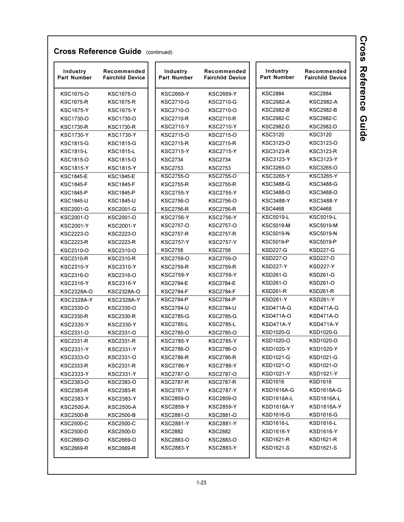| Industry<br><b>Part Number</b> | Recommended<br><b>Fairchild Device</b> | Industry<br>Part Number | Recommended<br><b>Fairchild Device</b> | Industry<br>Part Number | Recommended<br><b>Fairchild Device</b> |
|--------------------------------|----------------------------------------|-------------------------|----------------------------------------|-------------------------|----------------------------------------|
| KSC1675-O                      | KSC1675-O                              | <b>KSC2669-Y</b>        | <b>KSC2669-Y</b>                       | <b>KSC2884</b>          | <b>KSC2884</b>                         |
| <b>KSC1675-R</b>               | <b>KSC1675-R</b>                       | <b>KSC2710-G</b>        | <b>KSC2710-G</b>                       | KSC2982-A               | <b>KSC2982-A</b>                       |
| <b>KSC1675-Y</b>               | <b>KSC1675-Y</b>                       | <b>KSC2710-O</b>        | <b>KSC2710-O</b>                       | <b>KSC2982-B</b>        | <b>KSC2982-B</b>                       |
| KSC1730-O                      | KSC1730-O                              | <b>KSC2710-R</b>        | <b>KSC2710-R</b>                       | <b>KSC2982-C</b>        | <b>KSC2982-C</b>                       |
| <b>KSC1730-R</b>               | <b>KSC1730-R</b>                       | <b>KSC2710-Y</b>        | <b>KSC2710-Y</b>                       | <b>KSC2982-D</b>        | <b>KSC2982-D</b>                       |
| <b>KSC1730-Y</b>               | <b>KSC1730-Y</b>                       | KSC2715-O               | KSC2715-O                              | KSC3120                 | <b>KSC3120</b>                         |
| <b>KSC1815-G</b>               | <b>KSC1815-G</b>                       | <b>KSC2715-R</b>        | <b>KSC2715-R</b>                       | KSC3123-O               | KSC3123-O                              |
| <b>KSC1815-L</b>               | <b>KSC1815-L</b>                       | <b>KSC2715-Y</b>        | <b>KSC2715-Y</b>                       | <b>KSC3123-R</b>        | <b>KSC3123-R</b>                       |
| KSC1815-O                      | KSC1815-O                              | <b>KSC2734</b>          | <b>KSC2734</b>                         | KSC3123-Y               | KSC3123-Y                              |
| <b>KSC1815-Y</b>               | <b>KSC1815-Y</b>                       | <b>KSC2753</b>          | <b>KSC2753</b>                         | KSC3265-O               | KSC3265-O                              |
| <b>KSC1845-E</b>               | <b>KSC1845-E</b>                       | <b>KSC2755-O</b>        | <b>KSC2755-O</b>                       | <b>KSC3265-Y</b>        | <b>KSC3265-Y</b>                       |
| <b>KSC1845-F</b>               | <b>KSC1845-F</b>                       | <b>KSC2755-R</b>        | <b>KSC2755-R</b>                       | <b>KSC3488-G</b>        | KSC3488-G                              |
| <b>KSC1845-P</b>               | <b>KSC1845-P</b>                       | <b>KSC2755-Y</b>        | <b>KSC2755-Y</b>                       | <b>KSC3488-O</b>        | KSC3488-O                              |
| <b>KSC1845-U</b>               | <b>KSC1845-U</b>                       | <b>KSC2756-O</b>        | <b>KSC2756-O</b>                       | <b>KSC3488-Y</b>        | <b>KSC3488-Y</b>                       |
| <b>KSC2001-G</b>               | <b>KSC2001-G</b>                       | <b>KSC2756-R</b>        | <b>KSC2756-R</b>                       | <b>KSC4468</b>          | <b>KSC4468</b>                         |
| <b>KSC2001-O</b>               | KSC2001-O                              | <b>KSC2756-Y</b>        | <b>KSC2756-Y</b>                       | <b>KSC5019-L</b>        | <b>KSC5019-L</b>                       |
| <b>KSC2001-Y</b>               | <b>KSC2001-Y</b>                       | <b>KSC2757-O</b>        | <b>KSC2757-O</b>                       | <b>KSC5019-M</b>        | <b>KSC5019-M</b>                       |
| KSC2223-O                      | KSC2223-O                              | <b>KSC2757-R</b>        | <b>KSC2757-R</b>                       | <b>KSC5019-N</b>        | <b>KSC5019-N</b>                       |
| <b>KSC2223-R</b>               | <b>KSC2223-R</b>                       | <b>KSC2757-Y</b>        | <b>KSC2757-Y</b>                       | <b>KSC5019-P</b>        | <b>KSC5019-P</b>                       |
| KSC2310-O                      | KSC2310-O                              | <b>KSC2758</b>          | <b>KSC2758</b>                         | <b>KSD227-G</b>         | <b>KSD227-G</b>                        |
| <b>KSC2310-R</b>               | <b>KSC2310-R</b>                       | <b>KSC2759-O</b>        | <b>KSC2759-O</b>                       | KSD227-O                | KSD227-O                               |
| <b>KSC2310-Y</b>               | <b>KSC2310-Y</b>                       | <b>KSC2759-R</b>        | <b>KSC2759-R</b>                       | KSD227-Y                | <b>KSD227-Y</b>                        |
| KSC2316-O                      | KSC2316-O                              | <b>KSC2759-Y</b>        | <b>KSC2759-Y</b>                       | KSD261-G                | KSD261-G                               |
| <b>KSC2316-Y</b>               | <b>KSC2316-Y</b>                       | <b>KSC2784-E</b>        | <b>KSC2784-E</b>                       | KSD261-O                | <b>KSD261-O</b>                        |
| KSC2328A-O                     | KSC2328A-O                             | <b>KSC2784-F</b>        | <b>KSC2784-F</b>                       | <b>KSD261-R</b>         | <b>KSD261-R</b>                        |
| <b>KSC2328A-Y</b>              | <b>KSC2328A-Y</b>                      | <b>KSC2784-P</b>        | <b>KSC2784-P</b>                       | <b>KSD261-Y</b>         | <b>KSD261-Y</b>                        |
| KSC2330-O                      | KSC2330-O                              | <b>KSC2784-U</b>        | <b>KSC2784-U</b>                       | KSD471A-G               | KSD471A-G                              |
| <b>KSC2330-R</b>               | <b>KSC2330-R</b>                       | <b>KSC2785-G</b>        | <b>KSC2785-G</b>                       | <b>KSD471A-O</b>        | <b>KSD471A-O</b>                       |
| <b>KSC2330-Y</b>               | <b>KSC2330-Y</b>                       | <b>KSC2785-L</b>        | <b>KSC2785-L</b>                       | KSD471A-Y               | KSD471A-Y                              |
| KSC2331-O                      | KSC2331-O                              | <b>KSC2785-O</b>        | <b>KSC2785-O</b>                       | <b>KSD1020-G</b>        | KSD1020-G                              |
| KSC2331-R                      | <b>KSC2331-R</b>                       | <b>KSC2785-Y</b>        | <b>KSC2785-Y</b>                       | KSD1020-O               | KSD1020-O                              |
| KSC2331-Y                      | <b>KSC2331-Y</b>                       | <b>KSC2786-O</b>        | <b>KSC2786-O</b>                       | <b>KSD1020-Y</b>        | <b>KSD1020-Y</b>                       |
| KSC2333-O                      | KSC2331-O                              | <b>KSC2786-R</b>        | <b>KSC2786-R</b>                       | KSD1021-G               | KSD1021-G                              |
| KSC2333-R                      | KSC2331-R                              | KSC2786-Y               | KSC2786-Y                              | KSD1021-O               | KSD1021-O                              |
| KSC2333-Y                      | KSC2331-Y                              | <b>KSC2787-O</b>        | <b>KSC2787-O</b>                       | KSD1021-Y               | <b>KSD1021-Y</b>                       |
| KSC2383-O                      | KSC2383-O                              | <b>KSC2787-R</b>        | <b>KSC2787-R</b>                       | KSD1616                 | KSD1616                                |
| KSC2383-R                      | KSC2383-R                              | <b>KSC2787-Y</b>        | KSC2787-Y                              | KSD1616A-G              | <b>KSD1616A-G</b>                      |
| KSC2383-Y                      | KSC2383-Y                              | KSC2859-O               | KSC2859-O                              | KSD1616A-L              | KSD1616A-L                             |
| KSC2500-A                      | KSC2500-A                              | KSC2859-Y               | KSC2859-Y                              | <b>KSD1616A-Y</b>       | KSD1616A-Y                             |
| KSC2500-B                      | KSC2500-B                              | KSC2881-O               | KSC2881-O                              | KSD1616-G               | KSD1616-G                              |
| KSC2500-C                      | KSC2500-C                              | <b>KSC2881-Y</b>        | <b>KSC2881-Y</b>                       | KSD1616-L               | KSD1616-L                              |
| KSC2500-D                      | KSC2500-D                              | <b>KSC2882</b>          | KSC2882                                | <b>KSD1616-Y</b>        | <b>KSD1616-Y</b>                       |
| KSC2669-O                      | KSC2669-O                              | KSC2883-O               | KSC2883-O                              | KSD1621-R               | KSD1621-R                              |
| KSC2669-R                      | KSC2669-R                              | KSC2883-Y               | KSC2883-Y                              | KSD1621-S               | KSD1621-S                              |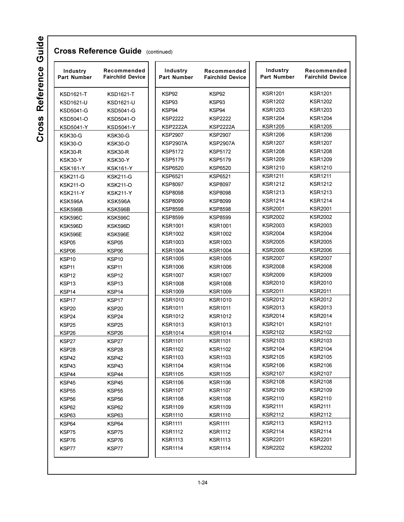| Industry<br><b>Part Number</b> | Recommended<br><b>Fairchild Device</b> | Industry<br><b>Part Number</b> | Recommended<br><b>Fairchild Device</b> | Industry<br>Part Number | Recommended<br><b>Fairchild Device</b> |
|--------------------------------|----------------------------------------|--------------------------------|----------------------------------------|-------------------------|----------------------------------------|
| <b>KSD1621-T</b>               | <b>KSD1621-T</b>                       | KSP92                          | KSP92                                  | <b>KSR1201</b>          | <b>KSR1201</b>                         |
| KSD1621-U                      | <b>KSD1621-U</b>                       | KSP93                          | KSP93                                  | <b>KSR1202</b>          | <b>KSR1202</b>                         |
| <b>KSD5041-G</b>               | <b>KSD5041-G</b>                       | KSP94                          | KSP94                                  | <b>KSR1203</b>          | <b>KSR1203</b>                         |
| KSD5041-O                      | KSD5041-O                              | <b>KSP2222</b>                 | <b>KSP2222</b>                         | <b>KSR1204</b>          | <b>KSR1204</b>                         |
| <b>KSD5041-Y</b>               | <b>KSD5041-Y</b>                       | <b>KSP2222A</b>                | <b>KSP2222A</b>                        | <b>KSR1205</b>          | <b>KSR1205</b>                         |
| KSK30-G                        | KSK30-G                                | <b>KSP2907</b>                 | <b>KSP2907</b>                         | <b>KSR1206</b>          | <b>KSR1206</b>                         |
| <b>KSK30-O</b>                 | <b>KSK30-O</b>                         | <b>KSP2907A</b>                | KSP2907A                               | <b>KSR1207</b>          | <b>KSR1207</b>                         |
| KSK30-R                        | KSK30-R                                | <b>KSP5172</b>                 | KSP5172                                | <b>KSR1208</b>          | <b>KSR1208</b>                         |
| KSK30-Y                        | <b>KSK30-Y</b>                         | <b>KSP5179</b>                 | KSP5179                                | <b>KSR1209</b>          | <b>KSR1209</b>                         |
| <b>KSK161-Y</b>                | <b>KSK161-Y</b>                        | <b>KSP6520</b>                 | KSP6520                                | <b>KSR1210</b>          | <b>KSR1210</b>                         |
| <b>KSK211-G</b>                | <b>KSK211-G</b>                        | <b>KSP6521</b>                 | KSP6521                                | <b>KSR1211</b>          | <b>KSR1211</b>                         |
| <b>KSK211-O</b>                | <b>KSK211-O</b>                        | <b>KSP8097</b>                 | <b>KSP8097</b>                         | <b>KSR1212</b>          | <b>KSR1212</b>                         |
| <b>KSK211-Y</b>                | <b>KSK211-Y</b>                        | <b>KSP8098</b>                 | KSP8098                                | KSR1213                 | <b>KSR1213</b>                         |
| KSK596A                        | KSK596A                                | <b>KSP8099</b>                 | <b>KSP8099</b>                         | <b>KSR1214</b>          | <b>KSR1214</b>                         |
| <b>KSK596B</b>                 | KSK596B                                | <b>KSP8598</b>                 | <b>KSP8598</b>                         | <b>KSR2001</b>          | <b>KSR2001</b>                         |
| <b>KSK596C</b>                 | <b>KSK596C</b>                         | <b>KSP8599</b>                 | <b>KSP8599</b>                         | <b>KSR2002</b>          | <b>KSR2002</b>                         |
| KSK596D                        | KSK596D                                | <b>KSR1001</b>                 | <b>KSR1001</b>                         | <b>KSR2003</b>          | <b>KSR2003</b>                         |
| KSK596E                        | <b>KSK596E</b>                         | <b>KSR1002</b>                 | KSR1002                                | <b>KSR2004</b>          | <b>KSR2004</b>                         |
| KSP05                          | KSP05                                  | <b>KSR1003</b>                 | KSR1003                                | <b>KSR2005</b>          | <b>KSR2005</b>                         |
| KSP06                          | KSP06                                  | <b>KSR1004</b>                 | <b>KSR1004</b>                         | <b>KSR2006</b>          | <b>KSR2006</b>                         |
| KSP <sub>10</sub>              | KSP <sub>10</sub>                      | <b>KSR1005</b>                 | KSR1005                                | <b>KSR2007</b>          | <b>KSR2007</b>                         |
| KSP11                          | KSP11                                  | <b>KSR1006</b>                 | KSR1006                                | <b>KSR2008</b>          | <b>KSR2008</b>                         |
| KSP12                          | KSP12                                  | <b>KSR1007</b>                 | KSR1007                                | <b>KSR2009</b>          | <b>KSR2009</b>                         |
| KSP <sub>13</sub>              | KSP <sub>13</sub>                      | <b>KSR1008</b>                 | KSR1008                                | KSR2010                 | <b>KSR2010</b>                         |
| KSP14                          | KSP14                                  | <b>KSR1009</b>                 | <b>KSR1009</b>                         | <b>KSR2011</b>          | <b>KSR2011</b>                         |
| KSP17                          | KSP17                                  | <b>KSR1010</b>                 | KSR1010                                | <b>KSR2012</b>          | <b>KSR2012</b>                         |
| KSP <sub>20</sub>              | KSP20                                  | <b>KSR1011</b>                 | KSR1011                                | <b>KSR2013</b>          | <b>KSR2013</b>                         |
| KSP <sub>24</sub>              | KSP24                                  | <b>KSR1012</b>                 | <b>KSR1012</b>                         | <b>KSR2014</b>          | <b>KSR2014</b>                         |
| KSP <sub>25</sub>              | KSP <sub>25</sub>                      | <b>KSR1013</b>                 | <b>KSR1013</b>                         | <b>KSR2101</b>          | <b>KSR2101</b>                         |
| KSP <sub>26</sub>              | KSP <sub>26</sub>                      | <b>KSR1014</b>                 | <b>KSR1014</b>                         | <b>KSR2102</b>          | <b>KSR2102</b>                         |
| KSP27                          | KSP27                                  | <b>KSR1101</b>                 | <b>KSR1101</b>                         | <b>KSR2103</b>          | <b>KSR2103</b>                         |
| KSP28                          | KSP28                                  | <b>KSR1102</b>                 | <b>KSR1102</b>                         | <b>KSR2104</b>          | <b>KSR2104</b>                         |
| KSP42                          | KSP42                                  | <b>KSR1103</b>                 | <b>KSR1103</b>                         | <b>KSR2105</b>          | <b>KSR2105</b>                         |
| KSP43                          | KSP43                                  | <b>KSR1104</b>                 | <b>KSR1104</b>                         | <b>KSR2106</b>          | <b>KSR2106</b>                         |
| KSP44                          | KSP44                                  | <b>KSR1105</b>                 | <b>KSR1105</b>                         | <b>KSR2107</b>          | <b>KSR2107</b>                         |
| KSP45                          | KSP45                                  | <b>KSR1106</b>                 | <b>KSR1106</b>                         | <b>KSR2108</b>          | <b>KSR2108</b>                         |
| KSP <sub>55</sub>              | KSP <sub>55</sub>                      | <b>KSR1107</b>                 | <b>KSR1107</b>                         | <b>KSR2109</b>          | <b>KSR2109</b>                         |
| KSP <sub>56</sub>              | KSP <sub>56</sub>                      | <b>KSR1108</b>                 | <b>KSR1108</b>                         | <b>KSR2110</b>          | <b>KSR2110</b>                         |
| KSP62                          | KSP62                                  | <b>KSR1109</b>                 | <b>KSR1109</b>                         | <b>KSR2111</b>          | <b>KSR2111</b>                         |
| KSP63                          | KSP63                                  | <b>KSR1110</b>                 | <b>KSR1110</b>                         | <b>KSR2112</b>          | <b>KSR2112</b>                         |
| KSP64                          | KSP64                                  | <b>KSR1111</b>                 | <b>KSR1111</b>                         | <b>KSR2113</b>          | <b>KSR2113</b>                         |
| KSP75                          | KSP75                                  | <b>KSR1112</b>                 | <b>KSR1112</b>                         | <b>KSR2114</b>          | <b>KSR2114</b>                         |
| KSP76                          | KSP76                                  | <b>KSR1113</b>                 | <b>KSR1113</b>                         | <b>KSR2201</b>          | <b>KSR2201</b>                         |
| KSP77                          | KSP77                                  | <b>KSR1114</b>                 | <b>KSR1114</b>                         | <b>KSR2202</b>          | <b>KSR2202</b>                         |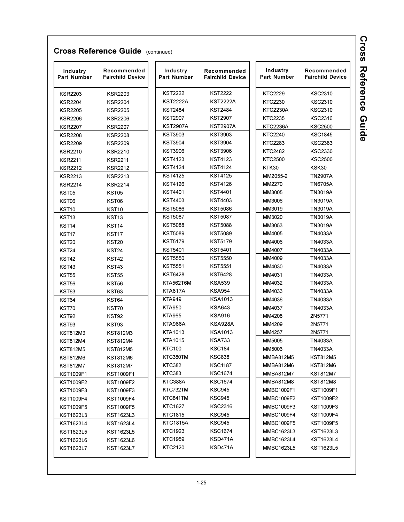| Industry<br>Part Number | Recommended<br><b>Fairchild Device</b> | Industry<br>Part Number | Recommended<br><b>Fairchild Device</b> | Industry<br>Part Number | Recommended<br><b>Fairchild Device</b> |
|-------------------------|----------------------------------------|-------------------------|----------------------------------------|-------------------------|----------------------------------------|
| <b>KSR2203</b>          | <b>KSR2203</b>                         | KST2222                 | <b>KST2222</b>                         | <b>KTC2229</b>          | <b>KSC2310</b>                         |
| <b>KSR2204</b>          | <b>KSR2204</b>                         | <b>KST2222A</b>         | <b>KST2222A</b>                        | <b>KTC2230</b>          | <b>KSC2310</b>                         |
| <b>KSR2205</b>          | <b>KSR2205</b>                         | <b>KST2484</b>          | <b>KST2484</b>                         | <b>KTC2230A</b>         | <b>KSC2310</b>                         |
| <b>KSR2206</b>          | <b>KSR2206</b>                         | KST2907                 | <b>KST2907</b>                         | <b>KTC2235</b>          | <b>KSC2316</b>                         |
| <b>KSR2207</b>          | <b>KSR2207</b>                         | KST2907A                | <b>KST2907A</b>                        | <b>KTC2236A</b>         | <b>KSC2500</b>                         |
| <b>KSR2208</b>          | <b>KSR2208</b>                         | KST3903                 | <b>KST3903</b>                         | <b>KTC2240</b>          | <b>KSC1845</b>                         |
| <b>KSR2209</b>          | <b>KSR2209</b>                         | KST3904                 | <b>KST3904</b>                         | <b>KTC2283</b>          | <b>KSC2383</b>                         |
| <b>KSR2210</b>          | <b>KSR2210</b>                         | KST3906                 | <b>KST3906</b>                         | <b>KTC2482</b>          | <b>KSC2330</b>                         |
| <b>KSR2211</b>          | <b>KSR2211</b>                         | KST4123                 | <b>KST4123</b>                         | <b>KTC2500</b>          | <b>KSC2500</b>                         |
| <b>KSR2212</b>          | <b>KSR2212</b>                         | KST4124                 | <b>KST4124</b>                         | KTK30                   | KSK30                                  |
| <b>KSR2213</b>          | <b>KSR2213</b>                         | <b>KST4125</b>          | <b>KST4125</b>                         | MM2055-2                | <b>TN2907A</b>                         |
| <b>KSR2214</b>          | <b>KSR2214</b>                         | KST4126                 | <b>KST4126</b>                         | MM2270                  | <b>TN6705A</b>                         |
| KST05                   | KST05                                  | <b>KST4401</b>          | <b>KST4401</b>                         | MM3005                  | <b>TN3019A</b>                         |
| KST06                   | KST06                                  | KST4403                 | <b>KST4403</b>                         | MM3006                  | <b>TN3019A</b>                         |
| KST10                   | KST10                                  | <b>KST5086</b>          | <b>KST5086</b>                         | MM3019                  | <b>TN3019A</b>                         |
| KST <sub>13</sub>       | KST <sub>13</sub>                      | <b>KST5087</b>          | <b>KST5087</b>                         | MM3020                  | <b>TN3019A</b>                         |
| KST <sub>14</sub>       | KST <sub>14</sub>                      | <b>KST5088</b>          | <b>KST5088</b>                         | MM3053                  | <b>TN3019A</b>                         |
| KST <sub>17</sub>       | KST <sub>17</sub>                      | <b>KST5089</b>          | <b>KST5089</b>                         | MM4005                  | <b>TN4033A</b>                         |
| <b>KST20</b>            | <b>KST20</b>                           | KST5179                 | <b>KST5179</b>                         | MM4006                  | <b>TN4033A</b>                         |
| KST <sub>24</sub>       | KST <sub>24</sub>                      | <b>KST5401</b>          | <b>KST5401</b>                         | MM4007                  | <b>TN4033A</b>                         |
| <b>KST42</b>            | KST42                                  | <b>KST5550</b>          | <b>KST5550</b>                         | MM4009                  | <b>TN4033A</b>                         |
| KST43                   | KST43                                  | <b>KST5551</b>          | <b>KST5551</b>                         | MM4030                  | <b>TN4033A</b>                         |
| <b>KST55</b>            | <b>KST55</b>                           | KST6428                 | <b>KST6428</b>                         | MM4031                  | <b>TN4033A</b>                         |
| <b>KST56</b>            | KST56                                  | KTA562T6M               | <b>KSA539</b>                          | MM4032                  | <b>TN4033A</b>                         |
| KST63                   | KST63                                  | KTA817A                 | <b>KSA954</b>                          | MM4033                  | <b>TN4033A</b>                         |
| KST64                   | KST64                                  | <b>KTA949</b>           | <b>KSA1013</b>                         | MM4036                  | <b>TN4033A</b>                         |
| KST70                   | KST70                                  | <b>KTA950</b>           | <b>KSA643</b>                          | MM4037                  | TN4033A                                |
| KST92                   | KST92                                  | <b>KTA965</b>           | <b>KSA916</b>                          | MM4208                  | 2N5771                                 |
| KST93                   | KST93                                  | KTA966A                 | KSA928A                                | MM4209                  | 2N5771                                 |
| KST812M3                | <b>KST812M3</b>                        | KTA1013                 | KSA1013                                | MM4257                  | 2N5771                                 |
| <b>KST812M4</b>         | <b>KST812M4</b>                        | KTA1015                 | <b>KSA733</b>                          | MM5005                  | TN4033A                                |
| <b>KST812M5</b>         | <b>KST812M5</b>                        | <b>KTC100</b>           | <b>KSC184</b>                          | <b>MM5006</b>           | <b>TN4033A</b>                         |
| <b>KST812M6</b>         | <b>KST812M6</b>                        | KTC380TM                | <b>KSC838</b>                          | <b>MMBA812M5</b>        | <b>KST812M5</b>                        |
| <b>KST812M7</b>         | <b>KST812M7</b>                        | KTC382                  | <b>KSC1187</b>                         | MMBA812M6               | KST812M6                               |
| <b>KST1009F1</b>        | KST1009F1                              | KTC383                  | <b>KSC1674</b>                         | MMBA812M7               | <b>KST812M7</b>                        |
| <b>KST1009F2</b>        | <b>KST1009F2</b>                       | KTC388A                 | <b>KSC1674</b>                         | MMBA812M8               | <b>KST812M8</b>                        |
| KST1009F3               | KST1009F3                              | KTC732TM                | KSC945                                 | <b>MMBC1009F1</b>       | <b>KST1009F1</b>                       |
| <b>KST1009F4</b>        | <b>KST1009F4</b>                       | KTC841TM                | KSC945                                 | <b>MMBC1009F2</b>       | <b>KST1009F2</b>                       |
| <b>KST1009F5</b>        | <b>KST1009F5</b>                       | KTC1627                 | <b>KSC2316</b>                         | <b>MMBC1009F3</b>       | <b>KST1009F3</b>                       |
| KST1623L3               | KST1623L3                              | KTC1815                 | KSC945                                 | MMBC1009F4              | <b>KST1009F4</b>                       |
| <b>KST1623L4</b>        | KST1623L4                              | KTC1815A                | <b>KSC945</b>                          | <b>MMBC1009F5</b>       | <b>KST1009F5</b>                       |
| KST1623L5               | <b>KST1623L5</b>                       | KTC1923                 | <b>KSC1674</b>                         | MMBC1623L3              | <b>KST1623L3</b>                       |
| <b>KST1623L6</b>        | <b>KST1623L6</b>                       | KTC1959                 | KSD471A                                | MMBC1623L4              | <b>KST1623L4</b>                       |
| <b>KST1623L7</b>        | <b>KST1623L7</b>                       | KTC2120                 | KSD471A                                | <b>MMBC1623L5</b>       | KST1623L5                              |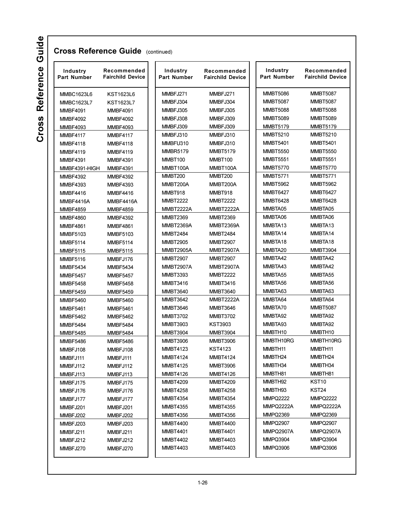| Industry<br><b>Part Number</b> | Recommended<br><b>Fairchild Device</b> | Industry<br><b>Part Number</b> | Recommended<br><b>Fairchild Device</b> | Industry<br><b>Part Number</b> | Recommended<br><b>Fairchild Device</b> |  |
|--------------------------------|----------------------------------------|--------------------------------|----------------------------------------|--------------------------------|----------------------------------------|--|
| <b>MMBC1623L6</b>              | <b>KST1623L6</b>                       | MMBFJ271                       | MMBFJ271                               | <b>MMBT5086</b>                | <b>MMBT5087</b>                        |  |
| <b>MMBC1623L7</b>              | <b>KST1623L7</b>                       | MMBFJ304                       | MMBFJ304                               | <b>MMBT5087</b>                | <b>MMBT5087</b>                        |  |
| <b>MMBF4091</b>                | <b>MMBF4091</b>                        | MMBFJ305                       | MMBFJ305                               | <b>MMBT5088</b>                | <b>MMBT5088</b>                        |  |
| <b>MMBF4092</b>                | <b>MMBF4092</b>                        | MMBFJ308                       | MMBFJ309                               | <b>MMBT5089</b>                | <b>MMBT5089</b>                        |  |
| <b>MMBF4093</b>                | <b>MMBF4093</b>                        | MMBFJ309                       | MMBFJ309                               | <b>MMBT5179</b>                | <b>MMBT5179</b>                        |  |
| <b>MMBF4117</b>                | <b>MMBF4117</b>                        | MMBFJ310                       | MMBFJ310                               | <b>MMBT5210</b>                | <b>MMBT5210</b>                        |  |
| <b>MMBF4118</b>                | <b>MMBF4118</b>                        | MMBFU310                       | MMBFJ310                               | <b>MMBT5401</b>                | <b>MMBT5401</b>                        |  |
| <b>MMBF4119</b>                | <b>MMBF4119</b>                        | <b>MMBR5179</b>                | <b>MMBT5179</b>                        | <b>MMBT5550</b>                | <b>MMBT5550</b>                        |  |
| <b>MMBF4391</b>                | <b>MMBF4391</b>                        | MMBT100                        | MMBT100                                | <b>MMBT5551</b>                | <b>MMBT5551</b>                        |  |
| MMBF4391-HIGH                  | <b>MMBF4391</b>                        | MMBT100A                       | MMBT100A                               | <b>MMBT5770</b>                | <b>MMBT5770</b>                        |  |
| <b>MMBF4392</b>                | <b>MMBF4392</b>                        | MMBT200                        | <b>MMBT200</b>                         | <b>MMBT5771</b>                | <b>MMBT5771</b>                        |  |
| <b>MMBF4393</b>                | <b>MMBF4393</b>                        | MMBT200A                       | MMBT200A                               | <b>MMBT5962</b>                | <b>MMBT5962</b>                        |  |
| <b>MMBF4416</b>                | <b>MMBF4416</b>                        | MMBT918                        | MMBT918                                | <b>MMBT6427</b>                | <b>MMBT6427</b>                        |  |
| MMBF4416A                      | MMBF4416A                              | <b>MMBT2222</b>                | <b>MMBT2222</b>                        | <b>MMBT6428</b>                | <b>MMBT6428</b>                        |  |
| <b>MMBF4859</b>                | <b>MMBF4859</b>                        | <b>MMBT2222A</b>               | MMBT2222A                              | MMBTA05                        | MMBTA05                                |  |
| <b>MMBF4860</b>                | <b>MMBF4392</b>                        | <b>MMBT2369</b>                | <b>MMBT2369</b>                        | MMBTA06                        | MMBTA06                                |  |
| <b>MMBF4861</b>                | <b>MMBF4861</b>                        | <b>MMBT2369A</b>               | <b>MMBT2369A</b>                       | MMBTA13                        | MMBTA13                                |  |
| <b>MMBF5103</b>                | <b>MMBF5103</b>                        | <b>MMBT2484</b>                | <b>MMBT2484</b>                        | MMBTA14                        | MMBTA14                                |  |
| <b>MMBF5114</b>                | <b>MMBF5114</b>                        | <b>MMBT2905</b>                | <b>MMBT2907</b>                        | MMBTA18                        | MMBTA18                                |  |
| <b>MMBF5115</b>                | <b>MMBF5115</b>                        | <b>MMBT2905A</b>               | <b>MMBT2907A</b>                       | MMBTA20                        | <b>MMBT3904</b>                        |  |
| <b>MMBF5116</b>                | MMBFJ176                               | <b>MMBT2907</b>                | <b>MMBT2907</b>                        | MMBTA42                        | MMBTA42                                |  |
| <b>MMBF5434</b>                | <b>MMBF5434</b>                        | <b>MMBT2907A</b>               | <b>MMBT2907A</b>                       | MMBTA43                        | MMBTA42                                |  |
| <b>MMBF5457</b>                | <b>MMBF5457</b>                        | <b>MMBT3393</b>                | <b>MMBT2222</b>                        | MMBTA55                        | MMBTA55                                |  |
| <b>MMBF5458</b>                | <b>MMBF5458</b>                        | <b>MMBT3416</b>                | <b>MMBT3416</b>                        | MMBTA56                        | MMBTA56                                |  |
| <b>MMBF5459</b>                | <b>MMBF5459</b>                        | <b>MMBT3640</b>                | <b>MMBT3640</b>                        | MMBTA63                        | MMBTA63                                |  |
| <b>MMBF5460</b>                | <b>MMBF5460</b>                        | <b>MMBT3642</b>                | <b>MMBT2222A</b>                       | MMBTA64                        | MMBTA64                                |  |
| <b>MMBF5461</b>                | <b>MMBF5461</b>                        | <b>MMBT3646</b>                | <b>MMBT3646</b>                        | MMBTA70                        | <b>MMBT5087</b>                        |  |
| <b>MMBF5462</b>                | <b>MMBF5462</b>                        | <b>MMBT3702</b>                | <b>MMBT3702</b>                        | MMBTA92                        | MMBTA92                                |  |
| <b>MMBF5484</b>                | <b>MMBF5484</b>                        | <b>MMBT3903</b>                | <b>KST3903</b>                         | MMBTA93                        | MMBTA92                                |  |
| <b>MMBF5485</b>                | <b>MMBF5484</b>                        | <b>MMBT3904</b>                | <b>MMBT3904</b>                        | MMBTH10                        | MMBTH10                                |  |
| <b>MMBF5486</b>                | <b>MMBF5486</b>                        | <b>MMBT3906</b>                | <b>MMBT3906</b>                        | MMBTH10RG                      | MMBTH10RG                              |  |
| MMBFJ108                       | MMBFJ108                               | <b>MMBT4123</b>                | <b>KST4123</b>                         | MMBTH11                        | MMBTH11                                |  |
| MMBFJ111                       | MMBFJ111                               | <b>MMBT4124</b>                | <b>MMBT4124</b>                        | MMBTH24                        | MMBTH24                                |  |
| MMBFJ112                       | MMBFJ112                               | <b>MMBT4125</b>                | <b>MMBT3906</b>                        | MMBTH34                        | MMBTH34                                |  |
| MMBFJ113                       | MMBFJ113                               | <b>MMBT4126</b>                | <b>MMBT4126</b>                        | MMBTH81                        | MMBTH81                                |  |
| MMBFJ175                       | MMBFJ175                               | <b>MMBT4209</b>                | <b>MMBT4209</b>                        | MMBTH92                        | KST <sub>10</sub>                      |  |
| MMBFJ176                       | MMBFJ176                               | <b>MMBT4258</b>                | <b>MMBT4258</b>                        | MMBTH93                        | KST24                                  |  |
| MMBFJ177                       | MMBFJ177                               | <b>MMBT4354</b>                | <b>MMBT4354</b>                        | <b>MMPQ2222</b>                | <b>MMPQ2222</b>                        |  |
| MMBFJ201                       | MMBFJ201                               | <b>MMBT4355</b>                | <b>MMBT4355</b>                        | MMPQ2222A                      | MMPQ2222A                              |  |
| MMBFJ202                       | MMBFJ202                               | <b>MMBT4356</b>                | <b>MMBT4356</b>                        | <b>MMPQ2369</b>                | <b>MMPQ2369</b>                        |  |
| MMBFJ203                       | MMBFJ203                               | <b>MMBT4400</b>                | <b>MMBT4400</b>                        | <b>MMPQ2907</b>                | <b>MMPQ2907</b>                        |  |
| MMBFJ211                       | MMBFJ211                               | <b>MMBT4401</b>                | <b>MMBT4401</b>                        | MMPQ2907A                      | MMPQ2907A                              |  |
| MMBFJ212                       | MMBFJ212                               | <b>MMBT4402</b>                | <b>MMBT4403</b>                        | MMPQ3904                       | <b>MMPQ3904</b>                        |  |
| MMBFJ270                       | MMBFJ270                               | <b>MMBT4403</b>                | <b>MMBT4403</b>                        | MMPQ3906                       | <b>MMPQ3906</b>                        |  |
|                                |                                        |                                |                                        |                                |                                        |  |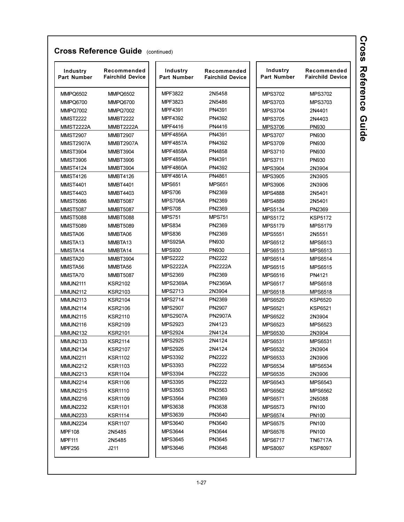| Industry<br><b>Part Number</b> | Recommended<br><b>Fairchild Device</b> | Industry<br><b>Part Number</b> | Recommended<br><b>Fairchild Device</b> | Industry<br>Part Number | Recommended<br><b>Fairchild Device</b> |  |
|--------------------------------|----------------------------------------|--------------------------------|----------------------------------------|-------------------------|----------------------------------------|--|
| <b>MMPQ6502</b>                | <b>MMPQ6502</b>                        | MPF3822                        | 2N5458                                 | <b>MPS3702</b>          | <b>MPS3702</b>                         |  |
| <b>MMPQ6700</b>                | <b>MMPQ6700</b>                        | MPF3823                        | 2N5486                                 | MPS3703                 | MPS3703                                |  |
| <b>MMPQ7002</b>                | <b>MMPQ7002</b>                        | MPF4391                        | PN4391                                 | <b>MPS3704</b>          | 2N4401                                 |  |
| <b>MMST2222</b>                | <b>MMBT2222</b>                        | <b>MPF4392</b>                 | PN4392                                 | <b>MPS3705</b>          | 2N4403                                 |  |
| <b>MMST2222A</b>               | <b>MMBT2222A</b>                       | <b>MPF4416</b>                 | PN4416                                 | <b>MPS3706</b>          | PN930                                  |  |
| <b>MMST2907</b>                | <b>MMBT2907</b>                        | <b>MPF4856A</b>                | PN4391                                 | <b>MPS3707</b>          | PN930                                  |  |
| <b>MMST2907A</b>               | <b>MMBT2907A</b>                       | <b>MPF4857A</b>                | PN4392                                 | MPS3709                 | PN930                                  |  |
| <b>MMST3904</b>                | <b>MMBT3904</b>                        | <b>MPF4858A</b>                | PN4858                                 | <b>MPS3710</b>          | PN930                                  |  |
| <b>MMST3906</b>                | <b>MMBT3906</b>                        | <b>MPF4859A</b>                | PN4391                                 | <b>MPS3711</b>          | PN930                                  |  |
| <b>MMST4124</b>                | <b>MMBT3904</b>                        | <b>MPF4860A</b>                | PN4392                                 | <b>MPS3904</b>          | 2N3904                                 |  |
| <b>MMST4126</b>                | <b>MMBT4126</b>                        | <b>MPF4861A</b>                | PN4861                                 | <b>MPS3905</b>          | 2N3905                                 |  |
| <b>MMST4401</b>                | <b>MMBT4401</b>                        | <b>MPS651</b>                  | <b>MPS651</b>                          | <b>MPS3906</b>          | 2N3906                                 |  |
| <b>MMST4403</b>                | <b>MMBT4403</b>                        | <b>MPS706</b>                  | PN2369                                 | <b>MPS4888</b>          | 2N5401                                 |  |
| <b>MMST5086</b>                | <b>MMBT5087</b>                        | <b>MPS706A</b>                 | PN2369                                 | <b>MPS4889</b>          | 2N5401                                 |  |
| <b>MMST5087</b>                | <b>MMBT5087</b>                        | <b>MPS708</b>                  | PN2369                                 | <b>MPS5134</b>          | PN2369                                 |  |
| <b>MMST5088</b>                | <b>MMBT5088</b>                        | <b>MPS751</b>                  | <b>MPS751</b>                          | <b>MPS5172</b>          | <b>KSP5172</b>                         |  |
| <b>MMST5089</b>                | <b>MMBT5089</b>                        | <b>MPS834</b>                  | PN2369                                 | <b>MPS5179</b>          | <b>MPS5179</b>                         |  |
| MMSTA06                        | MMBTA06                                | <b>MPS836</b>                  | PN2369                                 | <b>MPS5551</b>          | 2N5551                                 |  |
| MMSTA <sub>13</sub>            | MMBTA <sub>13</sub>                    | MPS929A                        | <b>PN930</b>                           | <b>MPS6512</b>          | <b>MPS6513</b>                         |  |
| MMSTA14                        | MMBTA14                                | <b>MPS930</b>                  | <b>PN930</b>                           | MPS6513                 | MPS6513                                |  |
| MMSTA20                        | <b>MMBT3904</b>                        | <b>MPS2222</b>                 | <b>PN2222</b>                          | <b>MPS6514</b>          | <b>MPS6514</b>                         |  |
| MMSTA56                        | MMBTA56                                | <b>MPS2222A</b>                | <b>PN2222A</b>                         | <b>MPS6515</b>          | <b>MPS6515</b>                         |  |
| MMSTA70                        | <b>MMBT5087</b>                        | <b>MPS2369</b>                 | PN2369                                 | <b>MPS6516</b>          | PN4121                                 |  |
| <b>MMUN2111</b>                | <b>KSR2102</b>                         | <b>MPS2369A</b>                | <b>PN2369A</b>                         | <b>MPS6517</b>          | MPS6518                                |  |
| <b>MMUN2112</b>                | <b>KSR2103</b>                         | MPS2713                        | 2N3904                                 | <b>MPS6518</b>          | <b>MPS6518</b>                         |  |
| <b>MMUN2113</b>                | <b>KSR2104</b>                         | <b>MPS2714</b>                 | PN2369                                 | <b>MPS6520</b>          | <b>KSP6520</b>                         |  |
| <b>MMUN2114</b>                | <b>KSR2106</b>                         | <b>MPS2907</b>                 | PN2907                                 | <b>MPS6521</b>          | <b>KSP6521</b>                         |  |
| <b>MMUN2115</b>                | <b>KSR2110</b>                         | <b>MPS2907A</b>                | <b>PN2907A</b>                         | <b>MPS6522</b>          | 2N3904                                 |  |
| <b>MMUN2116</b>                | <b>KSR2109</b>                         | <b>MPS2923</b>                 | 2N4123                                 | <b>MPS6523</b>          | MPS6523                                |  |
| <b>MMUN2132</b>                | <b>KSR2101</b>                         | <b>MPS2924</b>                 | 2N4124                                 | MPS6530                 | 2N3904                                 |  |
| <b>MMUN2133</b>                | <b>KSR2114</b>                         | <b>MPS2925</b>                 | 2N4124                                 | <b>MPS6531</b>          | <b>MPS6531</b>                         |  |
| <b>MMUN2134</b>                | <b>KSR2107</b>                         | <b>MPS2926</b>                 | 2N4124                                 | <b>MPS6532</b>          | 2N3904                                 |  |
| <b>MMUN2211</b>                | <b>KSR1102</b>                         | <b>MPS3392</b>                 | PN2222                                 | MPS6533                 | 2N3906                                 |  |
| <b>MMUN2212</b>                | <b>KSR1103</b>                         | MPS3393                        | PN2222                                 | <b>MPS6534</b>          | MPS6534                                |  |
| <b>MMUN2213</b>                | <b>KSR1104</b>                         | <b>MPS3394</b>                 | PN2222                                 | <b>MPS6535</b>          | 2N3906                                 |  |
| <b>MMUN2214</b>                | <b>KSR1106</b>                         | <b>MPS3395</b>                 | PN2222                                 | MPS6543                 | MPS6543                                |  |
| <b>MMUN2215</b>                | <b>KSR1110</b>                         | MPS3563                        | PN3563                                 | MPS6562                 | MPS6562                                |  |
| <b>MMUN2216</b>                | <b>KSR1109</b>                         | <b>MPS3564</b>                 | PN2369                                 | <b>MPS6571</b>          | 2N5088                                 |  |
| <b>MMUN2232</b>                | <b>KSR1101</b>                         | MPS3638                        | PN3638                                 | <b>MPS6573</b>          | PN100                                  |  |
| <b>MMUN2233</b>                | <b>KSR1114</b>                         | MPS3639                        | PN3640                                 | <b>MPS6574</b>          | PN <sub>100</sub>                      |  |
| <b>MMUN2234</b>                | <b>KSR1107</b>                         | MPS3640                        | PN3640                                 | <b>MPS6575</b>          | PN <sub>100</sub>                      |  |
| <b>MPF108</b>                  | 2N5485                                 | <b>MPS3644</b>                 | PN3644                                 | <b>MPS6576</b>          | PN <sub>100</sub>                      |  |
| <b>MPF111</b>                  | 2N5485                                 | MPS3645                        | PN3645                                 | <b>MPS6717</b>          | TN6717A                                |  |
| <b>MPF256</b>                  | J211                                   | MPS3646                        | PN3646                                 | MPS8097                 | KSP8097                                |  |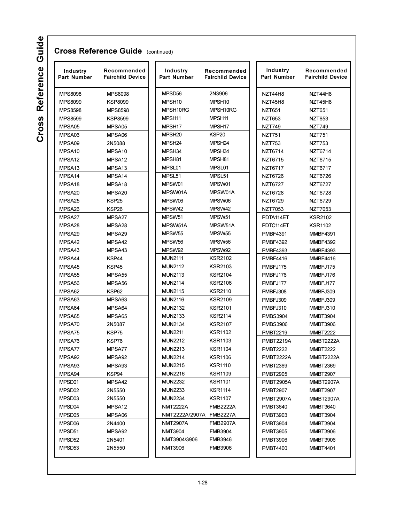Cross Reference Guide

| <b>MPS8098</b><br><b>MPS8099</b><br><b>MPS8598</b><br><b>MPS8599</b><br>MPSA05<br>MPSA06<br>MPSA09 | <b>MPS8098</b><br><b>KSP8099</b><br><b>MPS8598</b><br><b>KSP8599</b><br>MPSA05 | MPSD <sub>56</sub><br>MPSH <sub>10</sub><br>MPSH10RG | 2N3906<br>MPSH <sub>10</sub> | NZT44H8          |                  |  |
|----------------------------------------------------------------------------------------------------|--------------------------------------------------------------------------------|------------------------------------------------------|------------------------------|------------------|------------------|--|
|                                                                                                    |                                                                                |                                                      |                              |                  | NZT44H8          |  |
|                                                                                                    |                                                                                |                                                      |                              | NZT45H8          | NZT45H8          |  |
|                                                                                                    |                                                                                |                                                      | MPSH10RG                     | <b>NZT651</b>    | <b>NZT651</b>    |  |
|                                                                                                    |                                                                                | MPSH <sub>11</sub>                                   | MPSH <sub>11</sub>           | <b>NZT653</b>    | <b>NZT653</b>    |  |
|                                                                                                    |                                                                                | MPSH <sub>17</sub>                                   | MPSH <sub>17</sub>           | <b>NZT749</b>    | <b>NZT749</b>    |  |
|                                                                                                    | MPSA06                                                                         | MPSH <sub>20</sub>                                   | KSP <sub>20</sub>            | <b>NZT751</b>    | <b>NZT751</b>    |  |
|                                                                                                    | 2N5088                                                                         | MPSH <sub>24</sub>                                   | MPSH <sub>24</sub>           | <b>NZT753</b>    | NZT753           |  |
| MPSA <sub>10</sub>                                                                                 | MPSA <sub>10</sub>                                                             | MPSH34                                               | MPSH34                       | NZT6714          | NZT6714          |  |
| MPSA <sub>12</sub>                                                                                 | MPSA <sub>12</sub>                                                             | MPSH81                                               | MPSH81                       | NZT6715          | NZT6715          |  |
| MPSA <sub>13</sub>                                                                                 | MPSA <sub>13</sub>                                                             | MPSL01                                               | MPSL01                       | NZT6717          | NZT6717          |  |
| MPSA14                                                                                             | MPSA14                                                                         | MPSL <sub>51</sub>                                   | MPSL <sub>51</sub>           | NZT6726          | NZT6726          |  |
| MPSA <sub>18</sub>                                                                                 | MPSA <sub>18</sub>                                                             | MPSW01                                               | MPSW01                       | NZT6727          | NZT6727          |  |
| MPSA <sub>20</sub>                                                                                 | MPSA <sub>20</sub>                                                             | MPSW01A                                              | MPSW01A                      | NZT6728          | NZT6728          |  |
| MPSA25                                                                                             | KSP <sub>25</sub>                                                              | MPSW06                                               | MPSW06                       | NZT6729          | NZT6729          |  |
| MPSA26                                                                                             | KSP <sub>26</sub>                                                              | MPSW42                                               | MPSW42                       | NZT7053          | NZT7053          |  |
| MPSA27                                                                                             | MPSA27                                                                         | MPSW <sub>51</sub>                                   | MPSW <sub>51</sub>           | PDTA114ET        | <b>KSR2102</b>   |  |
| MPSA28                                                                                             | MPSA28                                                                         | MPSW51A                                              | MPSW51A                      | PDTC114ET        | <b>KSR1102</b>   |  |
| MPSA29                                                                                             | MPSA29                                                                         | MPSW <sub>55</sub>                                   | MPSW <sub>55</sub>           | <b>PMBF4391</b>  | <b>MMBF4391</b>  |  |
| MPSA42                                                                                             | MPSA42                                                                         | MPSW <sub>56</sub>                                   | MPSW <sub>56</sub>           | <b>PMBF4392</b>  | <b>MMBF4392</b>  |  |
| MPSA43                                                                                             | MPSA43                                                                         | MPSW92                                               | MPSW92                       | <b>PMBF4393</b>  | <b>MMBF4393</b>  |  |
| MPSA44                                                                                             | KSP44                                                                          | <b>MUN2111</b>                                       | <b>KSR2102</b>               | <b>PMBF4416</b>  | <b>MMBF4416</b>  |  |
| MPSA45                                                                                             | KSP45                                                                          | <b>MUN2112</b>                                       | <b>KSR2103</b>               | PMBFJ175         | MMBFJ175         |  |
| MPSA <sub>55</sub>                                                                                 | MPSA <sub>55</sub>                                                             | <b>MUN2113</b>                                       | <b>KSR2104</b>               | PMBFJ176         | MMBFJ176         |  |
| MPSA <sub>56</sub>                                                                                 | MPSA <sub>56</sub>                                                             | <b>MUN2114</b>                                       | <b>KSR2106</b>               | PMBFJ177         | MMBFJ177         |  |
| MPSA62                                                                                             | KSP62                                                                          | <b>MUN2115</b>                                       | <b>KSR2110</b>               | PMBFJ308         | MMBFJ309         |  |
| MPSA63                                                                                             | MPSA63                                                                         | <b>MUN2116</b>                                       | <b>KSR2109</b>               | PMBFJ309         | MMBFJ309         |  |
| MPSA64                                                                                             | MPSA64                                                                         | <b>MUN2132</b>                                       | <b>KSR2101</b>               | PMBFJ310         | MMBFJ310         |  |
| MPSA65                                                                                             | MPSA65                                                                         | <b>MUN2133</b>                                       | <b>KSR2114</b>               | <b>PMBS3904</b>  | <b>MMBT3904</b>  |  |
| MPSA70                                                                                             | 2N5087                                                                         | <b>MUN2134</b>                                       | <b>KSR2107</b>               | <b>PMBS3906</b>  | <b>MMBT3906</b>  |  |
| MPSA75                                                                                             | KSP75                                                                          | <b>MUN2211</b>                                       | <b>KSR1102</b>               | <b>PMBT2219</b>  | <b>MMBT2222</b>  |  |
| MPSA76                                                                                             | KSP76                                                                          | <b>MUN2212</b>                                       | <b>KSR1103</b>               | <b>PMBT2219A</b> | <b>MMBT2222A</b> |  |
| MPSA77                                                                                             | MPSA77                                                                         | <b>MUN2213</b>                                       | <b>KSR1104</b>               | <b>PMBT2222</b>  | <b>MMBT2222</b>  |  |
| MPSA92                                                                                             | MPSA92                                                                         | <b>MUN2214</b>                                       | <b>KSR1106</b>               | <b>PMBT2222A</b> | MMBT2222A        |  |
| MPSA93                                                                                             | MPSA93                                                                         | <b>MUN2215</b>                                       | <b>KSR1110</b>               | <b>PMBT2369</b>  | <b>MMBT2369</b>  |  |
| MPSA94                                                                                             | KSP94                                                                          | <b>MUN2216</b>                                       | <b>KSR1109</b>               | <b>PMBT2905</b>  | <b>MMBT2907</b>  |  |
| MPSD01                                                                                             | MPSA42                                                                         | <b>MUN2232</b>                                       | <b>KSR1101</b>               | <b>PMBT2905A</b> | MMBT2907A        |  |
| MPSD <sub>02</sub>                                                                                 | 2N5550                                                                         | <b>MUN2233</b>                                       | <b>KSR1114</b>               | <b>PMBT2907</b>  | <b>MMBT2907</b>  |  |
| MPSD03                                                                                             | 2N5550                                                                         | <b>MUN2234</b>                                       | <b>KSR1107</b>               | PMBT2907A        | <b>MMBT2907A</b> |  |
| MPSD04                                                                                             | MPSA <sub>12</sub>                                                             | <b>NMT2222A</b>                                      | <b>FMB2222A</b>              | <b>PMBT3640</b>  | MMBT3640         |  |
| MPSD05                                                                                             | MPSA06                                                                         | NMT2222A/2907A FMB2227A                              |                              | <b>PMBT3903</b>  | <b>MMBT3904</b>  |  |
| MPSD06                                                                                             | 2N4400                                                                         | <b>NMT2907A</b>                                      | <b>FMB2907A</b>              | <b>PMBT3904</b>  | <b>MMBT3904</b>  |  |
| MPSD51                                                                                             | MPSA92                                                                         | <b>NMT3904</b>                                       | <b>FMB3904</b>               | <b>PMBT3905</b>  | MMBT3906         |  |
| MPSD <sub>52</sub>                                                                                 | 2N5401                                                                         | NMT3904/3906                                         | <b>FMB3946</b>               | <b>PMBT3906</b>  | MMBT3906         |  |
| MPSD53                                                                                             | 2N5550                                                                         | <b>NMT3906</b>                                       | <b>FMB3906</b>               | <b>PMBT4400</b>  | <b>MMBT4401</b>  |  |

 $1-28$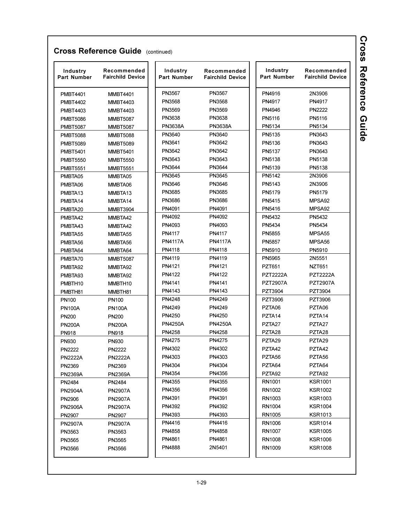| Industry<br><b>Part Number</b> | Recommended<br><b>Fairchild Device</b> | Industry<br>Part Number | Recommended<br><b>Part Number</b><br><b>Fairchild Device</b> |                    | Recommended<br><b>Fairchild Device</b> |
|--------------------------------|----------------------------------------|-------------------------|--------------------------------------------------------------|--------------------|----------------------------------------|
| <b>PMBT4401</b>                | <b>MMBT4401</b>                        | PN3567                  | PN3567                                                       | PN4916             | 2N3906                                 |
| <b>PMBT4402</b>                | <b>MMBT4403</b>                        | PN3568                  | PN3568                                                       | PN4917             | PN4917                                 |
| <b>PMBT4403</b>                | <b>MMBT4403</b>                        | PN3569                  | PN3569                                                       | PN4946             | <b>PN2222</b>                          |
| <b>PMBT5086</b>                | <b>MMBT5087</b>                        | PN3638                  | PN3638                                                       | PN5116             | PN5116                                 |
| <b>PMBT5087</b>                | <b>MMBT5087</b>                        | <b>PN3638A</b>          | <b>PN3638A</b>                                               | PN5134             | PN5134                                 |
| <b>PMBT5088</b>                | <b>MMBT5088</b>                        | PN3640                  | PN3640                                                       | PN5135             | PN3643                                 |
| <b>PMBT5089</b>                | <b>MMBT5089</b>                        | PN3641                  | PN3642                                                       | PN5136             | PN3643                                 |
| <b>PMBT5401</b>                | <b>MMBT5401</b>                        | PN3642                  | PN3642                                                       | PN5137             | PN3643                                 |
| <b>PMBT5550</b>                | <b>MMBT5550</b>                        | PN3643                  | PN3643                                                       | PN5138             | PN5138                                 |
| <b>PMBT5551</b>                | <b>MMBT5551</b>                        | PN3644                  | PN3644                                                       | PN5139             | PN5138                                 |
| PMBTA05                        | MMBTA05                                | PN3645                  | PN3645                                                       | PN5142             | 2N3906                                 |
| PMBTA06                        | MMBTA06                                | PN3646                  | PN3646                                                       | PN5143             | 2N3906                                 |
| PMBTA <sub>13</sub>            | MMBTA13                                | PN3685                  | PN3685                                                       | PN5179             | PN5179                                 |
| PMBTA14                        | MMBTA14                                | PN3686                  | PN3686                                                       | PN5415             | MPSA92                                 |
| PMBTA20                        | <b>MMBT3904</b>                        | PN4091                  | PN4091                                                       | PN5416             | MPSA92                                 |
| PMBTA42                        | MMBTA42                                | PN4092                  | PN4092                                                       | PN5432             | PN5432                                 |
| PMBTA43                        | MMBTA42                                | PN4093                  | PN4093                                                       | PN5434             | PN5434                                 |
| PMBTA55                        | MMBTA55                                | PN4117                  | PN4117                                                       | PN5855             | MPSA <sub>55</sub>                     |
| PMBTA56                        | MMBTA56                                | <b>PN4117A</b>          | <b>PN4117A</b>                                               | <b>PN5857</b>      | MPSA <sub>56</sub>                     |
| PMBTA64                        | MMBTA64                                | PN4118                  | PN4118                                                       | PN5910             | PN5910                                 |
| PMBTA70                        | <b>MMBT5087</b>                        | PN4119                  | PN4119                                                       | PN5965             | 2N5551                                 |
| PMBTA92                        | MMBTA92                                | PN4121                  | PN4121                                                       | PZT651             | <b>NZT651</b>                          |
| PMBTA93                        | MMBTA92                                | PN4122                  | PN4122                                                       | <b>PZT2222A</b>    | <b>PZT2222A</b>                        |
| PMBTH10                        | MMBTH10                                | PN4141                  | PN4141                                                       | <b>PZT2907A</b>    | <b>PZT2907A</b>                        |
| PMBTH81                        | MMBTH81                                | PN4143                  | PN4143                                                       | PZT3904            | PZT3904                                |
| PN <sub>100</sub>              | PN <sub>100</sub>                      | PN4248                  | PN4249                                                       | PZT3906            | PZT3906                                |
| <b>PN100A</b>                  | <b>PN100A</b>                          | PN4249                  | PN4249                                                       | PZTA06             | PZTA06                                 |
| <b>PN200</b>                   | <b>PN200</b>                           | PN4250                  | PN4250                                                       | PZTA <sub>14</sub> | PZTA <sub>14</sub>                     |
| <b>PN200A</b>                  | <b>PN200A</b>                          | <b>PN4250A</b>          | <b>PN4250A</b>                                               | PZTA27             | PZTA27                                 |
| <b>PN918</b>                   | <b>PN918</b>                           | PN4258                  | PN4258                                                       | PZTA28             | PZTA28                                 |
| <b>PN930</b>                   | <b>PN930</b>                           | PN4275                  | PN4275                                                       | PZTA29             | PZTA29                                 |
| <b>PN2222</b>                  | <b>PN2222</b>                          | PN4302                  | PN4302                                                       | PZTA42             | PZTA42                                 |
| <b>PN2222A</b>                 | <b>PN2222A</b>                         | PN4303                  | PN4303                                                       | PZTA56             | PZTA56                                 |
| PN2369                         | PN2369                                 | PN4304                  | PN4304                                                       | PZTA64             | PZTA64                                 |
| <b>PN2369A</b>                 | <b>PN2369A</b>                         | PN4354                  | PN4356                                                       | PZTA92             | PZTA92                                 |
| PN2484                         | PN2484                                 | PN4355                  | PN4355                                                       | RN1001             | <b>KSR1001</b>                         |
| <b>PN2904A</b>                 | <b>PN2907A</b>                         | PN4356                  | PN4356                                                       | RN1002             | <b>KSR1002</b>                         |
| PN2906                         | <b>PN2907A</b>                         | PN4391                  | PN4391                                                       | RN1003             | <b>KSR1003</b>                         |
| <b>PN2906A</b>                 | <b>PN2907A</b>                         | PN4392                  | PN4392                                                       | RN1004             | <b>KSR1004</b>                         |
| PN2907                         | PN2907                                 | PN4393                  | PN4393                                                       | RN1005             | <b>KSR1013</b>                         |
| <b>PN2907A</b>                 | <b>PN2907A</b>                         | PN4416                  | PN4416                                                       | RN1006             | <b>KSR1014</b>                         |
| PN3563                         | PN3563                                 | PN4858                  | PN4858                                                       | RN1007             | <b>KSR1005</b>                         |
| PN3565                         | PN3565                                 | PN4861                  | PN4861                                                       | RN1008             | <b>KSR1006</b>                         |
| PN3566                         | PN3566                                 | PN4888                  | 2N5401                                                       | RN1009             | KSR1008                                |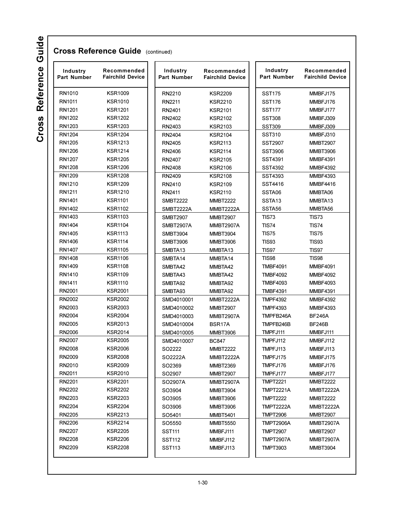| Industry<br><b>Part Number</b> | Recommended<br><b>Fairchild Device</b> | Industry<br><b>Part Number</b> | Recommended<br><b>Fairchild Device</b> | Industry<br><b>Part Number</b> | Recommended<br><b>Fairchild Device</b> |  |
|--------------------------------|----------------------------------------|--------------------------------|----------------------------------------|--------------------------------|----------------------------------------|--|
| RN1010                         | <b>KSR1009</b>                         | RN2210                         | <b>KSR2209</b>                         | <b>SST175</b>                  | MMBFJ175                               |  |
| RN1011                         | <b>KSR1010</b>                         | RN2211                         | <b>KSR2210</b>                         | <b>SST176</b>                  | MMBFJ176                               |  |
| RN1201                         | <b>KSR1201</b>                         | RN2401                         | <b>KSR2101</b>                         | <b>SST177</b>                  | MMBFJ177                               |  |
| RN1202                         | <b>KSR1202</b>                         | RN2402                         | <b>KSR2102</b>                         | <b>SST308</b>                  | MMBFJ309                               |  |
| RN1203                         | <b>KSR1203</b>                         | RN2403                         | <b>KSR2103</b>                         | <b>SST309</b>                  | MMBFJ309                               |  |
| RN1204                         | <b>KSR1204</b>                         | RN2404                         | <b>KSR2104</b>                         | <b>SST310</b>                  | MMBFJ310                               |  |
| RN1205                         | <b>KSR1213</b>                         | RN2405                         | <b>KSR2113</b>                         | <b>SST2907</b>                 | <b>MMBT2907</b>                        |  |
| RN1206                         | <b>KSR1214</b>                         | RN2406                         | <b>KSR2114</b>                         | SST3906                        | <b>MMBT3906</b>                        |  |
| RN1207                         | <b>KSR1205</b>                         | RN2407                         | <b>KSR2105</b>                         | SST4391                        | <b>MMBF4391</b>                        |  |
| RN1208                         | <b>KSR1206</b>                         | RN2408                         | <b>KSR2106</b>                         | SST4392                        | <b>MMBF4392</b>                        |  |
| RN1209                         | <b>KSR1208</b>                         | RN2409                         | <b>KSR2108</b>                         | SST4393                        | <b>MMBF4393</b>                        |  |
| RN1210                         | <b>KSR1209</b>                         | RN2410                         | <b>KSR2109</b>                         | SST4416                        | <b>MMBF4416</b>                        |  |
| RN1211                         | <b>KSR1210</b>                         | RN2411                         | <b>KSR2110</b>                         | SSTA06                         | MMBTA06                                |  |
| RN1401                         | <b>KSR1101</b>                         | <b>SMBT2222</b>                | <b>MMBT2222</b>                        | SSTA <sub>13</sub>             | MMBTA13                                |  |
| RN1402                         | <b>KSR1102</b>                         | SMBT2222A                      | MMBT2222A                              | SSTA <sub>56</sub>             | MMBTA56                                |  |
| RN1403                         | <b>KSR1103</b>                         | <b>SMBT2907</b>                | <b>MMBT2907</b>                        | <b>TIS73</b>                   | <b>TIS73</b>                           |  |
| RN1404                         | <b>KSR1104</b>                         | SMBT2907A                      | <b>MMBT2907A</b>                       | <b>TIS74</b>                   | <b>TIS74</b>                           |  |
| RN1405                         | <b>KSR1113</b>                         | SMBT3904                       | <b>MMBT3904</b>                        | <b>TIS75</b>                   | <b>TIS75</b>                           |  |
| RN1406                         | <b>KSR1114</b>                         | SMBT3906                       | <b>MMBT3906</b>                        | <b>TIS93</b>                   | <b>TIS93</b>                           |  |
| RN1407                         | <b>KSR1105</b>                         | SMBTA13                        | MMBTA <sub>13</sub>                    | <b>TIS97</b>                   | <b>TIS97</b>                           |  |
| RN1408                         | <b>KSR1106</b>                         | SMBTA14                        | MMBTA14                                | <b>TIS98</b>                   | <b>TIS98</b>                           |  |
| RN1409                         | <b>KSR1108</b>                         | SMBTA42                        | MMBTA42                                | <b>TMBF4091</b>                | <b>MMBF4091</b>                        |  |
| RN1410                         | <b>KSR1109</b>                         | SMBTA43                        | MMBTA42                                | <b>TMBF4092</b>                | <b>MMBF4092</b>                        |  |
| RN1411                         | <b>KSR1110</b>                         | SMBTA92                        | MMBTA92                                | <b>TMBF4093</b>                | <b>MMBF4093</b>                        |  |
| RN2001                         | <b>KSR2001</b>                         | SMBTA93                        | MMBTA92                                | <b>TMBF4391</b>                | <b>MMBF4391</b>                        |  |
| RN2002                         | KSR2002                                | SMD4010001                     | <b>MMBT2222A</b>                       | <b>TMPF4392</b>                | <b>MMBF4392</b>                        |  |
| RN2003                         | <b>KSR2003</b>                         | SMD4010002                     | <b>MMBT2907</b>                        | <b>TMPF4393</b>                | <b>MMBF4393</b>                        |  |
| RN2004                         | <b>KSR2004</b>                         | SMD4010003                     | MMBT2907A                              | TMPFB246A                      | <b>BF246A</b>                          |  |
| RN2005                         | <b>KSR2013</b>                         | SMD4010004                     | BSR17A                                 | TMPFB246B                      | <b>BF246B</b>                          |  |
| RN2006                         | <b>KSR2014</b>                         | SMD4010005                     | <b>MMBT3906</b>                        | TMPFJ111                       | MMBFJ111                               |  |
| RN2007                         | <b>KSR2005</b>                         | SMD4010007                     | <b>BC847</b>                           | TMPFJ112                       | MMBFJ112                               |  |
| RN2008                         | <b>KSR2006</b>                         | SO2222                         | <b>MMBT2222</b>                        | TMPFJ113                       | MMBFJ113                               |  |
| RN2009                         | <b>KSR2008</b>                         | SO2222A                        | MMBT2222A                              | TMPFJ175                       | MMBFJ175                               |  |
| RN2010                         | <b>KSR2009</b>                         | SO2369                         | <b>MMBT2369</b>                        | TMPFJ176                       | MMBFJ176                               |  |
| RN2011                         | <b>KSR2010</b>                         | SO2907                         | <b>MMBT2907</b>                        | TMPFJ177                       | MMBFJ177                               |  |
| RN2201                         | <b>KSR2201</b>                         | SO2907A                        | <b>MMBT2907A</b>                       | <b>TMPT2221</b>                | <b>MMBT2222</b>                        |  |
| RN2202                         | <b>KSR2202</b>                         | SO3904                         | <b>MMBT3904</b>                        | <b>TMPT2221A</b>               | <b>MMBT2222A</b>                       |  |
| RN2203                         | <b>KSR2203</b>                         | SO3905                         | <b>MMBT3906</b>                        | <b>TMPT2222</b>                | <b>MMBT2222</b>                        |  |
| RN2204                         | <b>KSR2204</b>                         | SO3906                         | MMBT3906                               | <b>TMPT2222A</b>               | MMBT2222A                              |  |
| RN2205                         | <b>KSR2213</b>                         | SO5401                         | <b>MMBT5401</b>                        | <b>TMPT2906</b>                | <b>MMBT2907</b>                        |  |
| RN2206                         | <b>KSR2214</b>                         | SO5550                         | <b>MMBT5550</b>                        | <b>TMPT2906A</b>               | <b>MMBT2907A</b>                       |  |
| RN2207                         | <b>KSR2205</b>                         | SST111                         | MMBFJ111                               | <b>TMPT2907</b>                | <b>MMBT2907</b>                        |  |
| RN2208                         | <b>KSR2206</b>                         | SST112                         | MMBFJ112                               | <b>TMPT2907A</b>               | MMBT2907A                              |  |
| RN2209                         | <b>KSR2208</b>                         | SST113                         | MMBFJ113                               | TMPT3903                       | <b>MMBT3904</b>                        |  |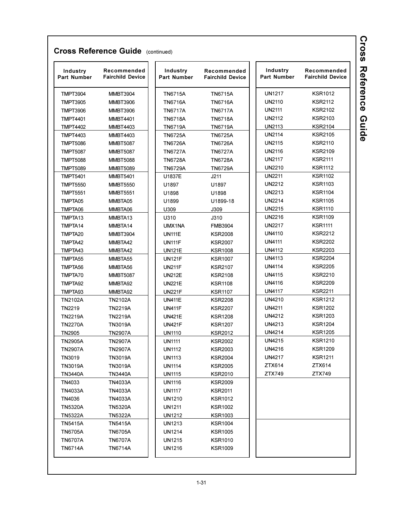| Industry<br>Part Number | Recommended<br><b>Fairchild Device</b> | Industry<br><b>Part Number</b> | Recommended<br><b>Fairchild Device</b> | Industry<br><b>Part Number</b> | Recommended<br><b>Fairchild Device</b> |
|-------------------------|----------------------------------------|--------------------------------|----------------------------------------|--------------------------------|----------------------------------------|
| <b>TMPT3904</b>         | <b>MMBT3904</b>                        | <b>TN6715A</b>                 | <b>TN6715A</b>                         | <b>UN1217</b>                  | <b>KSR1012</b>                         |
| <b>TMPT3905</b>         | <b>MMBT3906</b>                        | <b>TN6716A</b>                 | <b>TN6716A</b>                         | UN2110                         | <b>KSR2112</b>                         |
| <b>TMPT3906</b>         | <b>MMBT3906</b>                        | <b>TN6717A</b>                 | <b>TN6717A</b>                         | <b>UN2111</b>                  | <b>KSR2102</b>                         |
| <b>TMPT4401</b>         | <b>MMBT4401</b>                        | TN6718A                        | <b>TN6718A</b>                         | UN2112                         | KSR2103                                |
| <b>TMPT4402</b>         | <b>MMBT4403</b>                        | <b>TN6719A</b>                 | <b>TN6719A</b>                         | <b>UN2113</b>                  | <b>KSR2104</b>                         |
| <b>TMPT4403</b>         | <b>MMBT4403</b>                        | <b>TN6725A</b>                 | <b>TN6725A</b>                         | <b>UN2114</b>                  | <b>KSR2105</b>                         |
| <b>TMPT5086</b>         | <b>MMBT5087</b>                        | <b>TN6726A</b>                 | <b>TN6726A</b>                         | <b>UN2115</b>                  | <b>KSR2110</b>                         |
| <b>TMPT5087</b>         | <b>MMBT5087</b>                        | <b>TN6727A</b>                 | <b>TN6727A</b>                         | UN2116                         | <b>KSR2109</b>                         |
| <b>TMPT5088</b>         | <b>MMBT5088</b>                        | <b>TN6728A</b>                 | <b>TN6728A</b>                         | <b>UN2117</b>                  | <b>KSR2111</b>                         |
| <b>TMPT5089</b>         | <b>MMBT5089</b>                        | <b>TN6729A</b>                 | <b>TN6729A</b>                         | <b>UN2210</b>                  | <b>KSR1112</b>                         |
| <b>TMPT5401</b>         | <b>MMBT5401</b>                        | U1837E                         | J211                                   | <b>UN2211</b>                  | <b>KSR1102</b>                         |
| <b>TMPT5550</b>         | <b>MMBT5550</b>                        | U1897                          | U1897                                  | <b>UN2212</b>                  | <b>KSR1103</b>                         |
| <b>TMPT5551</b>         | <b>MMBT5551</b>                        | U1898                          | U1898                                  | <b>UN2213</b>                  | <b>KSR1104</b>                         |
| TMPTA05                 | MMBTA05                                | U1899                          | U1899-18                               | <b>UN2214</b>                  | <b>KSR1105</b>                         |
| TMPTA06                 | MMBTA06                                | U309                           | J309                                   | <b>UN2215</b>                  | <b>KSR1110</b>                         |
| TMPTA <sub>13</sub>     | MMBTA13                                | U310                           | J310                                   | <b>UN2216</b>                  | <b>KSR1109</b>                         |
| TMPTA14                 | MMBTA14                                | UMX1NA                         | <b>FMB3904</b>                         | <b>UN2217</b>                  | <b>KSR1111</b>                         |
| TMPTA20                 | <b>MMBT3904</b>                        | <b>UN111E</b>                  | <b>KSR2008</b>                         | <b>UN4110</b>                  | <b>KSR2212</b>                         |
| TMPTA42                 | MMBTA42                                | <b>UN111F</b>                  | <b>KSR2007</b>                         | <b>UN4111</b>                  | <b>KSR2202</b>                         |
| TMPTA43                 | MMBTA42                                | <b>UN121E</b>                  | <b>KSR1008</b>                         | <b>UN4112</b>                  | <b>KSR2203</b>                         |
| TMPTA55                 | MMBTA55                                | <b>UN121F</b>                  | <b>KSR1007</b>                         | <b>UN4113</b>                  | <b>KSR2204</b>                         |
| TMPTA56                 | MMBTA56                                | <b>UN211F</b>                  | <b>KSR2107</b>                         | <b>UN4114</b>                  | <b>KSR2205</b>                         |
| TMPTA70                 | <b>MMBT5087</b>                        | <b>UN212E</b>                  | <b>KSR2108</b>                         | <b>UN4115</b>                  | <b>KSR2210</b>                         |
| TMPTA92                 | MMBTA92                                | <b>UN221E</b>                  | <b>KSR1108</b>                         | <b>UN4116</b>                  | <b>KSR2209</b>                         |
| TMPTA93                 | MMBTA92                                | <b>UN221F</b>                  | <b>KSR1107</b>                         | <b>UN4117</b>                  | <b>KSR2211</b>                         |
| <b>TN2102A</b>          | TN2102A                                | <b>UN411E</b>                  | <b>KSR2208</b>                         | UN4210                         | <b>KSR1212</b>                         |
| TN2219                  | TN2219A                                | <b>UN411F</b>                  | <b>KSR2207</b>                         | <b>UN4211</b>                  | <b>KSR1202</b>                         |
| <b>TN2219A</b>          | TN2219A                                | <b>UN421E</b>                  | <b>KSR1208</b>                         | <b>UN4212</b>                  | <b>KSR1203</b>                         |
| <b>TN2270A</b>          | TN3019A                                | <b>UN421F</b>                  | <b>KSR1207</b>                         | <b>UN4213</b>                  | <b>KSR1204</b>                         |
| TN2905                  | TN2907A                                | <b>UN1110</b>                  | <b>KSR2012</b>                         | <b>UN4214</b>                  | <b>KSR1205</b>                         |
| <b>TN2905A</b>          | TN2907A                                | <b>UN1111</b>                  | <b>KSR2002</b>                         | <b>UN4215</b>                  | <b>KSR1210</b>                         |
| <b>TN2907A</b>          | <b>TN2907A</b>                         | <b>UN1112</b>                  | <b>KSR2003</b>                         | <b>UN4216</b>                  | <b>KSR1209</b>                         |
| TN3019                  | <b>TN3019A</b>                         | <b>UN1113</b>                  | <b>KSR2004</b>                         | <b>UN4217</b>                  | <b>KSR1211</b>                         |
| TN3019A                 | TN3019A                                | UN1114                         | <b>KSR2005</b>                         | ZTX614                         | ZTX614                                 |
| <b>TN3440A</b>          | TN3440A                                | <b>UN1115</b>                  | <b>KSR2010</b>                         | ZTX749                         | ZTX749                                 |
| TN4033                  | TN4033A                                | UN1116                         | <b>KSR2009</b>                         |                                |                                        |
| TN4033A                 | TN4033A                                | UN1117                         | <b>KSR2011</b>                         |                                |                                        |
| TN4036                  | TN4033A                                | <b>UN1210</b>                  | <b>KSR1012</b>                         |                                |                                        |
| <b>TN5320A</b>          | <b>TN5320A</b>                         | UN1211                         | <b>KSR1002</b>                         |                                |                                        |
| <b>TN5322A</b>          | <b>TN5322A</b>                         | <b>UN1212</b>                  | <b>KSR1003</b>                         |                                |                                        |
| TN5415A                 | TN5415A                                | UN1213                         | <b>KSR1004</b>                         |                                |                                        |
| <b>TN6705A</b>          | TN6705A                                | <b>UN1214</b>                  | <b>KSR1005</b>                         |                                |                                        |
| <b>TN6707A</b>          | TN6707A                                | <b>UN1215</b>                  | <b>KSR1010</b>                         |                                |                                        |
| <b>TN6714A</b>          | <b>TN6714A</b>                         | <b>UN1216</b>                  | <b>KSR1009</b>                         |                                |                                        |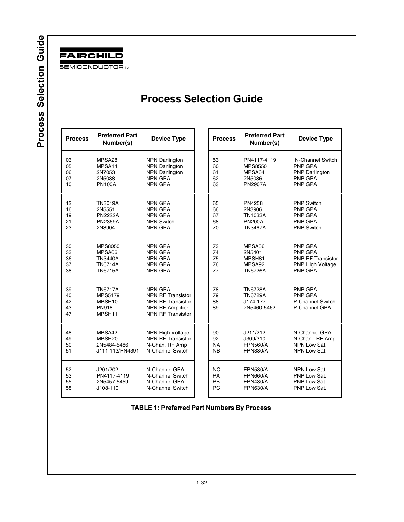<span id="page-30-0"></span>

## **Process Selection Guide**

 N-Channel Switch PNP GPA PNP Darlington PNP GPA PNP GPA

 PNP GPA PNP GPA PNP RF Transistor PNP High Voltage PNP GPA

 PNP GPA PNP GPA P-Channel Switch P-Channel GPA

 N-Channel GPA N-Chan. RF Amp NPN Low Sat. NPN Low Sat.

| <b>Process</b> | <b>Preferred Part</b><br>Number(s) | <b>Device Type</b>       | <b>Process</b> | <b>Preferred Part</b><br>Number(s) | <b>Device Type</b>     |
|----------------|------------------------------------|--------------------------|----------------|------------------------------------|------------------------|
| 03             | MPSA28                             | <b>NPN Darlington</b>    | 53             | PN4117-4119                        | N-Channel Switc        |
| 05             | MPSA14                             | <b>NPN Darlington</b>    | 60             | <b>MPS8550</b>                     | <b>PNP GPA</b>         |
| 06             | 2N7053                             | <b>NPN Darlington</b>    | 61             | MPSA64                             | <b>PNP Darlington</b>  |
| 07             | 2N5088                             | <b>NPN GPA</b>           | 62             | 2N5086                             | <b>PNP GPA</b>         |
| 10             | <b>PN100A</b>                      | <b>NPN GPA</b>           | 63             | <b>PN2907A</b>                     | <b>PNP GPA</b>         |
| 12             | <b>TN3019A</b>                     | <b>NPN GPA</b>           | 65             | PN4258                             | <b>PNP Switch</b>      |
| 16             | 2N5551                             | <b>NPN GPA</b>           | 66             | 2N3906                             | <b>PNP GPA</b>         |
| 19             | <b>PN2222A</b>                     | <b>NPN GPA</b>           | 67             | <b>TN4033A</b>                     | <b>PNP GPA</b>         |
| 21             | <b>PN2369A</b>                     | <b>NPN Switch</b>        | 68             | <b>PN200A</b>                      | <b>PNP GPA</b>         |
| 23             | 2N3904                             | <b>NPN GPA</b>           | 70             | TN3467A                            | <b>PNP Switch</b>      |
| 30             | <b>MPS8050</b>                     | <b>NPN GPA</b>           | 73             | MPSA56                             | <b>PNP GPA</b>         |
| 33             | MPSA06                             | <b>NPN GPA</b>           | 74             | 2N5401                             | <b>PNP GPA</b>         |
| 36             | TN3440A                            | <b>NPN GPA</b>           | 75             | MPSH81                             | <b>PNP RF Transist</b> |
| 37             | <b>TN6714A</b>                     | <b>NPN GPA</b>           | 76             | MPSA92                             | PNP High Voltage       |
| 38             | <b>TN6715A</b>                     | <b>NPN GPA</b>           | 77             | <b>TN6726A</b>                     | <b>PNP GPA</b>         |
| 39             | <b>TN6717A</b>                     | <b>NPN GPA</b>           | 78             | <b>TN6728A</b>                     | <b>PNP GPA</b>         |
| 40             | <b>MPS5179</b>                     | <b>NPN RF Transistor</b> | 79             | <b>TN6729A</b>                     | <b>PNP GPA</b>         |
| 42             | MPSH <sub>10</sub>                 | <b>NPN RF Transistor</b> | 88             | J174-177                           | P-Channel Switch       |
| 43             | <b>PN918</b>                       | NPN RF Amplifier         | 89             | 2N5460-5462                        | P-Channel GPA          |
| 47             | MPSH11                             | <b>NPN RF Transistor</b> |                |                                    |                        |
| 48             | MPSA42                             | <b>NPN High Voltage</b>  | 90             | J211/212                           | N-Channel GPA          |
| 49             | MPSH <sub>20</sub>                 | <b>NPN RF Transistor</b> | 92             | J309/310                           | N-Chan. RF Amp         |
| 50             | 2N5484-5486                        | N-Chan. RF Amp           | <b>NA</b>      | <b>FPN560/A</b>                    | NPN Low Sat.           |
| 51             | J111-113/PN4391                    | N-Channel Switch         | <b>NB</b>      | <b>FPN330/A</b>                    | NPN Low Sat.           |
| 52             | J201/202                           | N-Channel GPA            | <b>NC</b>      | <b>FPN530/A</b>                    | NPN Low Sat.           |
| 53             | PN4117-4119                        | N-Channel Switch         | PA             | <b>FPN660/A</b>                    | PNP Low Sat.           |
| 55             | 2N5457-5459                        | N-Channel GPA            | <b>PB</b>      | <b>FPN430/A</b>                    | PNP Low Sat.           |
| 58             | J108-110                           | N-Channel Switch         | PC             | <b>FPN630/A</b>                    | PNP Low Sat.           |
|                |                                    |                          |                |                                    |                        |

TABLE 1: Preferred Part Numbers By Process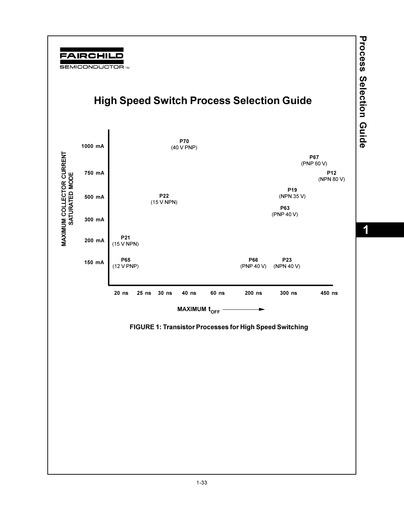<span id="page-31-0"></span>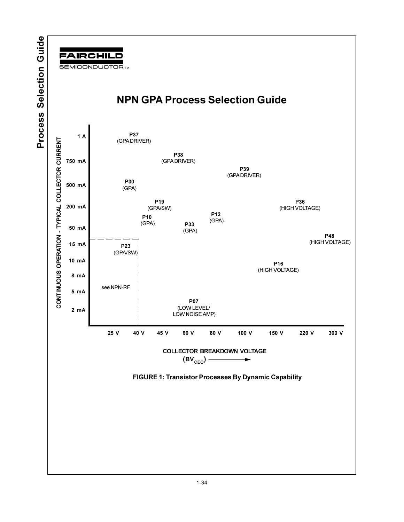<span id="page-32-0"></span>

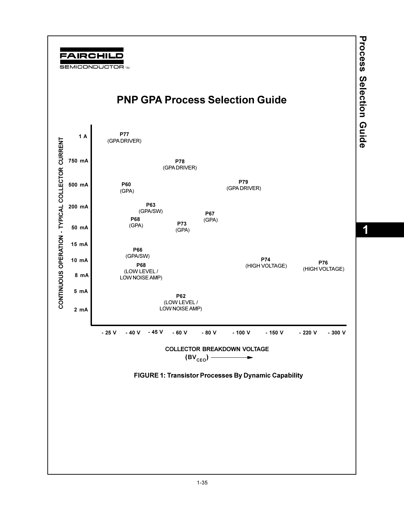<span id="page-33-0"></span>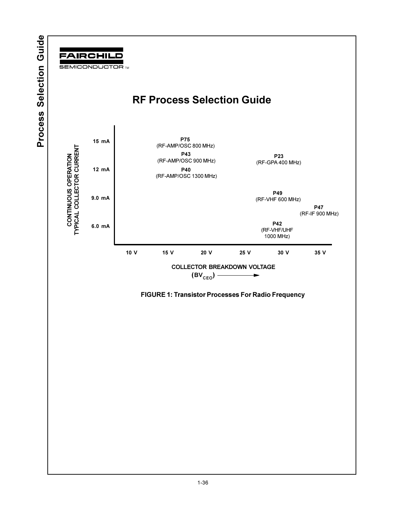<span id="page-34-0"></span>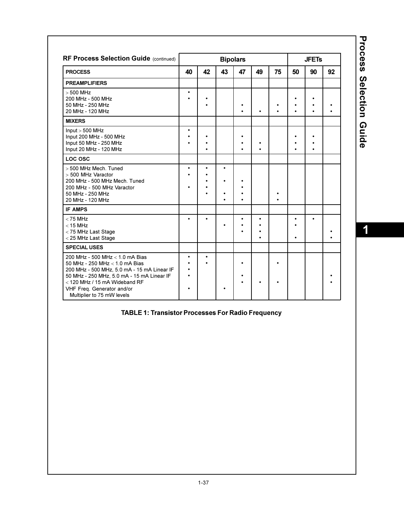| <b>RF Process Selection Guide (continued)</b>                                                                                                                                                                                                                 |                |           | <b>Bipolars</b>        |    |           |    |           | <b>JFETs</b> |    |
|---------------------------------------------------------------------------------------------------------------------------------------------------------------------------------------------------------------------------------------------------------------|----------------|-----------|------------------------|----|-----------|----|-----------|--------------|----|
| <b>PROCESS</b>                                                                                                                                                                                                                                                | 40             | 42        | 43                     | 47 | 49        | 75 | 50        | 90           | 92 |
| <b>PREAMPLIFIERS</b>                                                                                                                                                                                                                                          |                |           |                        |    |           |    |           |              |    |
| $>500$ MHz<br>200 MHz - 500 MHz<br>50 MHz - 250 MHz<br>20 MHz - 120 MHz                                                                                                                                                                                       | $\bullet$      | ٠         |                        |    | $\bullet$ |    | ٠<br>٠    | $\bullet$    |    |
| <b>MIXERS</b>                                                                                                                                                                                                                                                 |                |           |                        |    |           |    |           |              |    |
| Input > 500 MHz<br>Input 200 MHz - 500 MHz<br>Input 50 MHz - 250 MHz<br>Input 20 MHz - 120 MHz                                                                                                                                                                |                |           |                        |    | ٠         |    | $\bullet$ | ٠            |    |
| LOC OSC                                                                                                                                                                                                                                                       |                |           |                        |    |           |    |           |              |    |
| > 500 MHz Mech. Tuned<br>> 500 MHz Varactor<br>200 MHz - 500 MHz Mech. Tuned<br>200 MHz - 500 MHz Varactor<br>50 MHz - 250 MHz<br>20 MHz - 120 MHz                                                                                                            |                | $\bullet$ | $\bullet$<br>$\bullet$ |    |           |    |           |              |    |
| <b>IF AMPS</b>                                                                                                                                                                                                                                                |                |           |                        |    |           |    |           |              |    |
| $<$ 75 MHz<br>$<$ 15 MHz<br>< 75 MHz Last Stage<br>< 25 MHz Last Stage                                                                                                                                                                                        |                | $\bullet$ |                        | ٠  | $\bullet$ |    |           | ٠            |    |
| <b>SPECIAL USES</b>                                                                                                                                                                                                                                           |                |           |                        |    |           |    |           |              |    |
| 200 MHz - 500 MHz < 1.0 mA Bias<br>50 MHz - 250 MHz < 1.0 mA Bias<br>200 MHz - 500 MHz, 5.0 mA - 15 mA Linear IF<br>50 MHz - 250 MHz, 5.0 mA - 15 mA Linear IF<br>$<$ 120 MHz / 15 mA Wideband RF<br>VHF Freg. Generator and/or<br>Multiplier to 75 mW levels | $\bullet$<br>٠ | $\bullet$ |                        |    | ٠         |    |           |              |    |

**Process Selection Guide** 

### **TABLE 1: Transistor Processes For Radio Frequency**